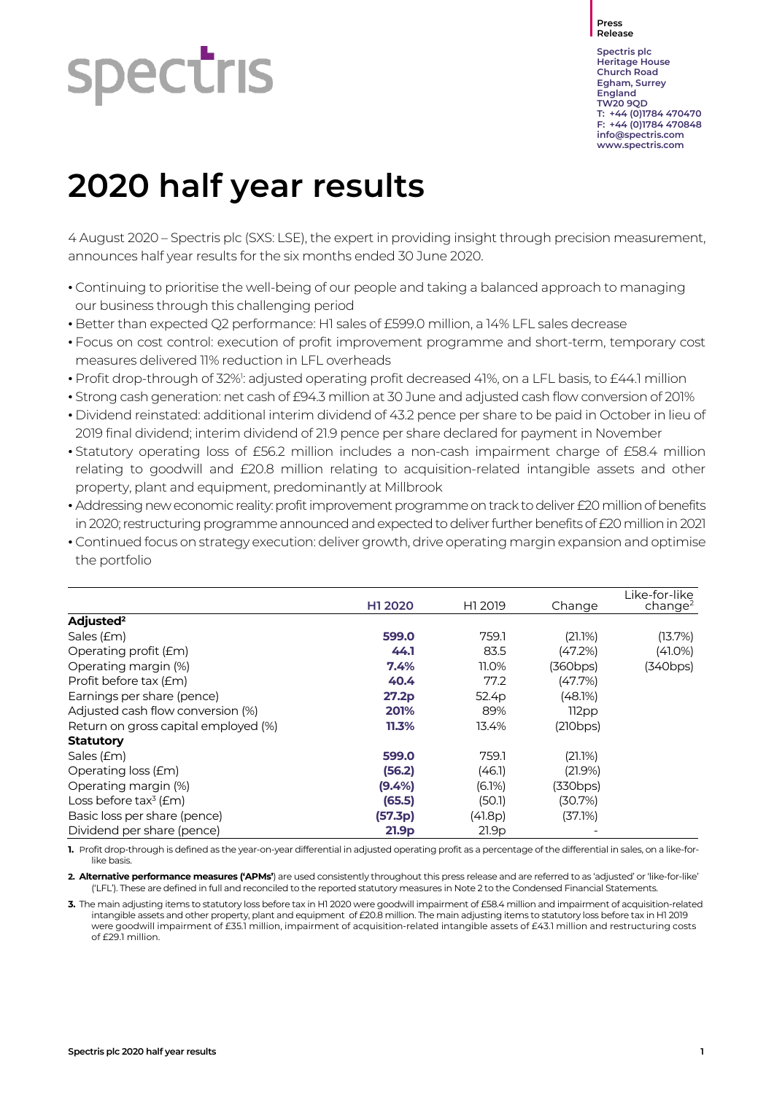# **spectris**

**Press Release**

**Spectris plc Heritage House Church Road Egham, Surrey England TW20 9QD T: +44 (0)1784 470470 F: +44 (0)1784 470848 [info@spectris.com](mailto:info@spectris.com) www.spectris.com**

## **2020 half year results**

4 August 2020 – Spectris plc (SXS: LSE), the expert in providing insight through precision measurement, announces half year results for the six months ended 30 June 2020.

- Continuing to prioritise the well-being of our people and taking a balanced approach to managing our business through this challenging period
- Better than expected Q2 performance: H1 sales of £599.0 million, a 14% LFL sales decrease
- Focus on cost control: execution of profit improvement programme and short-term, temporary cost measures delivered 11% reduction in LFL overheads
- $\bullet$  Profit drop-through of 32%): adjusted operating profit decreased 41%, on a LFL basis, to £44.1 million
- Strong cash generation: net cash of £94.3 million at 30 June and adjusted cash flow conversion of 201%
- Dividend reinstated: additional interim dividend of 43.2 pence per share to be paid in October in lieu of 2019 final dividend; interim dividend of 21.9 pence per share declared for payment in November
- Statutory operating loss of £56.2 million includes a non-cash impairment charge of £58.4 million relating to goodwill and £20.8 million relating to acquisition-related intangible assets and other property, plant and equipment, predominantly at Millbrook
- Addressing new economic reality:profit improvement programme on track to deliver £20 million of benefits in 2020; restructuring programme announced and expected to deliver further benefits of £20 millionin 2021
- Continued focus on strategy execution: deliver growth, drive operating margin expansion and optimise the portfolio

|                                       | H1 2020           | H1 2019           | Change     | Like-for-like<br>change <sup>2</sup> |
|---------------------------------------|-------------------|-------------------|------------|--------------------------------------|
| Adjusted <sup>2</sup>                 |                   |                   |            |                                      |
| Sales (£m)                            | 599.0             | 759.1             | (21.1%)    | (13.7%)                              |
| Operating profit ( <i>Em</i> )        | 44.1              | 83.5              | (47.2%)    | $(41.0\%)$                           |
| Operating margin (%)                  | 7.4%              | 11.0%             | (360bps)   | (340bps)                             |
| Profit before tax (£m)                | 40.4              | 77.2              | (47.7%)    |                                      |
| Earnings per share (pence)            | 27.2 <sub>p</sub> | 52.4p             | (48.1%)    |                                      |
| Adjusted cash flow conversion (%)     | 201%              | 89%               | 112pp      |                                      |
| Return on gross capital employed (%)  | 11.3%             | 13.4%             | (210bps)   |                                      |
| <b>Statutory</b>                      |                   |                   |            |                                      |
| Sales (£m)                            | 599.0             | 759.1             | (21.1%)    |                                      |
| Operating loss (£m)                   | (56.2)            | (46.1)            | $(21.9\%)$ |                                      |
| Operating margin (%)                  | $(9.4\%)$         | $(6.1\%)$         | (330bps)   |                                      |
| Loss before tax <sup>3</sup> ( $Em$ ) | (65.5)            | (50.1)            | (30.7%)    |                                      |
| Basic loss per share (pence)          | (57.3p)           | (41.8p)           | (37.1%)    |                                      |
| Dividend per share (pence)            | 21.9 <sub>p</sub> | 21.9 <sub>p</sub> |            |                                      |

**1.** Profit drop-through is defined as the year-on-year differential in adjusted operating profit as a percentage of the differential in sales, on a like-forlike basis.

**2. Alternative performance measures ('APMs'**) are used consistently throughout this press release and are referred to as 'adjusted' or 'like-for-like' ('LFL'). These are defined in full and reconciled to the reported statutory measures in Note 2 to the Condensed Financial Statements.

**3.** The main adjusting items to statutory loss before tax in H1 2020 were goodwill impairment of £58.4 million and impairment of acquisition-related intangible assets and other property, plant and equipment of £20.8 million. The main adjusting items to statutory loss before tax in H1 2019 were goodwill impairment of £35.1 million, impairment of acquisition-related intangible assets of £43.1 million and restructuring costs of £29.1 million.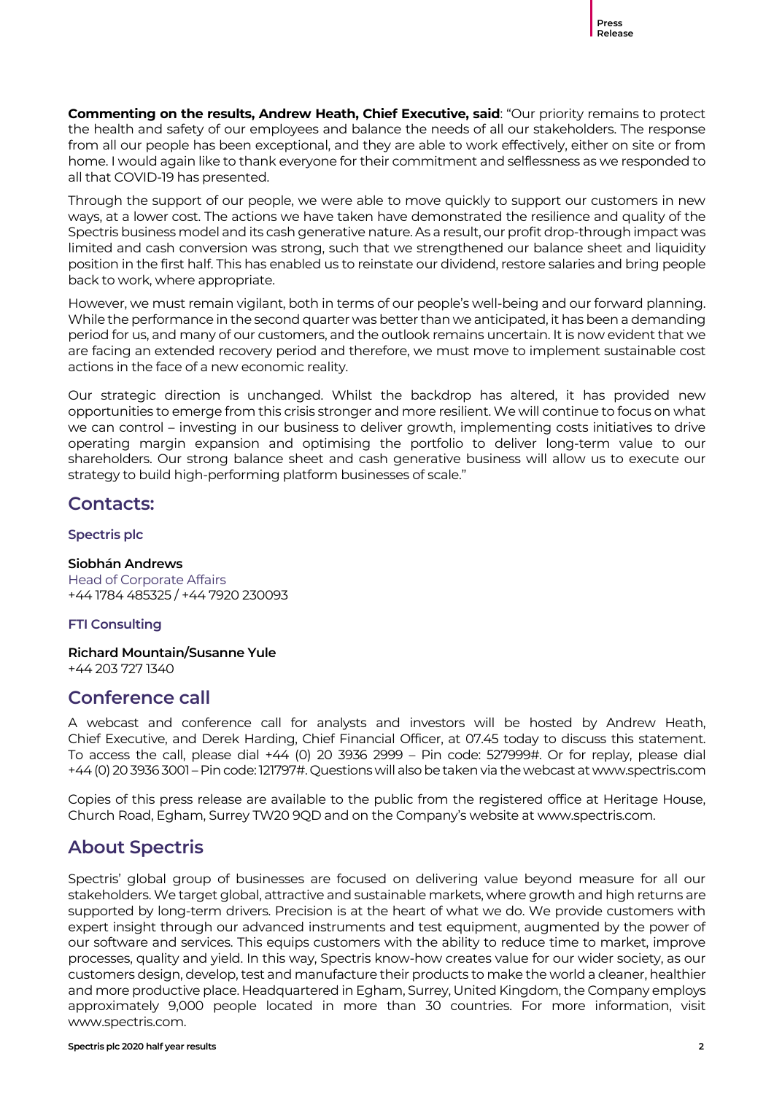**Commenting on the results, Andrew Heath, Chief Executive, said**: "Our priority remains to protect the health and safety of our employees and balance the needs of all our stakeholders. The response from all our people has been exceptional, and they are able to work effectively, either on site or from home. I would again like to thank everyone for their commitment and selflessness as we responded to all that COVID-19 has presented.

Through the support of our people, we were able to move quickly to support our customers in new ways, at a lower cost. The actions we have taken have demonstrated the resilience and quality of the Spectris business model and its cash generative nature. As a result, our profit drop-through impact was limited and cash conversion was strong, such that we strengthened our balance sheet and liquidity position in the first half. This has enabled us to reinstate our dividend, restore salaries and bring people back to work, where appropriate.

However, we must remain vigilant, both in terms of our people's well-being and our forward planning. While the performance in the second quarter was better than we anticipated, it has been a demanding period for us, and many of our customers, and the outlook remains uncertain. It is now evident that we are facing an extended recovery period and therefore, we must move to implement sustainable cost actions in the face of a new economic reality.

Our strategic direction is unchanged. Whilst the backdrop has altered, it has provided new opportunities to emerge from this crisis stronger and more resilient. We will continue to focus on what we can control – investing in our business to deliver growth, implementing costs initiatives to drive operating margin expansion and optimising the portfolio to deliver long-term value to our shareholders. Our strong balance sheet and cash generative business will allow us to execute our strategy to build high-performing platform businesses of scale."

## **Contacts:**

#### **Spectris plc**

#### **Siobhán Andrews** Head of Corporate Affairs

+44 1784 485325 / +44 7920 230093

#### **FTI Consulting**

**Richard Mountain/Susanne Yule** +44 203 727 1340

## **Conference call**

A webcast and conference call for analysts and investors will be hosted by Andrew Heath, Chief Executive, and Derek Harding, Chief Financial Officer, at 07.45 today to discuss this statement. To access the call, please dial +44 (0) 20 3936 2999 – Pin code: 527999#. Or for replay, please dial +44 (0) 20 3936 3001 – Pin code: 121797#. Questions will also be taken via the webcast at www.spectris.com

Copies of this press release are available to the public from the registered office at Heritage House, Church Road, Egham, Surrey TW20 9QD and on the Company's website at www.spectris.com.

## **About Spectris**

Spectris' global group of businesses are focused on delivering value beyond measure for all our stakeholders. We target global, attractive and sustainable markets, where growth and high returns are supported by long-term drivers. Precision is at the heart of what we do. We provide customers with expert insight through our advanced instruments and test equipment, augmented by the power of our software and services. This equips customers with the ability to reduce time to market, improve processes, quality and yield. In this way, Spectris know-how creates value for our wider society, as our customers design, develop, test and manufacture their products to make the world a cleaner, healthier and more productive place. Headquartered in Egham, Surrey, United Kingdom, the Company employs approximately 9,000 people located in more than 30 countries. For more information, visit www.spectris.com.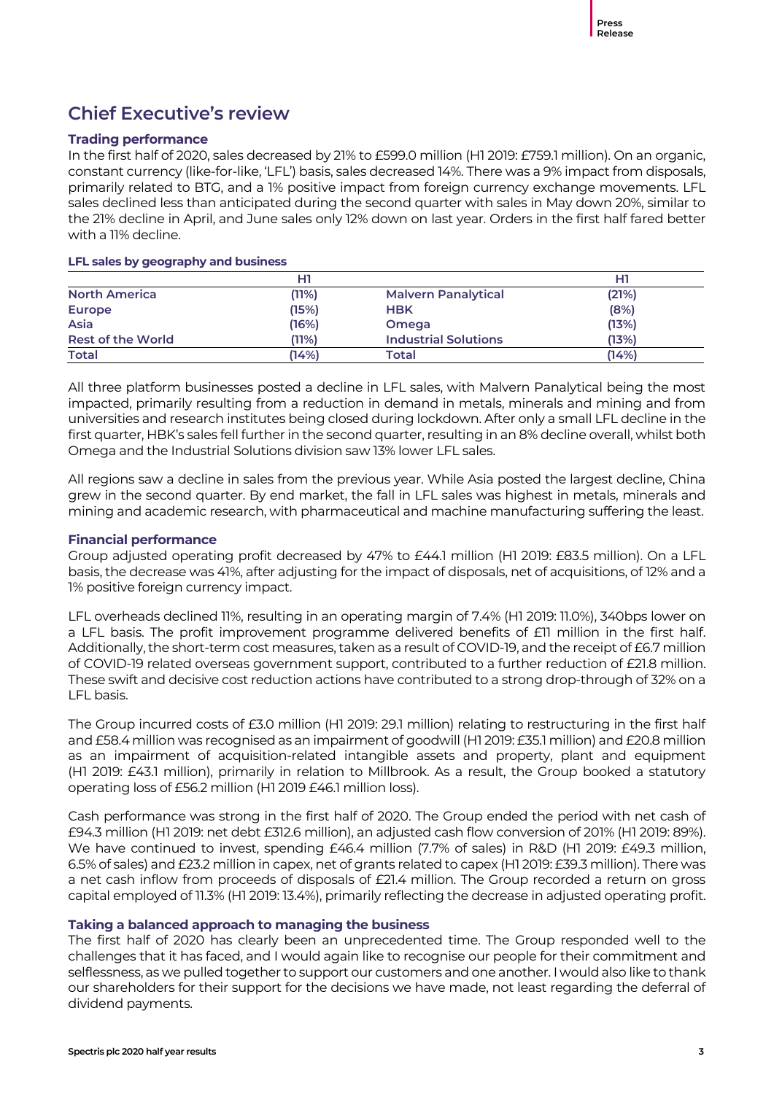## **Chief Executive's review**

#### **Trading performance**

In the first half of 2020, sales decreased by 21% to £599.0 million (H1 2019: £759.1 million). On an organic, constant currency (like-for-like, 'LFL') basis, sales decreased 14%. There was a 9% impact from disposals, primarily related to BTG, and a 1% positive impact from foreign currency exchange movements. LFL sales declined less than anticipated during the second quarter with sales in May down 20%, similar to the 21% decline in April, and June sales only 12% down on last year. Orders in the first half fared better with a 11% decline.

#### **LFL sales by geography and business**

|                          | H1     |                             | нı    |
|--------------------------|--------|-----------------------------|-------|
| <b>North America</b>     | (11%)  | <b>Malvern Panalytical</b>  | (21%) |
| <b>Europe</b>            | (15%)  | <b>HBK</b>                  | (8%)  |
| Asia                     | (16%)  | <b>Omega</b>                | (13%) |
| <b>Rest of the World</b> | (11%)  | <b>Industrial Solutions</b> | (13%) |
| <b>Total</b>             | $14\%$ | <b>Total</b>                | (14%) |

All three platform businesses posted a decline in LFL sales, with Malvern Panalytical being the most impacted, primarily resulting from a reduction in demand in metals, minerals and mining and from universities and research institutes being closed during lockdown. After only a small LFL decline in the first quarter, HBK's sales fell further in the second quarter, resulting in an 8% decline overall, whilst both Omega and the Industrial Solutions division saw 13% lower LFL sales.

All regions saw a decline in sales from the previous year. While Asia posted the largest decline, China grew in the second quarter. By end market, the fall in LFL sales was highest in metals, minerals and mining and academic research, with pharmaceutical and machine manufacturing suffering the least.

#### **Financial performance**

Group adjusted operating profit decreased by 47% to £44.1 million (H1 2019: £83.5 million). On a LFL basis, the decrease was 41%, after adjusting for the impact of disposals, net of acquisitions, of 12% and a 1% positive foreign currency impact.

LFL overheads declined 11%, resulting in an operating margin of 7.4% (H1 2019: 11.0%), 340bps lower on a LFL basis. The profit improvement programme delivered benefits of £11 million in the first half. Additionally, the short-term cost measures, taken as a result of COVID-19, and the receipt of £6.7 million of COVID-19 related overseas government support, contributed to a further reduction of £21.8 million. These swift and decisive cost reduction actions have contributed to a strong drop-through of 32% on a LFL basis.

The Group incurred costs of £3.0 million (H1 2019: 29.1 million) relating to restructuring in the first half and £58.4 million was recognised as an impairment of goodwill (H1 2019: £35.1 million) and £20.8 million as an impairment of acquisition-related intangible assets and property, plant and equipment (H1 2019: £43.1 million), primarily in relation to Millbrook. As a result, the Group booked a statutory operating loss of £56.2 million (H1 2019 £46.1 million loss).

Cash performance was strong in the first half of 2020. The Group ended the period with net cash of £94.3 million (H1 2019: net debt £312.6 million), an adjusted cash flow conversion of 201% (H1 2019: 89%). We have continued to invest, spending £46.4 million (7.7% of sales) in R&D (H1 2019: £49.3 million, 6.5% of sales) and £23.2 million in capex, net of grants related to capex (H1 2019: £39.3 million). There was a net cash inflow from proceeds of disposals of £21.4 million. The Group recorded a return on gross capital employed of 11.3% (H1 2019: 13.4%), primarily reflecting the decrease in adjusted operating profit.

#### **Taking a balanced approach to managing the business**

The first half of 2020 has clearly been an unprecedented time. The Group responded well to the challenges that it has faced, and I would again like to recognise our people for their commitment and selflessness, as we pulled together to support our customers and one another. I would also like to thank our shareholders for their support for the decisions we have made, not least regarding the deferral of dividend payments.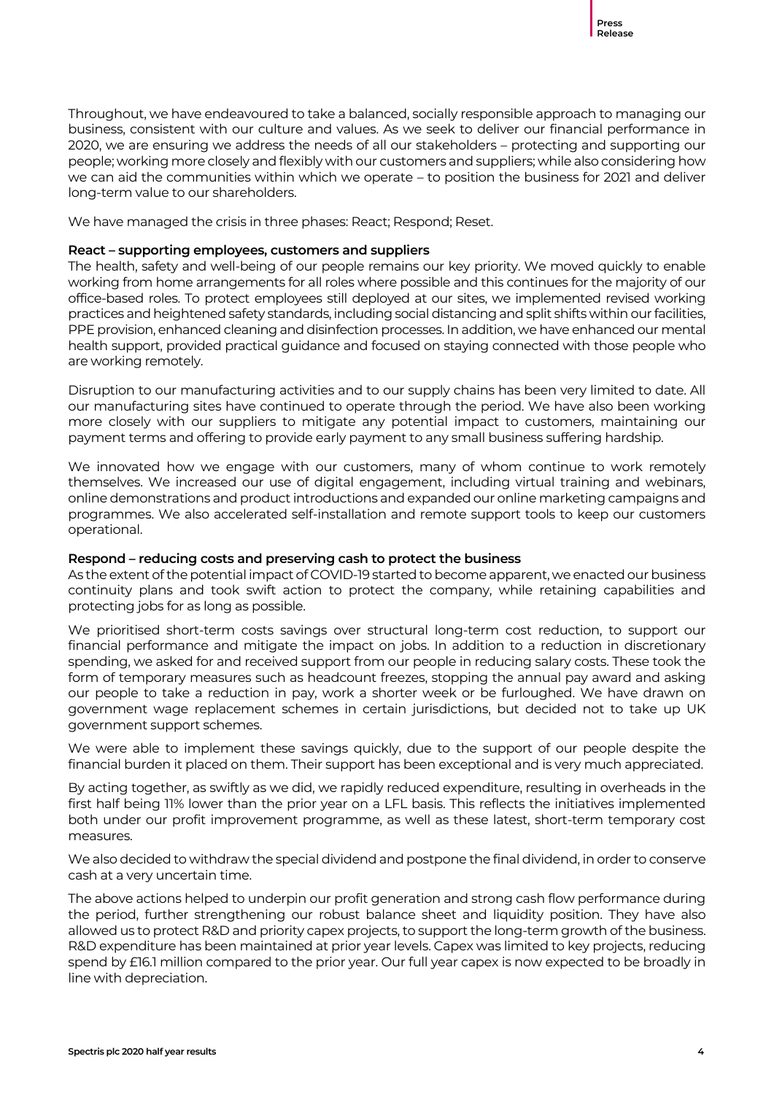Throughout, we have endeavoured to take a balanced, socially responsible approach to managing our business, consistent with our culture and values. As we seek to deliver our financial performance in 2020, we are ensuring we address the needs of all our stakeholders – protecting and supporting our people; working more closely and flexibly with our customers and suppliers; while also considering how we can aid the communities within which we operate – to position the business for 2021 and deliver long-term value to our shareholders.

We have managed the crisis in three phases: React; Respond; Reset.

#### **React – supporting employees, customers and suppliers**

The health, safety and well-being of our people remains our key priority. We moved quickly to enable working from home arrangements for all roles where possible and this continues for the majority of our office-based roles. To protect employees still deployed at our sites, we implemented revised working practices and heightened safety standards, including social distancing and split shifts within our facilities, PPE provision, enhanced cleaning and disinfection processes. In addition, we have enhanced our mental health support, provided practical guidance and focused on staying connected with those people who are working remotely.

Disruption to our manufacturing activities and to our supply chains has been very limited to date. All our manufacturing sites have continued to operate through the period. We have also been working more closely with our suppliers to mitigate any potential impact to customers, maintaining our payment terms and offering to provide early payment to any small business suffering hardship.

We innovated how we engage with our customers, many of whom continue to work remotely themselves. We increased our use of digital engagement, including virtual training and webinars, online demonstrations and product introductions and expanded our online marketing campaigns and programmes. We also accelerated self-installation and remote support tools to keep our customers operational.

#### **Respond – reducing costs and preserving cash to protect the business**

As the extent of the potential impact of COVID-19 started to become apparent, we enacted our business continuity plans and took swift action to protect the company, while retaining capabilities and protecting jobs for as long as possible.

We prioritised short-term costs savings over structural long-term cost reduction, to support our financial performance and mitigate the impact on jobs. In addition to a reduction in discretionary spending, we asked for and received support from our people in reducing salary costs. These took the form of temporary measures such as headcount freezes, stopping the annual pay award and asking our people to take a reduction in pay, work a shorter week or be furloughed. We have drawn on government wage replacement schemes in certain jurisdictions, but decided not to take up UK government support schemes.

We were able to implement these savings quickly, due to the support of our people despite the financial burden it placed on them. Their support has been exceptional and is very much appreciated.

By acting together, as swiftly as we did, we rapidly reduced expenditure, resulting in overheads in the first half being 11% lower than the prior year on a LFL basis. This reflects the initiatives implemented both under our profit improvement programme, as well as these latest, short-term temporary cost measures.

We also decided to withdraw the special dividend and postpone the final dividend, in order to conserve cash at a very uncertain time.

The above actions helped to underpin our profit generation and strong cash flow performance during the period, further strengthening our robust balance sheet and liquidity position. They have also allowed us to protect R&D and priority capex projects, to support the long-term growth of the business. R&D expenditure has been maintained at prior year levels. Capex was limited to key projects, reducing spend by £16.1 million compared to the prior year. Our full year capex is now expected to be broadly in line with depreciation.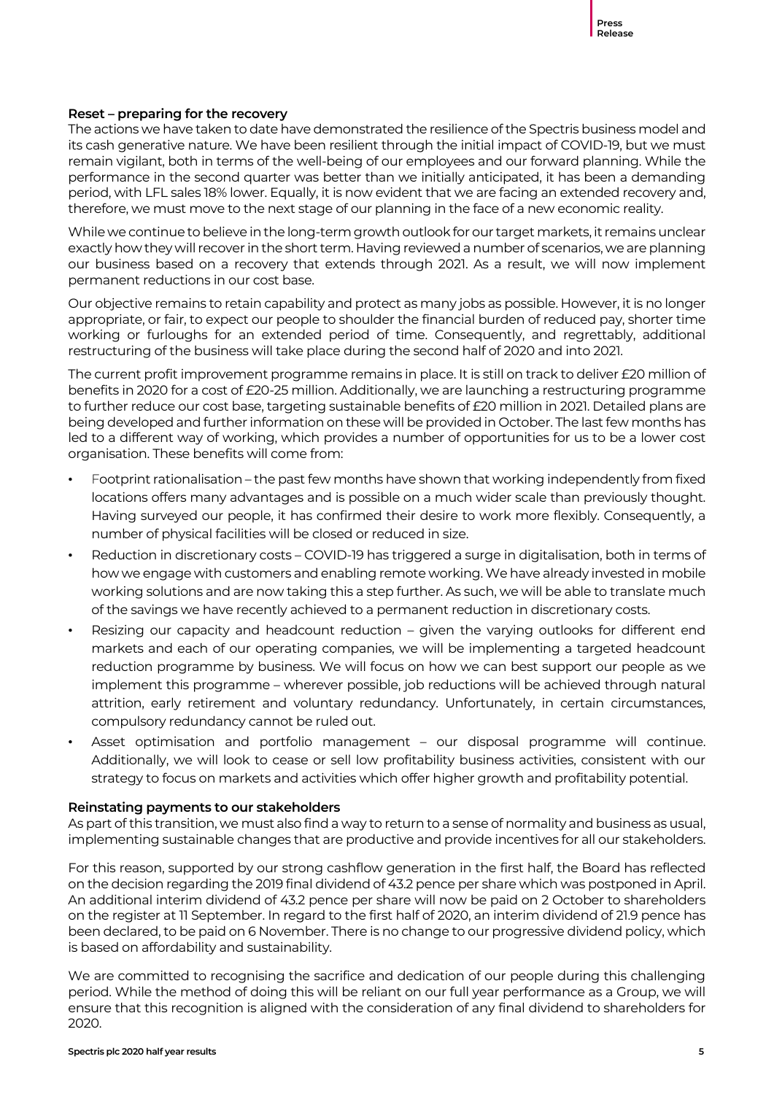#### **Reset – preparing for the recovery**

The actions we have taken to date have demonstrated the resilience of the Spectris business model and its cash generative nature. We have been resilient through the initial impact of COVID-19, but we must remain vigilant, both in terms of the well-being of our employees and our forward planning. While the performance in the second quarter was better than we initially anticipated, it has been a demanding period, with LFL sales 18% lower. Equally, it is now evident that we are facing an extended recovery and, therefore, we must move to the next stage of our planning in the face of a new economic reality.

While we continue tobelieve in the long-term growth outlook for our target markets, it remains unclear exactly how they will recover inthe short term. Having reviewed a number of scenarios, we are planning our business based on a recovery that extends through 2021. As a result, we will now implement permanent reductions in our cost base.

Our objective remains to retain capability and protect as many jobs as possible. However, it is no longer appropriate, or fair, to expect our people to shoulder the financial burden of reduced pay, shorter time working or furloughs for an extended period of time. Consequently, and regrettably, additional restructuring of the business will take place during the second half of 2020 and into 2021.

The current profit improvement programme remains in place. It is still on track to deliver £20 million of benefits in 2020 for a cost of £20-25 million. Additionally, we are launching a restructuring programme to further reduce our cost base, targeting sustainable benefits of £20 million in 2021. Detailed plans are being developed and further information on these will be provided in October. The last few months has led to a different way of working, which provides a number of opportunities for us to be a lower cost organisation. These benefits will come from:

- Footprint rationalisation the past few months have shown that working independently from fixed locations offers many advantages and is possible on a much wider scale than previously thought. Having surveyed our people, it has confirmed their desire to work more flexibly. Consequently, a number of physical facilities will be closed or reduced in size.
- Reduction in discretionary costs COVID-19 has triggered a surge in digitalisation, both in terms of how we engage with customers and enabling remote working. We have already invested in mobile working solutions and are now taking this a step further. As such, we will be able to translate much of the savings we have recently achieved to a permanent reduction in discretionary costs.
- Resizing our capacity and headcount reduction given the varying outlooks for different end markets and each of our operating companies, we will be implementing a targeted headcount reduction programme by business. We will focus on how we can best support our people as we implement this programme – wherever possible, job reductions will be achieved through natural attrition, early retirement and voluntary redundancy. Unfortunately, in certain circumstances, compulsory redundancy cannot be ruled out.
- Asset optimisation and portfolio management our disposal programme will continue. Additionally, we will look to cease or sell low profitability business activities, consistent with our strategy to focus on markets and activities which offer higher growth and profitability potential.

#### **Reinstating payments to our stakeholders**

As part of this transition, we must also find a way to return to a sense of normality and business as usual, implementing sustainable changes that are productive and provide incentives for all our stakeholders.

For this reason, supported by our strong cashflow generation in the first half, the Board has reflected on the decision regarding the 2019 final dividend of 43.2 pence per share which was postponed in April. An additional interim dividend of 43.2 pence per share will now be paid on 2 October to shareholders on the register at 11 September. In regard to the first half of 2020, an interim dividend of 21.9 pence has been declared, to be paid on 6 November. There is no change to our progressive dividend policy, which is based on affordability and sustainability.

We are committed to recognising the sacrifice and dedication of our people during this challenging period. While the method of doing this will be reliant on our full year performance as a Group, we will ensure that this recognition is aligned with the consideration of any final dividend to shareholders for 2020.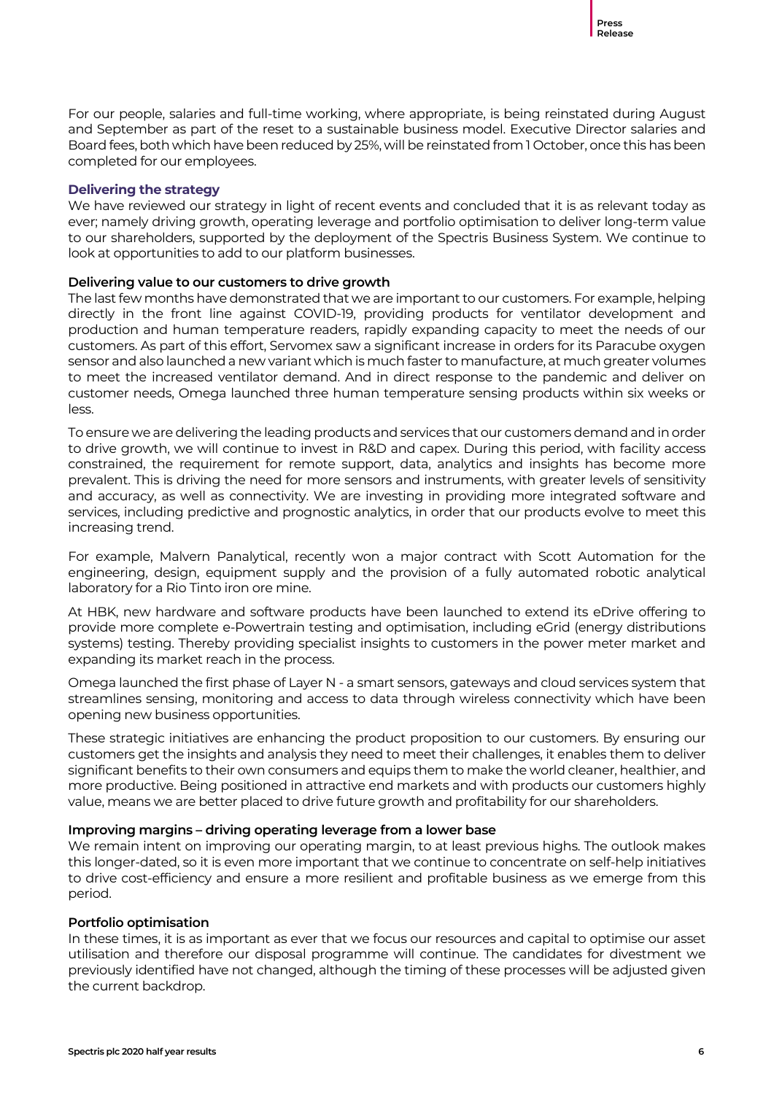For our people, salaries and full-time working, where appropriate, is being reinstated during August and September as part of the reset to a sustainable business model. Executive Director salaries and Board fees, both which have been reduced by 25%, will be reinstated from 1 October, once this has been completed for our employees.

#### **Delivering the strategy**

We have reviewed our strategy in light of recent events and concluded that it is as relevant today as ever; namely driving growth, operating leverage and portfolio optimisation to deliver long-term value to our shareholders, supported by the deployment of the Spectris Business System. We continue to look at opportunities to add to our platform businesses.

#### **Delivering value to our customers to drive growth**

The last few months have demonstrated that we are important to our customers. For example, helping directly in the front line against COVID-19, providing products for ventilator development and production and human temperature readers, rapidly expanding capacity to meet the needs of our customers. As part of this effort, Servomex saw a significant increase in orders for its Paracube oxygen sensor and also launched a new variant which is much faster to manufacture, at much greater volumes to meet the increased ventilator demand. And in direct response to the pandemic and deliver on customer needs, Omega launched three human temperature sensing products within six weeks or less.

To ensure we are delivering the leading products and services that our customers demand and in order to drive growth, we will continue to invest in R&D and capex. During this period, with facility access constrained, the requirement for remote support, data, analytics and insights has become more prevalent. This is driving the need for more sensors and instruments, with greater levels of sensitivity and accuracy, as well as connectivity. We are investing in providing more integrated software and services, including predictive and prognostic analytics, in order that our products evolve to meet this increasing trend.

For example, Malvern Panalytical, recently won a major contract with Scott Automation for the engineering, design, equipment supply and the provision of a fully automated robotic analytical laboratory for a Rio Tinto iron ore mine.

At HBK, new hardware and software products have been launched to extend its eDrive offering to provide more complete e-Powertrain testing and optimisation, including eGrid (energy distributions systems) testing. Thereby providing specialist insights to customers in the power meter market and expanding its market reach in the process.

Omega launched the first phase of Layer N - a smart sensors, gateways and cloud services system that streamlines sensing, monitoring and access to data through wireless connectivity which have been opening new business opportunities.

These strategic initiatives are enhancing the product proposition to our customers. By ensuring our customers get the insights and analysis they need to meet their challenges, it enables them to deliver significant benefits to their own consumers and equips them to make the world cleaner, healthier, and more productive. Being positioned in attractive end markets and with products our customers highly value, means we are better placed to drive future growth and profitability for our shareholders.

#### **Improving margins – driving operating leverage from a lower base**

We remain intent on improving our operating margin, to at least previous highs. The outlook makes this longer-dated, so it is even more important that we continue to concentrate on self-help initiatives to drive cost-efficiency and ensure a more resilient and profitable business as we emerge from this period.

#### **Portfolio optimisation**

In these times, it is as important as ever that we focus our resources and capital to optimise our asset utilisation and therefore our disposal programme will continue. The candidates for divestment we previously identified have not changed, although the timing of these processes will be adjusted given the current backdrop.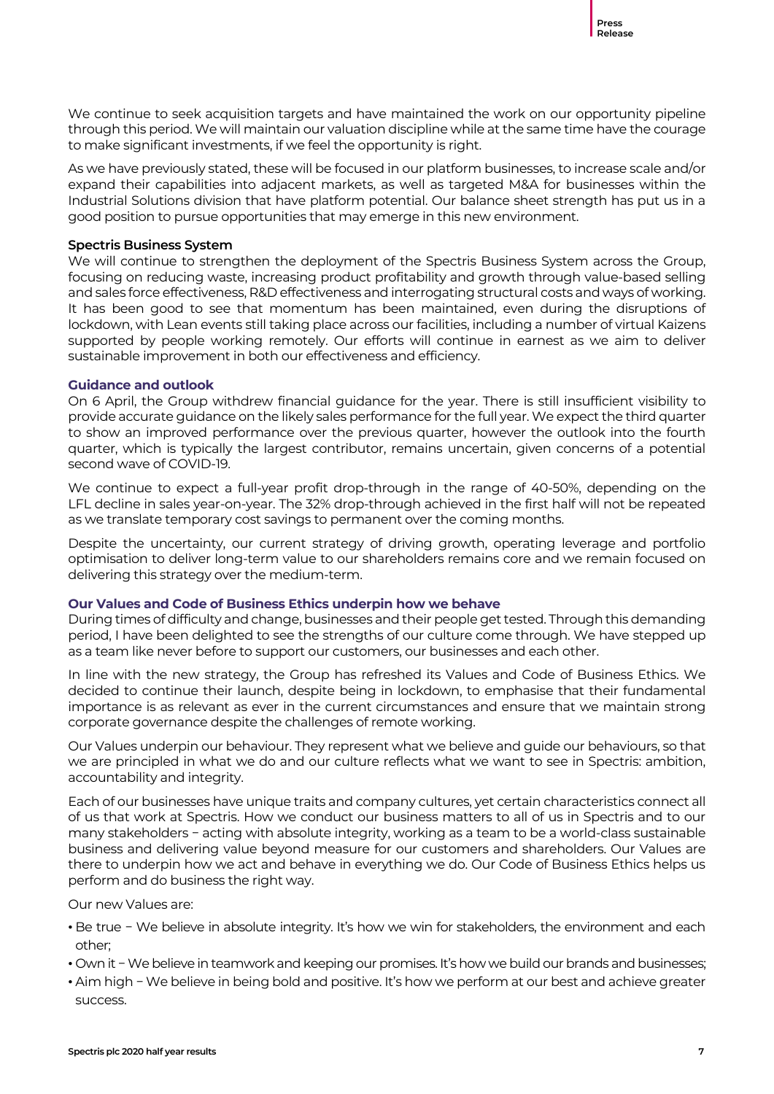We continue to seek acquisition targets and have maintained the work on our opportunity pipeline through this period. We will maintain our valuation discipline while at the same time have the courage to make significant investments, if we feel the opportunity is right.

As we have previously stated, these will be focused in our platform businesses, to increase scale and/or expand their capabilities into adjacent markets, as well as targeted M&A for businesses within the Industrial Solutions division that have platform potential. Our balance sheet strength has put us in a good position to pursue opportunities that may emerge in this new environment.

#### **Spectris Business System**

We will continue to strengthen the deployment of the Spectris Business System across the Group, focusing on reducing waste, increasing product profitability and growth through value-based selling and sales force effectiveness, R&D effectiveness and interrogating structural costs and ways of working. It has been good to see that momentum has been maintained, even during the disruptions of lockdown, with Lean events still taking place across our facilities, including a number of virtual Kaizens supported by people working remotely. Our efforts will continue in earnest as we aim to deliver sustainable improvement in both our effectiveness and efficiency.

#### **Guidance and outlook**

On 6 April, the Group withdrew financial guidance for the year. There is still insufficient visibility to provide accurate guidance on the likely sales performance for the full year. We expect the third quarter to show an improved performance over the previous quarter, however the outlook into the fourth quarter, which is typically the largest contributor, remains uncertain, given concerns of a potential second wave of COVID-19.

We continue to expect a full-year profit drop-through in the range of 40-50%, depending on the LFL decline in sales year-on-year. The 32% drop-through achieved in the first half will not be repeated as we translate temporary cost savings to permanent over the coming months.

Despite the uncertainty, our current strategy of driving growth, operating leverage and portfolio optimisation to deliver long-term value to our shareholders remains core and we remain focused on delivering this strategy over the medium-term.

#### **Our Values and Code of Business Ethics underpin how we behave**

During times of difficulty and change, businesses and their people get tested. Through this demanding period, I have been delighted to see the strengths of our culture come through. We have stepped up as a team like never before to support our customers, our businesses and each other.

In line with the new strategy, the Group has refreshed its Values and Code of Business Ethics. We decided to continue their launch, despite being in lockdown, to emphasise that their fundamental importance is as relevant as ever in the current circumstances and ensure that we maintain strong corporate governance despite the challenges of remote working.

Our Values underpin our behaviour. They represent what we believe and guide our behaviours, so that we are principled in what we do and our culture reflects what we want to see in Spectris: ambition, accountability and integrity.

Each of our businesses have unique traits and company cultures, yet certain characteristics connect all of us that work at Spectris. How we conduct our business matters to all of us in Spectris and to our many stakeholders − acting with absolute integrity, working as a team to be a world-class sustainable business and delivering value beyond measure for our customers and shareholders. Our Values are there to underpin how we act and behave in everything we do. Our Code of Business Ethics helps us perform and do business the right way.

Our new Values are:

- Be true − We believe in absolute integrity. It's how we win for stakeholders, the environment and each other;
- Own it − We believe in teamwork and keeping our promises. It's how we build our brands and businesses;
- Aim high −We believe in being bold and positive. It's how we perform at our best and achieve greater success.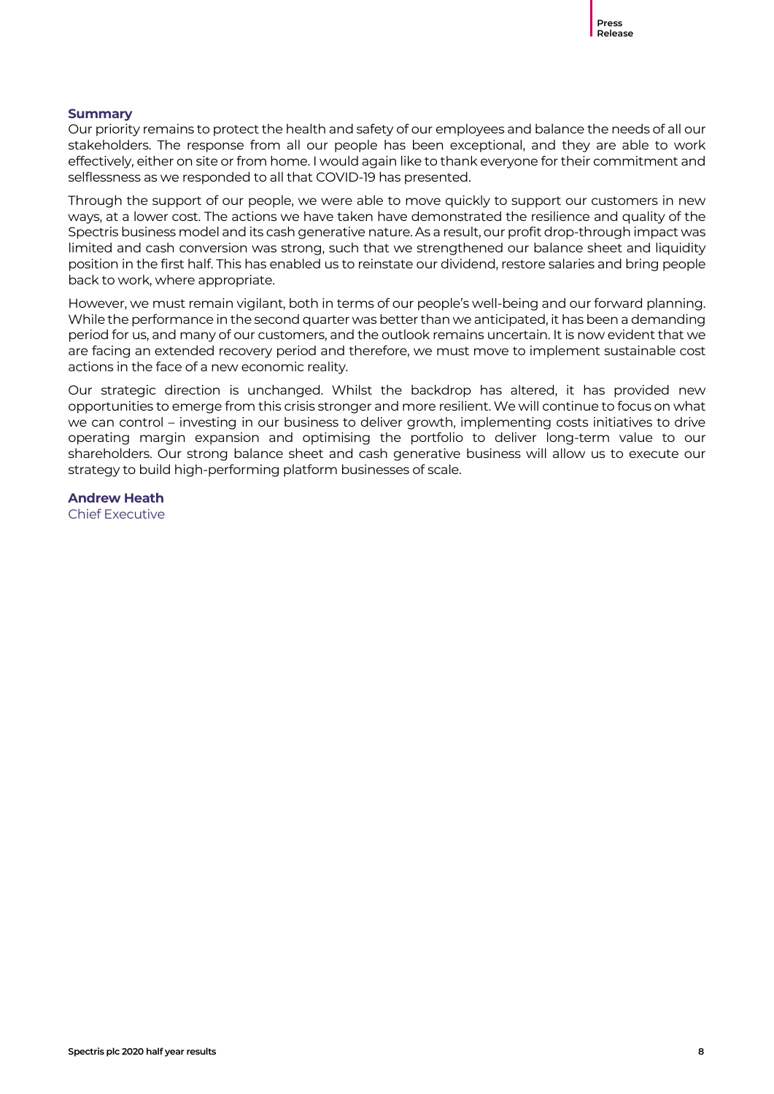#### **Summary**

Our priority remains to protect the health and safety of our employees and balance the needs of all our stakeholders. The response from all our people has been exceptional, and they are able to work effectively, either on site or from home. I would again like to thank everyone for their commitment and selflessness as we responded to all that COVID-19 has presented.

Through the support of our people, we were able to move quickly to support our customers in new ways, at a lower cost. The actions we have taken have demonstrated the resilience and quality of the Spectris business model and its cash generative nature. As a result, our profit drop-through impact was limited and cash conversion was strong, such that we strengthened our balance sheet and liquidity position in the first half. This has enabled us to reinstate our dividend, restore salaries and bring people back to work, where appropriate.

However, we must remain vigilant, both in terms of our people's well-being and our forward planning. While the performance in the second quarter was better than we anticipated, it has been a demanding period for us, and many of our customers, and the outlook remains uncertain. It is now evident that we are facing an extended recovery period and therefore, we must move to implement sustainable cost actions in the face of a new economic reality.

Our strategic direction is unchanged. Whilst the backdrop has altered, it has provided new opportunities to emerge from this crisis stronger and more resilient. We will continue to focus on what we can control – investing in our business to deliver growth, implementing costs initiatives to drive operating margin expansion and optimising the portfolio to deliver long-term value to our shareholders. Our strong balance sheet and cash generative business will allow us to execute our strategy to build high-performing platform businesses of scale.

**Andrew Heath** Chief Executive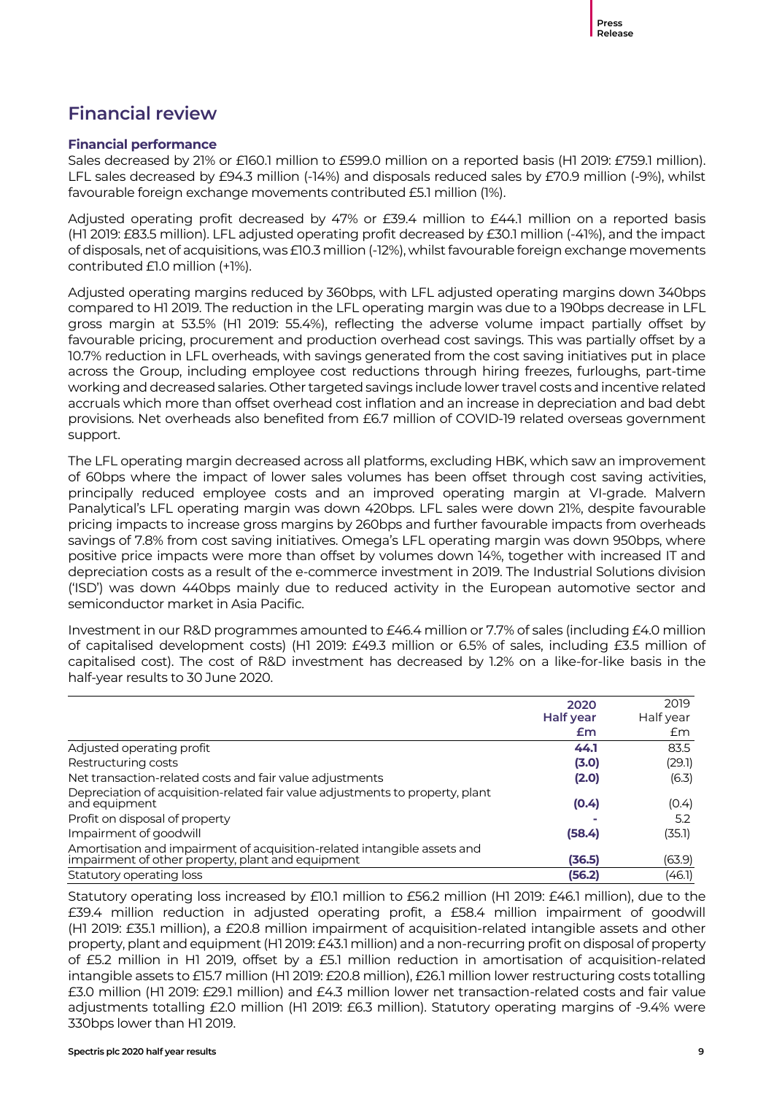## **Financial review**

#### **Financial performance**

Sales decreased by 21% or £160.1 million to £599.0 million on a reported basis (H1 2019: £759.1 million). LFL sales decreased by £94.3 million (-14%) and disposals reduced sales by £70.9 million (-9%), whilst favourable foreign exchange movements contributed £5.1 million (1%).

Adjusted operating profit decreased by 47% or £39.4 million to £44.1 million on a reported basis (H1 2019: £83.5 million). LFL adjusted operating profit decreased by £30.1 million (-41%), and the impact of disposals, net of acquisitions, was £10.3million (-12%), whilst favourable foreign exchange movements contributed £1.0 million (+1%).

Adjusted operating margins reduced by 360bps, with LFL adjusted operating margins down 340bps compared to H1 2019. The reduction in the LFL operating margin was due to a 190bps decrease in LFL gross margin at 53.5% (H1 2019: 55.4%), reflecting the adverse volume impact partially offset by favourable pricing, procurement and production overhead cost savings. This was partially offset by a 10.7% reduction in LFL overheads, with savings generated from the cost saving initiatives put in place across the Group, including employee cost reductions through hiring freezes, furloughs, part-time working and decreased salaries. Other targeted savings include lower travel costs and incentive related accruals which more than offset overhead cost inflation and an increase in depreciation and bad debt provisions. Net overheads also benefited from £6.7 million of COVID-19 related overseas government support.

The LFL operating margin decreased across all platforms, excluding HBK, which saw an improvement of 60bps where the impact of lower sales volumes has been offset through cost saving activities, principally reduced employee costs and an improved operating margin at VI-grade. Malvern Panalytical's LFL operating margin was down 420bps. LFL sales were down 21%, despite favourable pricing impacts to increase gross margins by 260bps and further favourable impacts from overheads savings of 7.8% from cost saving initiatives. Omega's LFL operating margin was down 950bps, where positive price impacts were more than offset by volumes down 14%, together with increased IT and depreciation costs as a result of the e-commerce investment in 2019. The Industrial Solutions division ('ISD') was down 440bps mainly due to reduced activity in the European automotive sector and semiconductor market in Asia Pacific.

Investment in our R&D programmes amounted to £46.4 million or 7.7% of sales (including £4.0 million of capitalised development costs) (H1 2019: £49.3 million or 6.5% of sales, including £3.5 million of capitalised cost). The cost of R&D investment has decreased by 1.2% on a like-for-like basis in the half-year results to 30 June 2020.

|                                                                                                                               | 2020             | 2019      |
|-------------------------------------------------------------------------------------------------------------------------------|------------------|-----------|
|                                                                                                                               | <b>Half year</b> | Half year |
|                                                                                                                               | £m               | £m        |
| Adjusted operating profit                                                                                                     | 44.1             | 83.5      |
| Restructuring costs                                                                                                           | (3.0)            | (29.1)    |
| Net transaction-related costs and fair value adjustments                                                                      | (2.0)            | (6.3)     |
| Depreciation of acquisition-related fair value adjustments to property, plant<br>and equipment                                | (0.4)            | (0.4)     |
| Profit on disposal of property                                                                                                |                  | 5.2       |
| Impairment of goodwill                                                                                                        | (58.4)           | (35.1)    |
| Amortisation and impairment of acquisition-related intangible assets and<br>impairment of other property, plant and equipment | (36.5)           | (63.9)    |
| Statutory operating loss                                                                                                      | (56.2)           | (46.1)    |

Statutory operating loss increased by £10.1 million to £56.2 million (H1 2019: £46.1 million), due to the £39.4 million reduction in adjusted operating profit, a £58.4 million impairment of goodwill (H1 2019: £35.1 million), a £20.8 million impairment of acquisition-related intangible assets and other property, plant and equipment (H1 2019: £43.1 million) and a non-recurring profit on disposal of property of £5.2 million in H1 2019, offset by a £5.1 million reduction in amortisation of acquisition-related intangible assets to £15.7 million (H1 2019: £20.8 million), £26.1 million lower restructuring costs totalling £3.0 million (H1 2019: £29.1 million) and £4.3 million lower net transaction-related costs and fair value adjustments totalling £2.0 million (H1 2019: £6.3 million). Statutory operating margins of -9.4% were 330bps lower than H1 2019.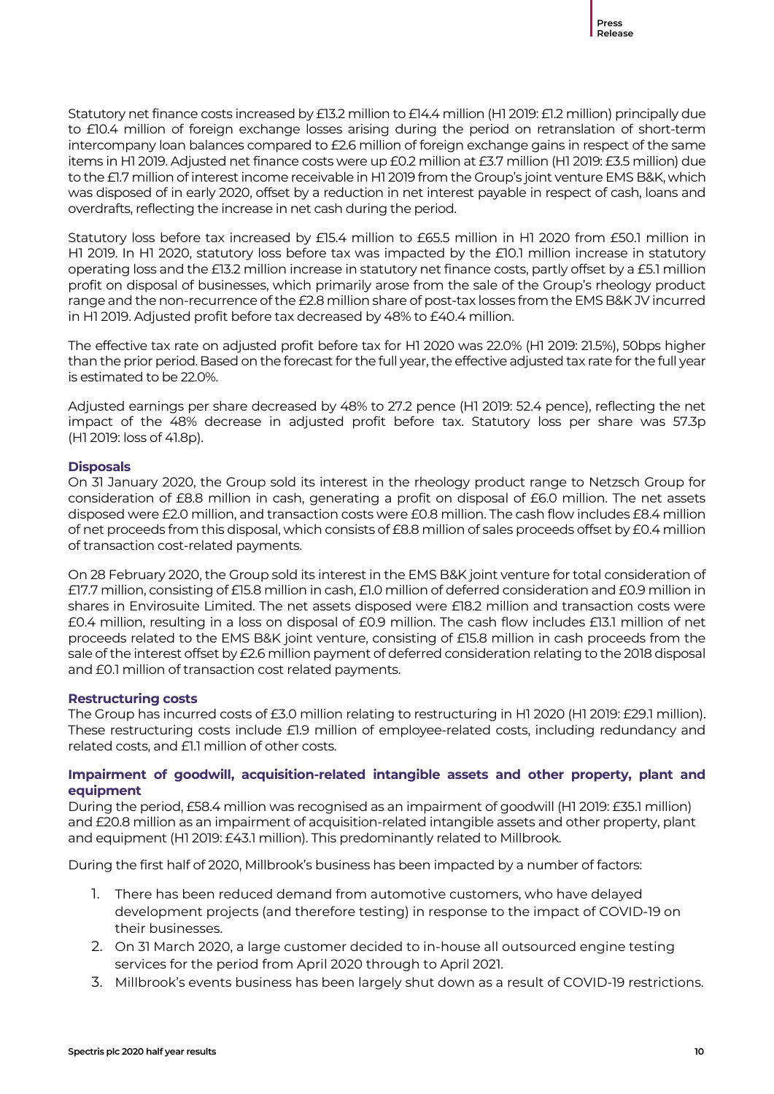Statutory net finance costs increased by £13.2 million to £14.4 million (H1 2019: £1.2 million) principally due to £10.4 million of foreign exchange losses arising during the period on retranslation of short-term intercompany loan balances compared to £2.6 million of foreign exchange gains in respect of the same items in H1 2019. Adjusted net finance costs were up £0.2 million at £3.7 million (H1 2019: £3.5 million) due to the £1.7 million of interest income receivable in H1 2019 from the Group's joint venture EMS B&K, which was disposed of in early 2020, offset by a reduction in net interest payable in respect of cash, loans and overdrafts, reflecting the increase in net cash during the period.

Statutory loss before tax increased by £15.4 million to £65.5 million in H1 2020 from £50.1 million in H1 2019. In H1 2020, statutory loss before tax was impacted by the £10.1 million increase in statutory operating loss and the £13.2 million increase in statutory net finance costs, partly offset by a £5.1 million profit on disposal of businesses, which primarily arose from the sale of the Group's rheology product range and the non-recurrence of the £2.8 million share of post-tax losses from the EMS B&K JV incurred in H1 2019. Adjusted profit before tax decreased by 48% to £40.4 million.

The effective tax rate on adjusted profit before tax for H1 2020 was 22.0% (H1 2019: 21.5%), 50bps higher than the prior period.Based on the forecast for the full year, the effective adjusted tax rate for the full year is estimated to be 22.0%.

Adjusted earnings per share decreased by 48% to 27.2 pence (H1 2019: 52.4 pence), reflecting the net impact of the 48% decrease in adjusted profit before tax. Statutory loss per share was 57.3p (H1 2019: loss of 41.8p).

#### **Disposals**

On 31 January 2020, the Group sold its interest in the rheology product range to Netzsch Group for consideration of £8.8 million in cash, generating a profit on disposal of £6.0 million. The net assets disposed were £2.0 million, and transaction costs were £0.8 million. The cash flow includes £8.4 million of net proceeds from this disposal, which consists of £8.8 million of sales proceeds offset by £0.4 million of transaction cost-related payments.

On 28 February 2020, the Group sold its interest in the EMS B&K joint venture for total consideration of £17.7 million, consisting of £15.8 million in cash, £1.0 million of deferred consideration and £0.9 million in shares in Envirosuite Limited. The net assets disposed were £18.2 million and transaction costs were £0.4 million, resulting in a loss on disposal of £0.9 million. The cash flow includes £13.1 million of net proceeds related to the EMS B&K joint venture, consisting of £15.8 million in cash proceeds from the sale of the interest offset by £2.6 million payment of deferred consideration relating to the 2018 disposal and £0.1 million of transaction cost related payments.

#### **Restructuring costs**

The Group has incurred costs of £3.0 million relating to restructuring in H1 2020 (H1 2019: £29.1 million). These restructuring costs include £1.9 million of employee-related costs, including redundancy and related costs, and £1.1 million of other costs.

#### **Impairment of goodwill, acquisition-related intangible assets and other property, plant and equipment**

During the period, £58.4 million was recognised as an impairment of goodwill (H1 2019: £35.1 million) and £20.8 million as an impairment of acquisition-related intangible assets and other property, plant and equipment (H1 2019: £43.1 million). This predominantly related to Millbrook.

During the first half of 2020, Millbrook's business has been impacted by a number of factors:

- 1. There has been reduced demand from automotive customers, who have delayed development projects (and therefore testing) in response to the impact of COVID-19 on their businesses.
- 2. On 31 March 2020, a large customer decided to in-house all outsourced engine testing services for the period from April 2020 through to April 2021.
- 3. Millbrook's events business has been largely shut down as a result of COVID-19 restrictions.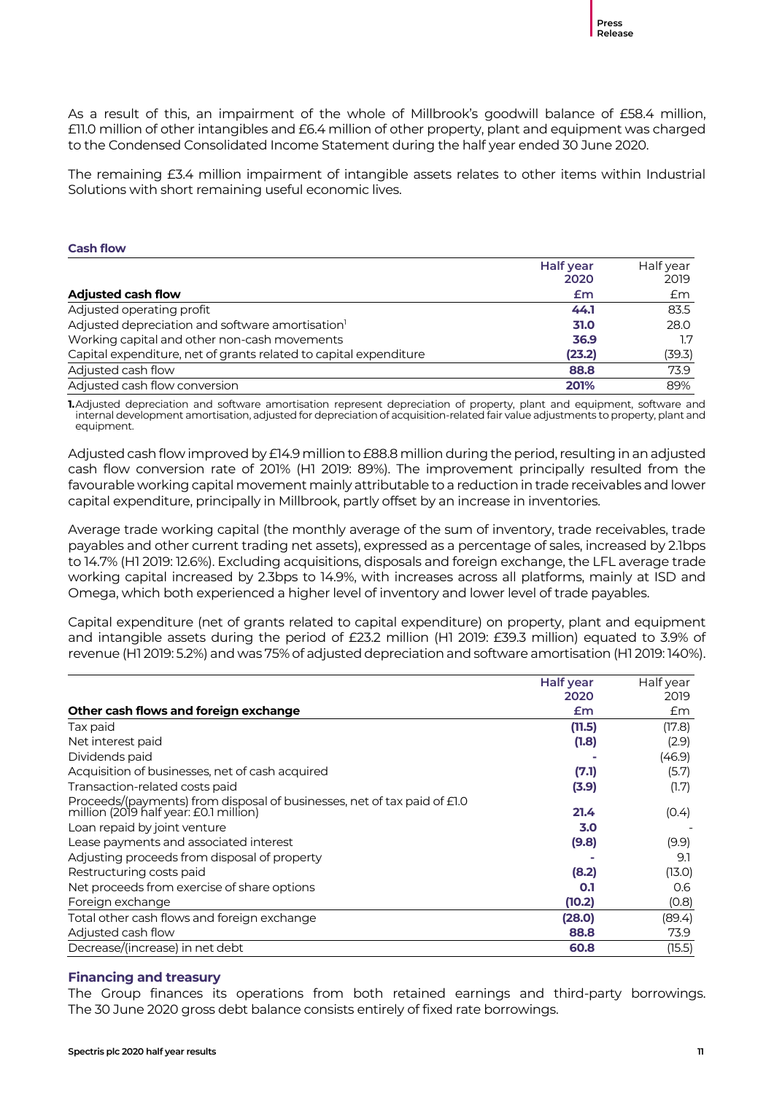As a result of this, an impairment of the whole of Millbrook's goodwill balance of £58.4 million, £11.0 million of other intangibles and £6.4 million of other property, plant and equipment was charged to the Condensed Consolidated Income Statement during the half year ended 30 June 2020.

The remaining £3.4 million impairment of intangible assets relates to other items within Industrial Solutions with short remaining useful economic lives.

#### **Cash flow**

|                                                                   | <b>Half year</b> | Half year |
|-------------------------------------------------------------------|------------------|-----------|
|                                                                   | 2020             | 2019      |
| <b>Adjusted cash flow</b>                                         | £m               | £m        |
| Adjusted operating profit                                         | 44.1             | 83.5      |
| Adjusted depreciation and software amortisation <sup>1</sup>      | 31.0             | 28.0      |
| Working capital and other non-cash movements                      | 36.9             | 1.7       |
| Capital expenditure, net of grants related to capital expenditure | (23.2)           | (39.3)    |
| Adjusted cash flow                                                | 88.8             | 73.9      |
| Adjusted cash flow conversion                                     | 201%             | 89%       |

**1.**Adjusted depreciation and software amortisation represent depreciation of property, plant and equipment, software and internal development amortisation, adjusted for depreciation of acquisition-related fair value adjustments to property, plant and equipment.

Adjusted cash flow improved by £14.9million to £88.8million during the period, resulting in an adjusted cash flow conversion rate of 201% (H1 2019: 89%). The improvement principally resulted from the favourable working capital movement mainly attributable to a reduction in trade receivables and lower capital expenditure, principally in Millbrook, partly offset by an increase in inventories.

Average trade working capital (the monthly average of the sum of inventory, trade receivables, trade payables and other current trading net assets), expressed as a percentage of sales, increased by 2.1bps to 14.7% (H1 2019: 12.6%). Excluding acquisitions, disposals and foreign exchange, the LFL average trade working capital increased by 2.3bps to 14.9%, with increases across all platforms, mainly at ISD and Omega, which both experienced a higher level of inventory and lower level of trade payables.

Capital expenditure (net of grants related to capital expenditure) on property, plant and equipment and intangible assets during the period of £23.2 million (H1 2019: £39.3 million) equated to 3.9% of revenue (H1 2019: 5.2%) and was 75% of adjusted depreciation and software amortisation (H1 2019: 140%).

|                                                                                                                    | <b>Half year</b> | Half year |
|--------------------------------------------------------------------------------------------------------------------|------------------|-----------|
|                                                                                                                    | 2020             | 2019      |
| Other cash flows and foreign exchange                                                                              | Em               | £m        |
| Tax paid                                                                                                           | (11.5)           | (17.8)    |
| Net interest paid                                                                                                  | (1.8)            | (2.9)     |
| Dividends paid                                                                                                     |                  | (46.9)    |
| Acquisition of businesses, net of cash acquired                                                                    | (7.1)            | (5.7)     |
| Transaction-related costs paid                                                                                     | (3.9)            | (1.7)     |
| Proceeds/(payments) from disposal of businesses, net of tax paid of £1.0<br>million (2019 half year: £0.1 million) | 21.4             | (0.4)     |
| Loan repaid by joint venture                                                                                       | 3.0              |           |
| Lease payments and associated interest                                                                             | (9.8)            | (9.9)     |
| Adjusting proceeds from disposal of property                                                                       |                  | 9.1       |
| Restructuring costs paid                                                                                           | (8.2)            | (13.0)    |
| Net proceeds from exercise of share options                                                                        | 0.1              | 0.6       |
| Foreign exchange                                                                                                   | (10.2)           | (0.8)     |
| Total other cash flows and foreign exchange                                                                        | (28.0)           | (89.4)    |
| Adjusted cash flow                                                                                                 | 88.8             | 73.9      |
| Decrease/(increase) in net debt                                                                                    | 60.8             | (15.5)    |

#### **Financing and treasury**

The Group finances its operations from both retained earnings and third-party borrowings. The 30 June 2020 gross debt balance consists entirely of fixed rate borrowings.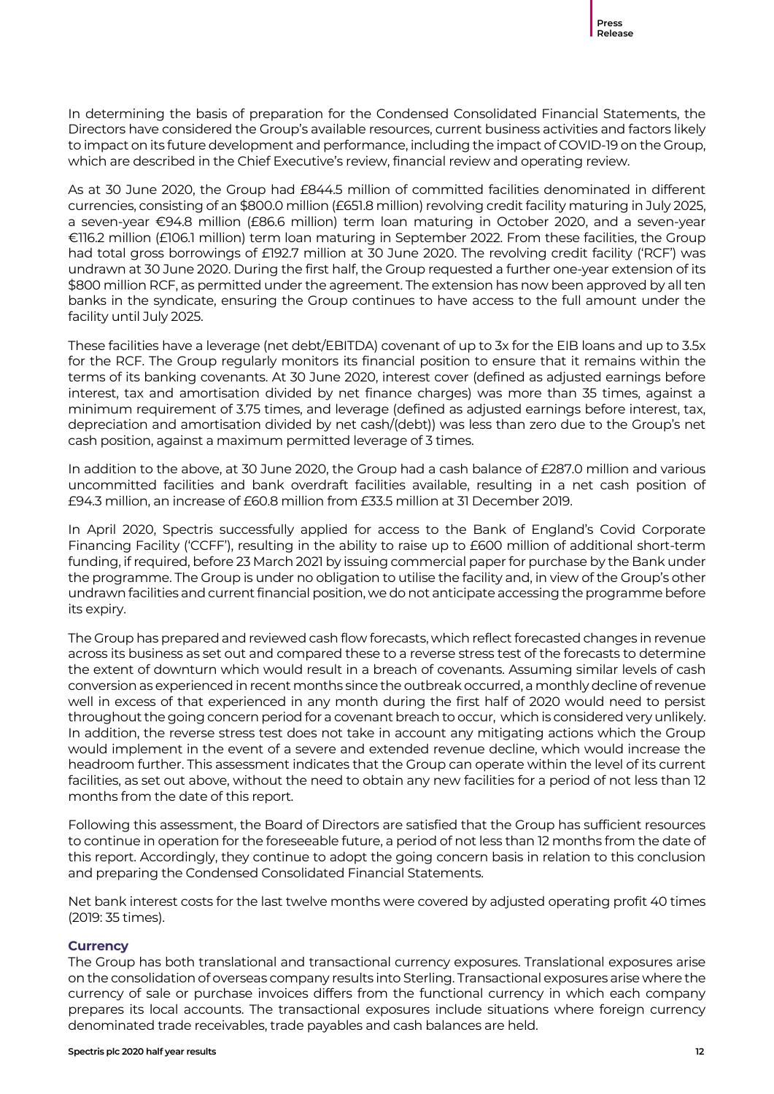In determining the basis of preparation for the Condensed Consolidated Financial Statements, the Directors have considered the Group's available resources, current business activities and factors likely to impact on its future development and performance, including the impact of COVID-19 on the Group, which are described in the Chief Executive's review, financial review and operating review.

As at 30 June 2020, the Group had £844.5 million of committed facilities denominated in different currencies, consisting of an \$800.0 million (£651.8 million) revolving credit facility maturing in July 2025, a seven-year €94.8 million (£86.6 million) term loan maturing in October 2020, and a seven-year €116.2 million (£106.1 million) term loan maturing in September 2022. From these facilities, the Group had total gross borrowings of £192.7 million at 30 June 2020. The revolving credit facility ('RCF') was undrawn at 30 June 2020. During the first half, the Group requested a further one-year extension of its \$800 million RCF, as permitted under the agreement. The extension has now been approved by all ten banks in the syndicate, ensuring the Group continues to have access to the full amount under the facility until July 2025.

These facilities have a leverage (net debt/EBITDA) covenant of up to 3x for the EIB loans and up to 3.5x for the RCF. The Group regularly monitors its financial position to ensure that it remains within the terms of its banking covenants. At 30 June 2020, interest cover (defined as adjusted earnings before interest, tax and amortisation divided by net finance charges) was more than 35 times, against a minimum requirement of 3.75 times, and leverage (defined as adjusted earnings before interest, tax, depreciation and amortisation divided by net cash/(debt)) was less than zero due to the Group's net cash position, against a maximum permitted leverage of 3 times.

In addition to the above, at 30 June 2020, the Group had a cash balance of £287.0 million and various uncommitted facilities and bank overdraft facilities available, resulting in a net cash position of £94.3 million, an increase of £60.8 million from £33.5 million at 31 December 2019.

In April 2020, Spectris successfully applied for access to the Bank of England's Covid Corporate Financing Facility ('CCFF'), resulting in the ability to raise up to £600 million of additional short-term funding, if required, before 23 March 2021 by issuing commercial paper for purchase by the Bank under the programme. The Group is under no obligation to utilise the facility and, in view of the Group's other undrawn facilities and current financial position, we do not anticipate accessing the programme before its expiry.

The Group has prepared and reviewed cash flow forecasts, which reflect forecasted changes in revenue across its business as set out and compared these to a reverse stress test of the forecasts to determine the extent of downturn which would result in a breach of covenants. Assuming similar levels of cash conversion as experienced in recent months since the outbreak occurred, a monthly decline of revenue well in excess of that experienced in any month during the first half of 2020 would need to persist throughout the going concern period for a covenant breach to occur, which is considered very unlikely. In addition, the reverse stress test does not take in account any mitigating actions which the Group would implement in the event of a severe and extended revenue decline, which would increase the headroom further. This assessment indicates that the Group can operate within the level of its current facilities, as set out above, without the need to obtain any new facilities for a period of not less than 12 months from the date of this report.

Following this assessment, the Board of Directors are satisfied that the Group has sufficient resources to continue in operation for the foreseeable future, a period of not less than 12 months from the date of this report. Accordingly, they continue to adopt the going concern basis in relation to this conclusion and preparing the Condensed Consolidated Financial Statements.

Net bank interest costs for the last twelve months were covered by adjusted operating profit 40 times (2019: 35 times).

#### **Currency**

The Group has both translational and transactional currency exposures. Translational exposures arise on the consolidation of overseas company results into Sterling. Transactional exposures arise where the currency of sale or purchase invoices differs from the functional currency in which each company prepares its local accounts. The transactional exposures include situations where foreign currency denominated trade receivables, trade payables and cash balances are held.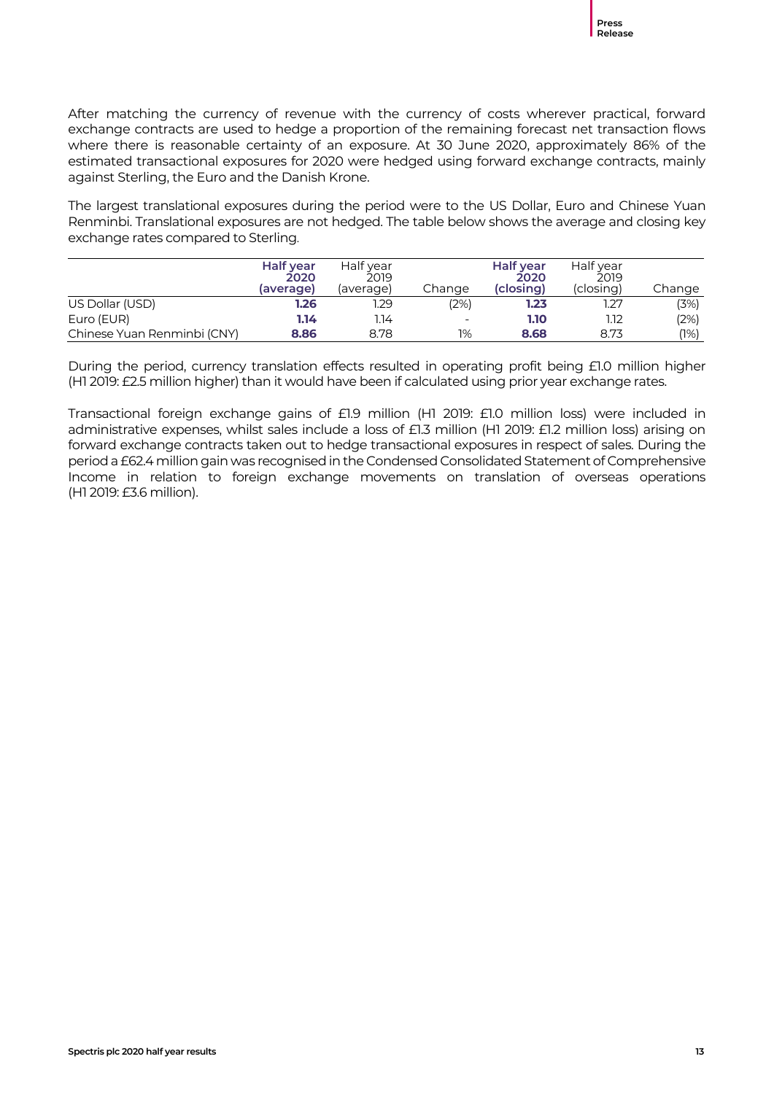After matching the currency of revenue with the currency of costs wherever practical, forward exchange contracts are used to hedge a proportion of the remaining forecast net transaction flows where there is reasonable certainty of an exposure. At 30 June 2020, approximately 86% of the estimated transactional exposures for 2020 were hedged using forward exchange contracts, mainly against Sterling, the Euro and the Danish Krone.

The largest translational exposures during the period were to the US Dollar, Euro and Chinese Yuan Renminbi. Translational exposures are not hedged. The table below shows the average and closing key exchange rates compared to Sterling.

|                             | Half year<br>2020<br>(average) | Half year<br>2019<br>(average) | Change                   | Half year<br>2020<br>(closing) | Half year<br>2019<br>(closing) | Change |
|-----------------------------|--------------------------------|--------------------------------|--------------------------|--------------------------------|--------------------------------|--------|
| US Dollar (USD)             | 1.26                           | 1.29                           | (2%)                     | 1.23                           | 1.27                           | (3%)   |
| Euro (EUR)                  | 1.14                           | 1.14                           | $\overline{\phantom{0}}$ | 1.10                           | 1.12                           | (2%)   |
| Chinese Yuan Renminbi (CNY) | 8.86                           | 8.78                           | 1%                       | 8.68                           | 8.73                           | (1%)   |

During the period, currency translation effects resulted in operating profit being £1.0 million higher (H1 2019: £2.5 million higher) than it would have been if calculated using prior year exchange rates.

Transactional foreign exchange gains of £1.9 million (H1 2019: £1.0 million loss) were included in administrative expenses, whilst sales include a loss of £1.3 million (H1 2019: £1.2 million loss) arising on forward exchange contracts taken out to hedge transactional exposures in respect of sales. During the period a £62.4 million gain was recognised in the Condensed Consolidated Statement of Comprehensive Income in relation to foreign exchange movements on translation of overseas operations (H1 2019: £3.6 million).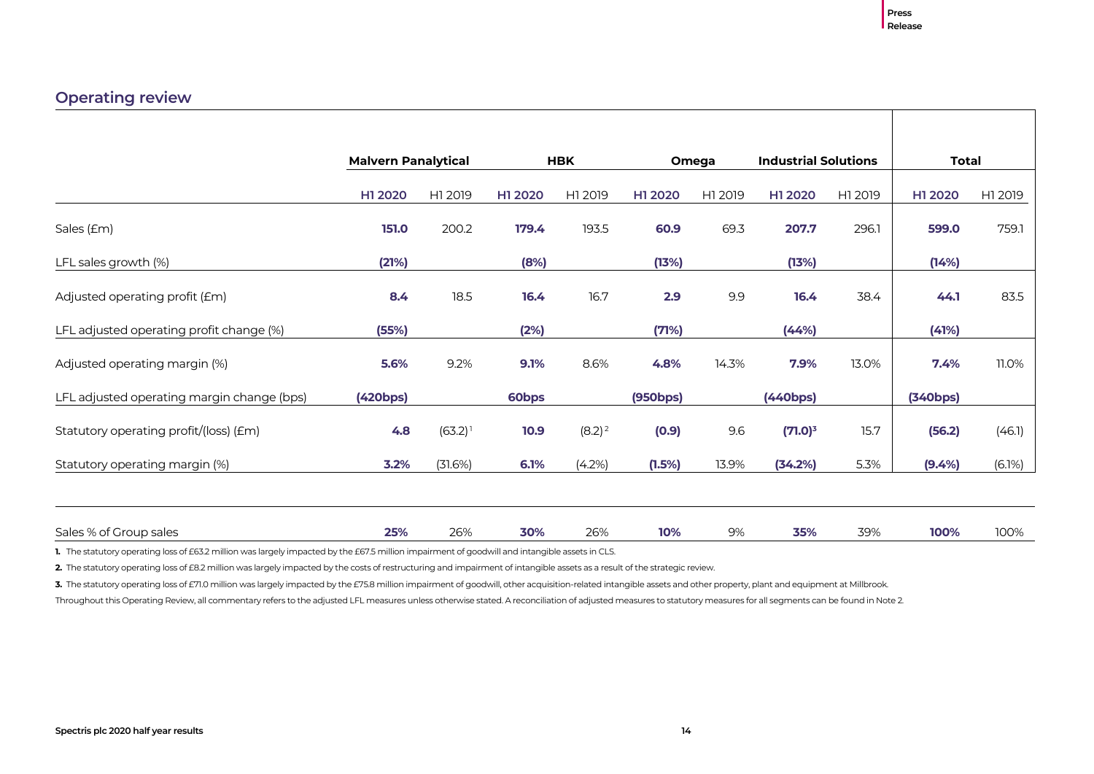## **Operating review**

|                                            | <b>Malvern Panalytical</b> |              |         | <b>HBK</b> |          | Omega   | <b>Industrial Solutions</b> |         | <b>Total</b> |         |
|--------------------------------------------|----------------------------|--------------|---------|------------|----------|---------|-----------------------------|---------|--------------|---------|
|                                            | H1 2020                    | H1 2019      | H1 2020 | H1 2019    | H1 2020  | H1 2019 | H1 2020                     | H1 2019 | H1 2020      | H1 2019 |
| Sales (£m)                                 | 151.0                      | 200.2        | 179.4   | 193.5      | 60.9     | 69.3    | 207.7                       | 296.1   | 599.0        | 759.1   |
| LFL sales growth (%)                       | (21%)                      |              | (8%)    |            | (13%)    |         | (13%)                       |         | (14%)        |         |
| Adjusted operating profit (£m)             | 8.4                        | 18.5         | 16.4    | 16.7       | 2.9      | 9.9     | 16.4                        | 38.4    | 44.1         | 83.5    |
| LFL adjusted operating profit change (%)   | (55%)                      |              | (2%)    |            | (71%)    |         | (44%)                       |         | (41%)        |         |
| Adjusted operating margin (%)              | 5.6%                       | 9.2%         | 9.1%    | 8.6%       | 4.8%     | 14.3%   | 7.9%                        | 13.0%   | 7.4%         | 11.0%   |
| LFL adjusted operating margin change (bps) | (420bps)                   |              | 60bps   |            | (950bps) |         | (440bps)                    |         | (340bps)     |         |
| Statutory operating profit/(loss) (£m)     | 4.8                        | $(63.2)^{1}$ | 10.9    | $(8.2)^2$  | (0.9)    | 9.6     | $(71.0)^3$                  | 15.7    | (56.2)       | (46.1)  |
| Statutory operating margin (%)             | 3.2%                       | (31.6%)      | 6.1%    | (4.2%)     | (1.5%)   | 13.9%   | (34.2%)                     | 5.3%    | $(9.4\%)$    | (6.1%)  |
| Sales % of Group sales                     | 25%                        | 26%          | 30%     | 26%        | 10%      | 9%      | 35%                         | 39%     | 100%         | 100%    |

**1.** The statutory operating loss of £63.2 million was largely impacted by the £67.5 million impairment of goodwill and intangible assets in CLS.

2. The statutory operating loss of £8.2 million was largely impacted by the costs of restructuring and impairment of intangible assets as a result of the strategic review.

**3.** The statutory operating loss of £71.0 million was largely impacted by the £75.8 million impairment of goodwill, other acquisition-related intangible assets and other property, plant and equipment at Millbrook.

Throughout this Operating Review, all commentary refers to the adjusted LFL measures unless otherwise stated. A reconciliation of adjusted measures to statutory measures for all segments can be found in Note 2.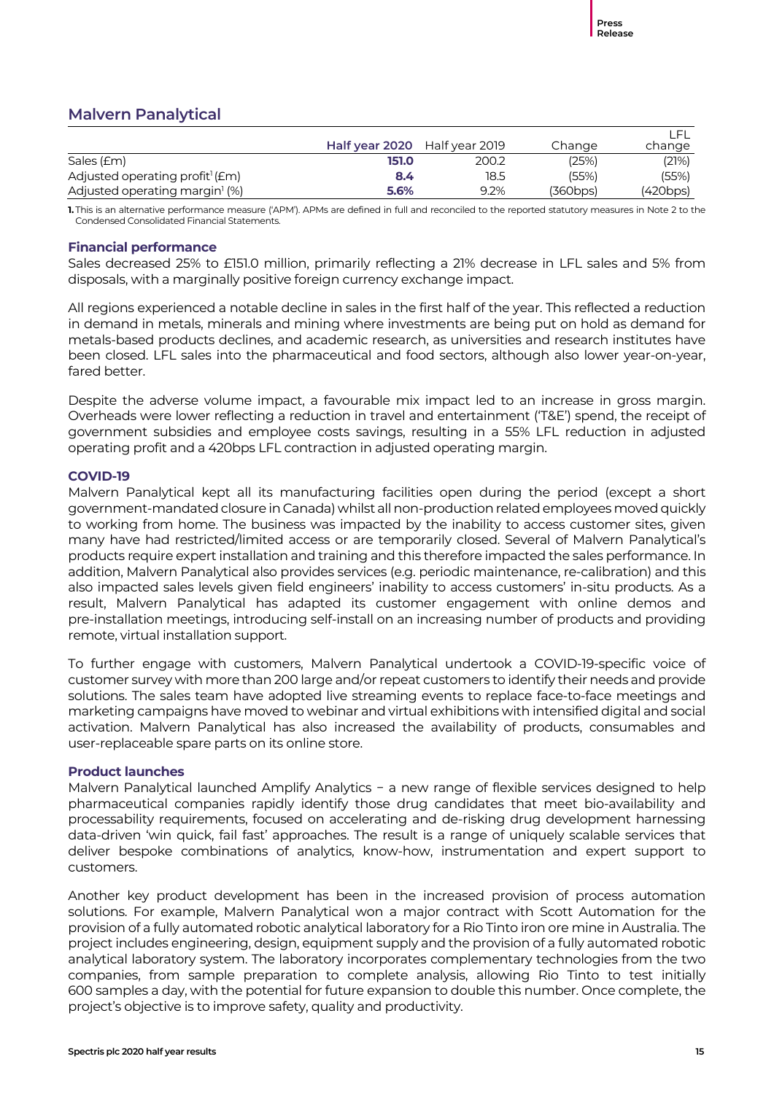## **Malvern Panalytical**

|                                            | Half year 2020 Half year 2019 |       | Change   | change   |
|--------------------------------------------|-------------------------------|-------|----------|----------|
| Sales (£m)                                 | 151.0                         | 200.2 | (25%)    | (21%)    |
| Adjusted operating profit $E$ m)           | 8.4                           | 18.5  | (55%)    | (55%)    |
| Adjusted operating margin <sup>1</sup> (%) | 5.6%                          | 9.2%  | (360bps) | (420bps) |

**1.** This is an alternative performance measure ('APM'). APMs are defined in full and reconciled to the reported statutory measures in Note 2 to the Condensed Consolidated Financial Statements.

#### **Financial performance**

Sales decreased 25% to £151.0 million, primarily reflecting a 21% decrease in LFL sales and 5% from disposals, with a marginally positive foreign currency exchange impact.

All regions experienced a notable decline in sales in the first half of the year. This reflected a reduction in demand in metals, minerals and mining where investments are being put on hold as demand for metals-based products declines, and academic research, as universities and research institutes have been closed. LFL sales into the pharmaceutical and food sectors, although also lower year-on-year, fared better.

Despite the adverse volume impact, a favourable mix impact led to an increase in gross margin. Overheads were lower reflecting a reduction in travel and entertainment ('T&E') spend, the receipt of government subsidies and employee costs savings, resulting in a 55% LFL reduction in adjusted operating profit and a 420bps LFL contraction in adjusted operating margin.

#### **COVID-19**

Malvern Panalytical kept all its manufacturing facilities open during the period (except a short government-mandated closure in Canada) whilst all non-production related employees moved quickly to working from home. The business was impacted by the inability to access customer sites, given many have had restricted/limited access or are temporarily closed. Several of Malvern Panalytical's products require expert installation and training and this therefore impacted the sales performance. In addition, Malvern Panalytical also provides services (e.g. periodic maintenance, re-calibration) and this also impacted sales levels given field engineers' inability to access customers' in-situ products. As a result, Malvern Panalytical has adapted its customer engagement with online demos and pre-installation meetings, introducing self-install on an increasing number of products and providing remote, virtual installation support.

To further engage with customers, Malvern Panalytical undertook a COVID-19-specific voice of customer survey with more than 200 large and/or repeat customers to identify their needs and provide solutions. The sales team have adopted live streaming events to replace face-to-face meetings and marketing campaigns have moved to webinar and virtual exhibitions with intensified digital and social activation. Malvern Panalytical has also increased the availability of products, consumables and user-replaceable spare parts on its [online](https://www.malvernstore.com/) store.

#### **Product launches**

Malvern Panalytical launched Amplify Analytics - a new range of flexible services designed to help pharmaceutical companies rapidly identify those drug candidates that meet bio-availability and processability requirements, focused on accelerating and de-risking drug development harnessing data-driven 'win quick, fail fast' approaches. The result is a range of uniquely scalable services that deliver bespoke combinations of analytics, know-how, instrumentation and expert support to customers.

Another key product development has been in the increased provision of process automation solutions. For example, Malvern Panalytical won a major contract with Scott Automation for the provision of a fully automated robotic analytical laboratory for a Rio Tinto iron ore mine in Australia. The project includes engineering, design, equipment supply and the provision of a fully automated robotic analytical laboratory system. The laboratory incorporates complementary technologies from the two companies, from sample preparation to complete analysis, allowing Rio Tinto to test initially 600 samples a day, with the potential for future expansion to double this number. Once complete, the project's objective is to improve safety, quality and productivity.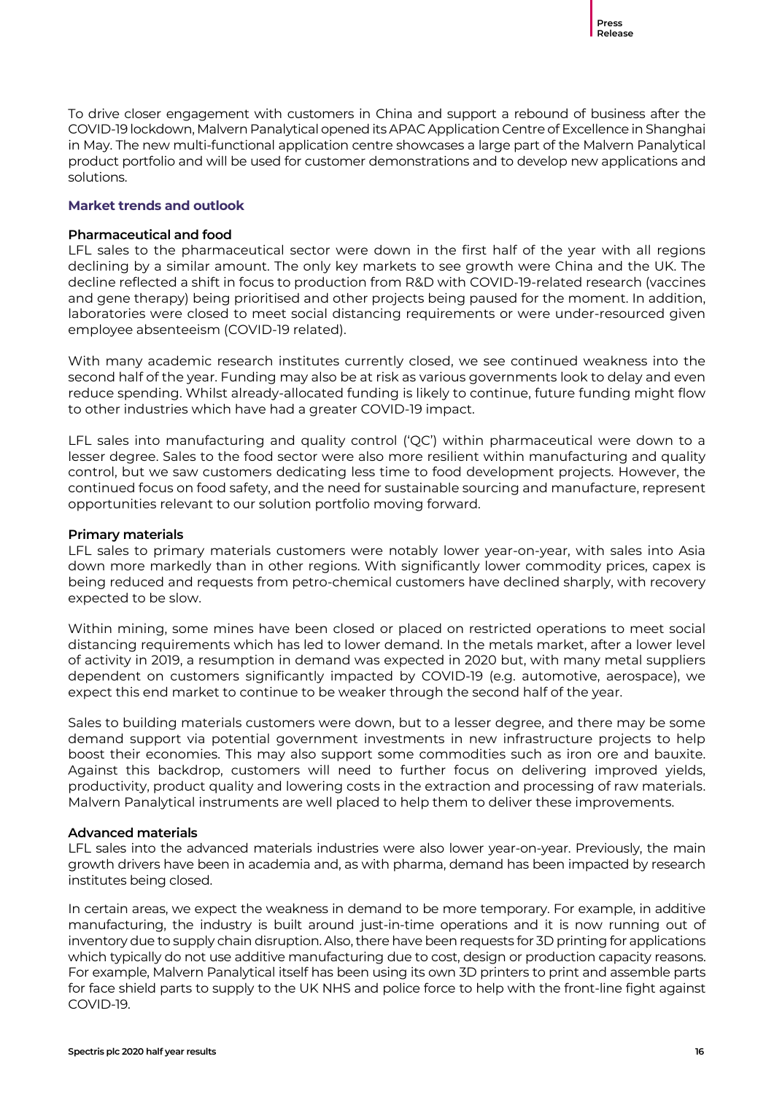To drive closer engagement with customers in China and support a rebound of business after the COVID-19 lockdown, Malvern Panalytical opened its APAC Application Centre of Excellence in Shanghai in May. The new multi-functional application centre showcases a large part of the Malvern Panalytical product portfolio and will be used for customer demonstrations and to develop new applications and solutions.

#### **Market trends and outlook**

#### **Pharmaceutical and food**

LFL sales to the pharmaceutical sector were down in the first half of the year with all regions declining by a similar amount. The only key markets to see growth were China and the UK. The decline reflected a shift in focus to production from R&D with COVID-19-related research (vaccines and gene therapy) being prioritised and other projects being paused for the moment. In addition, laboratories were closed to meet social distancing requirements or were under-resourced given employee absenteeism (COVID-19 related).

With many academic research institutes currently closed, we see continued weakness into the second half of the year. Funding may also be at risk as various governments look to delay and even reduce spending. Whilst already-allocated funding is likely to continue, future funding might flow to other industries which have had a greater COVID-19 impact.

LFL sales into manufacturing and quality control ('QC') within pharmaceutical were down to a lesser degree. Sales to the food sector were also more resilient within manufacturing and quality control, but we saw customers dedicating less time to food development projects. However, the continued focus on food safety, and the need for sustainable sourcing and manufacture, represent opportunities relevant to our solution portfolio moving forward.

#### **Primary materials**

LFL sales to primary materials customers were notably lower year-on-year, with sales into Asia down more markedly than in other regions. With significantly lower commodity prices, capex is being reduced and requests from petro-chemical customers have declined sharply, with recovery expected to be slow.

Within mining, some mines have been closed or placed on restricted operations to meet social distancing requirements which has led to lower demand. In the metals market, after a lower level of activity in 2019, a resumption in demand was expected in 2020 but, with many metal suppliers dependent on customers significantly impacted by COVID-19 (e.g. automotive, aerospace), we expect this end market to continue to be weaker through the second half of the year.

Sales to building materials customers were down, but to a lesser degree, and there may be some demand support via potential government investments in new infrastructure projects to help boost their economies. This may also support some commodities such as iron ore and bauxite. Against this backdrop, customers will need to further focus on delivering improved yields, productivity, product quality and lowering costs in the extraction and processing of raw materials. Malvern Panalytical instruments are well placed to help them to deliver these improvements.

#### **Advanced materials**

LFL sales into the advanced materials industries were also lower year-on-year. Previously, the main growth drivers have been in academia and, as with pharma, demand has been impacted by research institutes being closed.

In certain areas, we expect the weakness in demand to be more temporary. For example, in additive manufacturing, the industry is built around just-in-time operations and it is now running out of inventory due to supply chain disruption. Also, there have been requests for 3D printing for applications which typically do not use additive manufacturing due to cost, design or production capacity reasons. For example, Malvern Panalytical itself has been using its own 3D printers to print and assemble parts for face shield parts to supply to the UK NHS and police force to help with the front-line fight against COVID-19.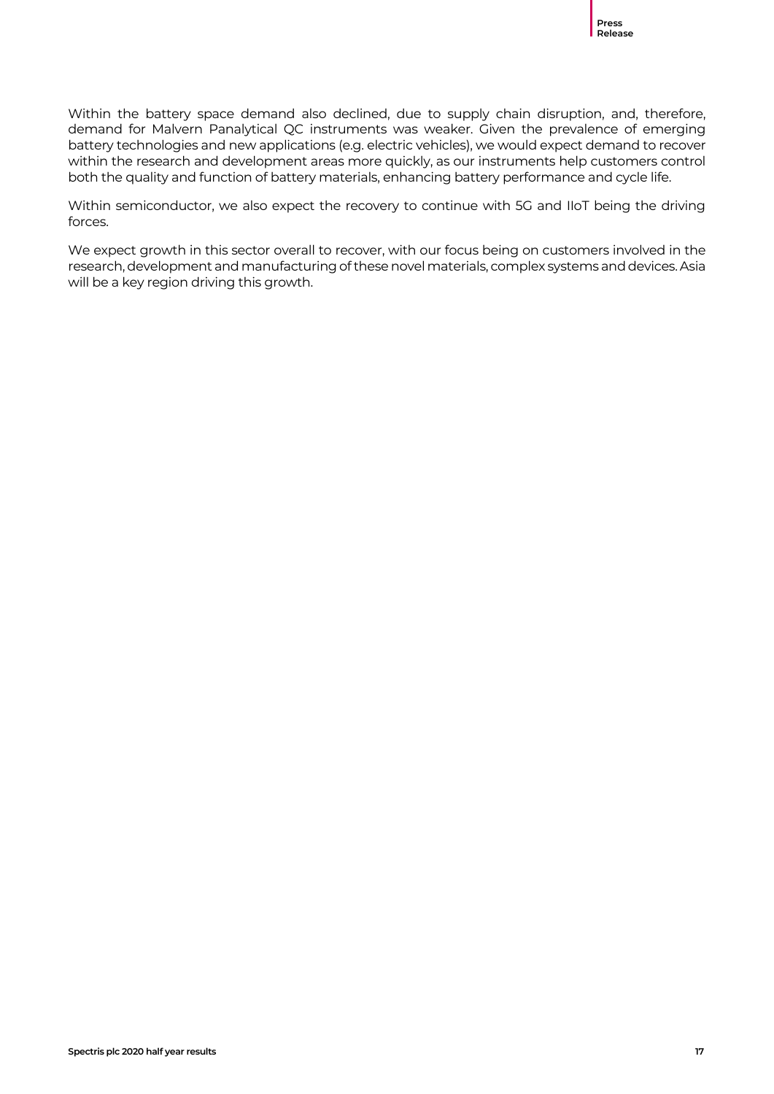Within the battery space demand also declined, due to supply chain disruption, and, therefore, demand for Malvern Panalytical QC instruments was weaker. Given the prevalence of emerging battery technologies and new applications (e.g. electric vehicles), we would expect demand to recover within the research and development areas more quickly, as our instruments help customers control both the quality and function of battery materials, enhancing battery performance and cycle life.

Within semiconductor, we also expect the recovery to continue with 5G and IIoT being the driving forces.

We expect growth in this sector overall to recover, with our focus being on customers involved in the research, development and manufacturing of these novel materials, complex systems and devices. Asia will be a key region driving this growth.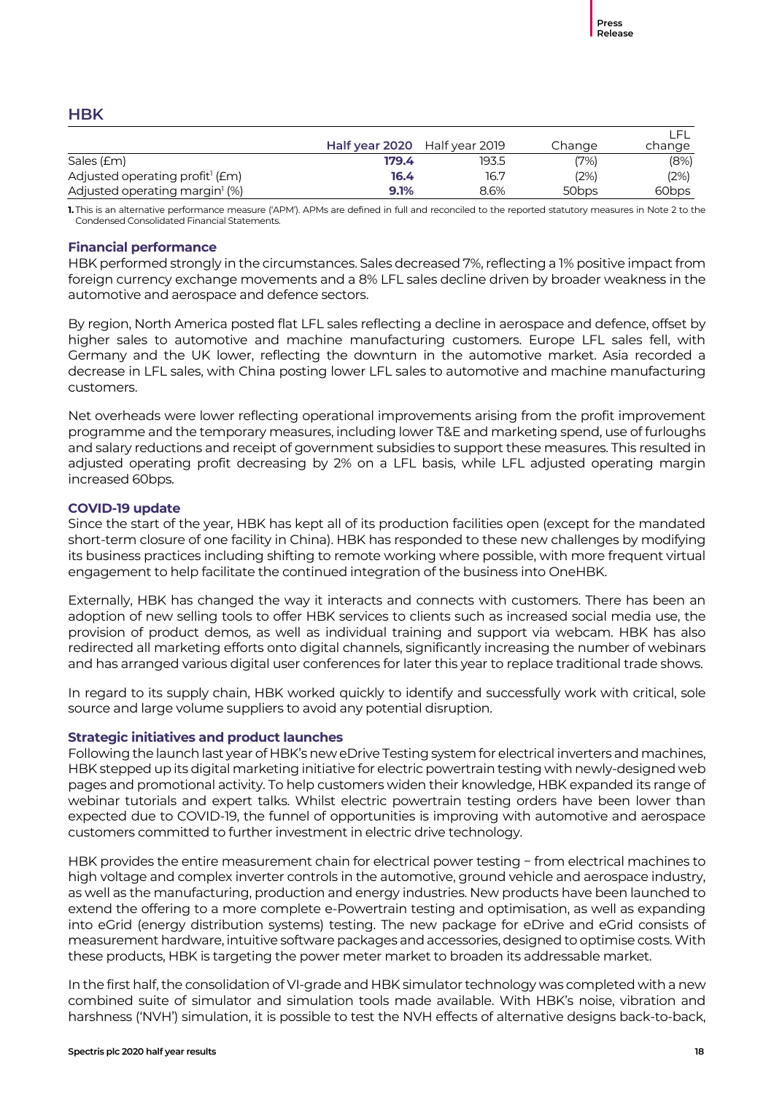#### **HBK**

|                                             | Half year 2020 Half year 2019 |       | Change            | . FI<br>change    |
|---------------------------------------------|-------------------------------|-------|-------------------|-------------------|
| Sales (£m)                                  | 179.4                         | 193.5 | (7%)              | (8%)              |
| Adjusted operating profit <sup>1</sup> (£m) | 16.4                          | 16.7  | (2%)              | (2%)              |
| Adjusted operating margin <sup>1</sup> (%)  | 9.1%                          | 8.6%  | 50 <sub>bps</sub> | 60 <sub>bps</sub> |

**1.** This is an alternative performance measure ('APM'). APMs are defined in full and reconciled to the reported statutory measures in Note 2 to the Condensed Consolidated Financial Statements.

#### **Financial performance**

HBK performed strongly in the circumstances. Sales decreased 7%, reflecting a 1% positive impact from foreign currency exchange movements and a 8% LFL sales decline driven by broader weakness in the automotive and aerospace and defence sectors.

By region, North America posted flat LFL sales reflecting a decline in aerospace and defence, offset by higher sales to automotive and machine manufacturing customers. Europe LFL sales fell, with Germany and the UK lower, reflecting the downturn in the automotive market. Asia recorded a decrease in LFL sales, with China posting lower LFL sales to automotive and machine manufacturing customers.

Net overheads were lower reflecting operational improvements arising from the profit improvement programme and the temporary measures, including lower T&E and marketing spend, use of furloughs and salary reductions and receipt of government subsidies to support these measures. This resulted in adjusted operating profit decreasing by 2% on a LFL basis, while LFL adjusted operating margin increased 60bps.

#### **COVID-19 update**

Since the start of the year, HBK has kept all of its production facilities open (except for the mandated short-term closure of one facility in China). HBK has responded to these new challenges by modifying its business practices including shifting to remote working where possible, with more frequent virtual engagement to help facilitate the continued integration of the business into OneHBK.

Externally, HBK has changed the way it interacts and connects with customers. There has been an adoption of new selling tools to offer HBK services to clients such as increased social media use, the provision of product demos, as well as individual training and support via webcam. HBK has also redirected all marketing efforts onto digital channels, significantly increasing the number of webinars and has arranged various digital user conferences for later this year to replace traditional trade shows.

In regard to its supply chain, HBK worked quickly to identify and successfully work with critical, sole source and large volume suppliers to avoid any potential disruption.

#### **Strategic initiatives and product launches**

Following the launch last year of HBK's new eDrive Testing system for electrical inverters and machines, HBK stepped up its digital marketing initiative for electric powertrain testing with newly-designed web pages and promotional activity. To help customers widen their knowledge, HBK expanded its range of webinar tutorials and expert talks. Whilst electric powertrain testing orders have been lower than expected due to COVID-19, the funnel of opportunities is improving with automotive and aerospace customers committed to further investment in electric drive technology.

HBK provides the entire measurement chain for electrical power testing − from electrical machines to high voltage and complex inverter controls in the automotive, ground vehicle and aerospace industry, as well as the manufacturing, production and energy industries. New products have been launched to extend the offering to a more complete e-Powertrain testing and optimisation, as well as expanding into eGrid (energy distribution systems) testing. The new package for eDrive and eGrid consists of measurement hardware, intuitive software packages and accessories, designed to optimise costs. With these products, HBK is targeting the power meter market to broaden its addressable market.

In the first half, the consolidation of VI-grade and HBK simulator technology was completed with a new combined suite of simulator and simulation tools made available. With HBK's noise, vibration and harshness ('NVH') simulation, it is possible to test the NVH effects of alternative designs back-to-back,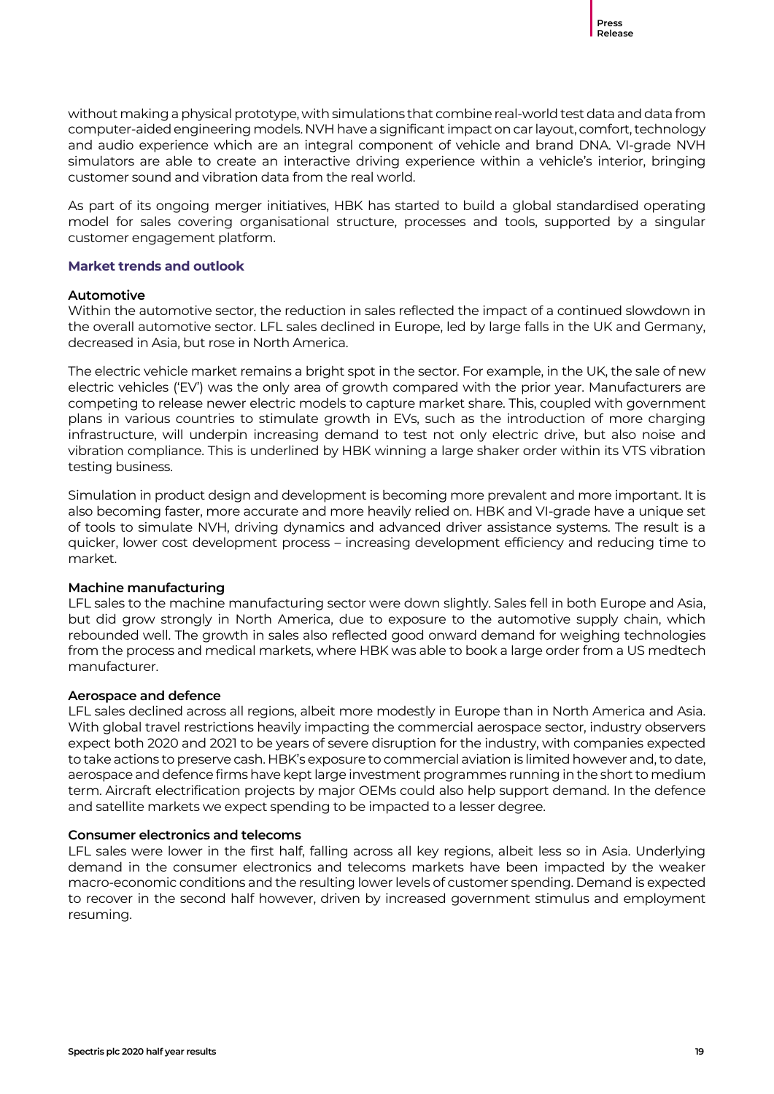without making a physical prototype, with simulations that combine real-world test data and data from computer-aided engineering models. NVH have a significant impact on car layout, comfort, technology and audio experience which are an integral component of vehicle and brand DNA. VI-grade NVH simulators are able to create an interactive driving experience within a vehicle's interior, bringing customer sound and vibration data from the real world.

As part of its ongoing merger initiatives, HBK has started to build a global standardised operating model for sales covering organisational structure, processes and tools, supported by a singular customer engagement platform.

#### **Market trends and outlook**

#### **Automotive**

Within the automotive sector, the reduction in sales reflected the impact of a continued slowdown in the overall automotive sector. LFL sales declined in Europe, led by large falls in the UK and Germany, decreased in Asia, but rose in North America.

The electric vehicle market remains a bright spot in the sector. For example, in the UK, the sale of new electric vehicles ('EV') was the only area of growth compared with the prior year. Manufacturers are competing to release newer electric models to capture market share. This, coupled with government plans in various countries to stimulate growth in EVs, such as the introduction of more charging infrastructure, will underpin increasing demand to test not only electric drive, but also noise and vibration compliance. This is underlined by HBK winning a large shaker order within its VTS vibration testing business.

Simulation in product design and development is becoming more prevalent and more important. It is also becoming faster, more accurate and more heavily relied on. HBK and VI-grade have a unique set of tools to simulate NVH, driving dynamics and advanced driver assistance systems. The result is a quicker, lower cost development process – increasing development efficiency and reducing time to market.

#### **Machine manufacturing**

LFL sales to the machine manufacturing sector were down slightly. Sales fell in both Europe and Asia, but did grow strongly in North America, due to exposure to the automotive supply chain, which rebounded well. The growth in sales also reflected good onward demand for weighing technologies from the process and medical markets, where HBK was able to book a large order from a US medtech manufacturer.

#### **Aerospace and defence**

LFL sales declined across all regions, albeit more modestly in Europe than in North America and Asia. With global travel restrictions heavily impacting the commercial aerospace sector, industry observers expect both 2020 and 2021 to be years of severe disruption for the industry, with companies expected to take actions to preserve cash. HBK's exposure to commercial aviation is limited however and, to date, aerospace and defence firms have kept large investment programmes running in the short to medium term. Aircraft electrification projects by major OEMs could also help support demand. In the defence and satellite markets we expect spending to be impacted to a lesser degree.

#### **Consumer electronics and telecoms**

LFL sales were lower in the first half, falling across all key regions, albeit less so in Asia. Underlying demand in the consumer electronics and telecoms markets have been impacted by the weaker macro-economic conditions and the resulting lower levels of customer spending. Demand is expected to recover in the second half however, driven by increased government stimulus and employment resuming.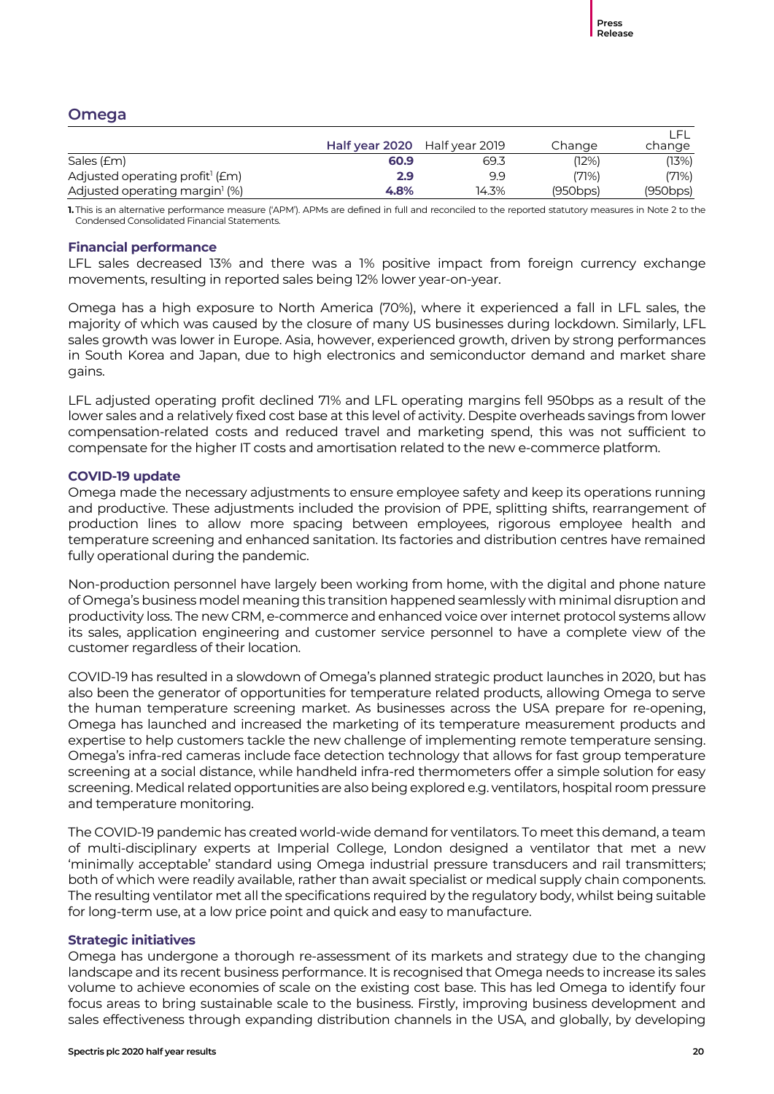## **Omega**

|                                                 | Half year 2020 Half year 2019 |       | Change   | change   |
|-------------------------------------------------|-------------------------------|-------|----------|----------|
| Sales (£m)                                      | 60.9                          | 69.3  | (12%)    | (13%)    |
| Adjusted operating profit <sup>1</sup> ( $Em$ ) | 2.9                           | 9.9   | (71%)    | (71%)    |
| Adjusted operating margin <sup>1</sup> (%)      | 4.8%                          | 14.3% | (950bps) | (950bps) |

**1.** This is an alternative performance measure ('APM'). APMs are defined in full and reconciled to the reported statutory measures in Note 2 to the Condensed Consolidated Financial Statements.

#### **Financial performance**

LFL sales decreased 13% and there was a 1% positive impact from foreign currency exchange movements, resulting in reported sales being 12% lower year-on-year.

Omega has a high exposure to North America (70%), where it experienced a fall in LFL sales, the majority of which was caused by the closure of many US businesses during lockdown. Similarly, LFL sales growth was lower in Europe. Asia, however, experienced growth, driven by strong performances in South Korea and Japan, due to high electronics and semiconductor demand and market share gains.

LFL adjusted operating profit declined 71% and LFL operating margins fell 950bps as a result of the lower sales and a relatively fixed cost base at this level of activity. Despite overheads savings from lower compensation-related costs and reduced travel and marketing spend, this was not sufficient to compensate for the higher IT costs and amortisation related to the new e-commerce platform.

#### **COVID-19 update**

Omega made the necessary adjustments to ensure employee safety and keep its operations running and productive. These adjustments included the provision of PPE, splitting shifts, rearrangement of production lines to allow more spacing between employees, rigorous employee health and temperature screening and enhanced sanitation. Its factories and distribution centres have remained fully operational during the pandemic.

Non-production personnel have largely been working from home, with the digital and phone nature of Omega's business model meaning this transition happenedseamlessly with minimal disruption and productivity loss. The new CRM, e-commerce and enhanced voice over internet protocol systems allow its sales, application engineering and customer service personnel to have a complete view of the customer regardless of their location.

COVID-19 has resulted in a slowdown of Omega's planned strategic product launches in 2020, but has also been the generator of opportunities for temperature related products, allowing Omega to serve the human temperature screening market. As businesses across the USA prepare for re-opening, Omega has launched and increased the marketing of its temperature measurement products and expertise to help customers tackle the new challenge of implementing remote temperature sensing. Omega's infra-red cameras include face detection technology that allows for fast group temperature screening at a social distance, while handheld infra-red thermometers offer a simple solution for easy screening. Medical related opportunities are also being explored e.g. ventilators, hospital room pressure and temperature monitoring.

The COVID-19 pandemic has created world-wide demand for ventilators. To meet this demand, a team of multi-disciplinary experts at Imperial College, London designed a ventilator that met a new 'minimally acceptable' standard using Omega industrial pressure transducers and rail transmitters; both of which were readily available, rather than await specialist or medical supply chain components. The resulting ventilator met all the specifications required by the regulatory body, whilst being suitable for long-term use, at a low price point and quick and easy to manufacture.

#### **Strategic initiatives**

Omega has undergone a thorough re-assessment of its markets and strategy due to the changing landscape and its recent business performance. It is recognised that Omega needs to increase its sales volume to achieve economies of scale on the existing cost base. This has led Omega to identify four focus areas to bring sustainable scale to the business. Firstly, improving business development and sales effectiveness through expanding distribution channels in the USA, and globally, by developing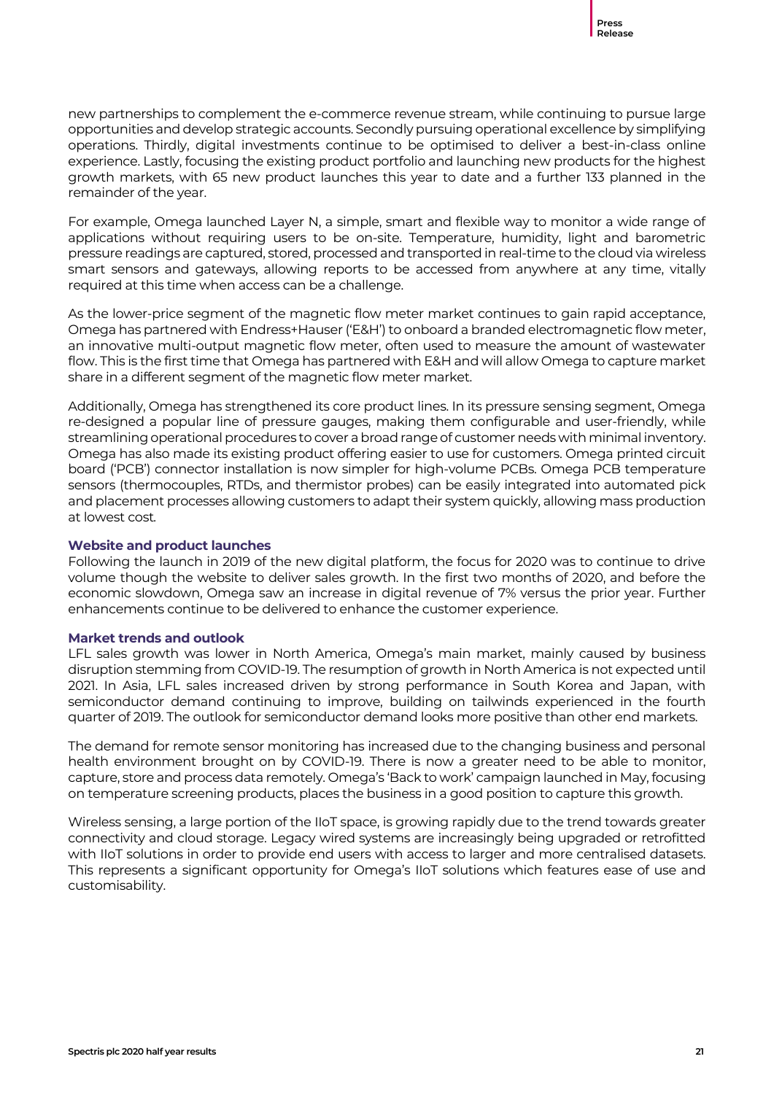new partnerships to complement the e-commerce revenue stream, while continuing to pursue large opportunities and develop strategic accounts. Secondly pursuing operational excellence by simplifying operations. Thirdly, digital investments continue to be optimised to deliver a best-in-class online experience. Lastly, focusing the existing product portfolio and launching new products for the highest growth markets, with 65 new product launches this year to date and a further 133 planned in the remainder of the year.

For example, Omega launched Layer N, a simple, smart and flexible way to monitor a wide range of applications without requiring users to be on-site. Temperature, humidity, light and barometric pressure readings are captured, stored, processed and transported in real-time to the cloud via wireless smart sensors and gateways, allowing reports to be accessed from anywhere at any time, vitally required at this time when access can be a challenge.

As the lower-price segment of the magnetic flow meter market continues to gain rapid acceptance, Omega has partnered with Endress+Hauser ('E&H') to onboard a branded electromagnetic flow meter, an innovative multi-output magnetic flow meter, often used to measure the amount of wastewater flow. This is the first time that Omega has partnered with E&H and will allow Omega to capture market share in a different segment of the magnetic flow meter market.

Additionally, Omega has strengthened its core product lines. In its pressure sensing segment, Omega re-designed a popular line of pressure gauges, making them configurable and user-friendly, while streamlining operational procedures to cover a broad range of customer needs with minimal inventory. Omega has also made its existing product offering easier to use for customers. Omega printed circuit board ('PCB') connector installation is now simpler for high-volume PCBs. Omega PCB temperature sensors (thermocouples, RTDs, and thermistor probes) can be easily integrated into automated pick and placement processes allowing customers to adapt their system quickly, allowing mass production at lowest cost*.* 

#### **Website and product launches**

Following the launch in 2019 of the new digital platform, the focus for 2020 was to continue to drive volume though the website to deliver sales growth. In the first two months of 2020, and before the economic slowdown, Omega saw an increase in digital revenue of 7% versus the prior year. Further enhancements continue to be delivered to enhance the customer experience.

#### **Market trends and outlook**

LFL sales growth was lower in North America, Omega's main market, mainly caused by business disruption stemming from COVID-19. The resumption of growth in North America is not expected until 2021. In Asia, LFL sales increased driven by strong performance in South Korea and Japan, with semiconductor demand continuing to improve, building on tailwinds experienced in the fourth quarter of 2019. The outlook for semiconductor demand looks more positive than other end markets.

The demand for remote sensor monitoring has increased due to the changing business and personal health environment brought on by COVID-19. There is now a greater need to be able to monitor, capture, store and process data remotely. Omega's 'Back to work' campaign launched in May, focusing on temperature screening products, places the business in a good position to capture this growth.

Wireless sensing, a large portion of the IIoT space, is growing rapidly due to the trend towards greater connectivity and cloud storage. Legacy wired systems are increasingly being upgraded or retrofitted with IIoT solutions in order to provide end users with access to larger and more centralised datasets. This represents a significant opportunity for Omega's IIoT solutions which features ease of use and customisability.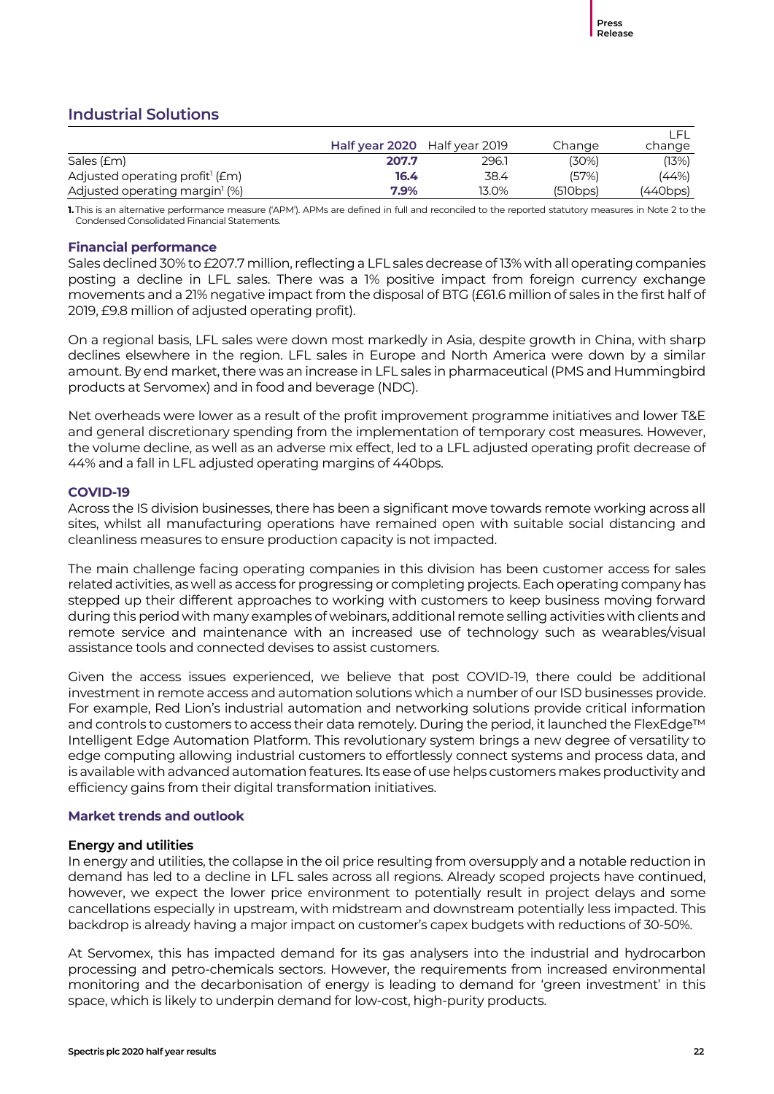## **Industrial Solutions**

|                                            | Half year 2020 Half year 2019 |       | Change   | change   |
|--------------------------------------------|-------------------------------|-------|----------|----------|
| Sales (£m)                                 | 207.7                         | 296.1 | (30%)    | (13%)    |
| Adjusted operating profit $f(m)$           | 16.4                          | 38.4  | (57%)    | (44%)    |
| Adjusted operating margin <sup>1</sup> (%) | 7.9%                          | 13.0% | (510bps) | (440bps) |

**1.** This is an alternative performance measure ('APM'). APMs are defined in full and reconciled to the reported statutory measures in Note 2 to the Condensed Consolidated Financial Statements.

#### **Financial performance**

Sales declined 30% to £207.7million, reflecting a LFL sales decrease of 13% with all operating companies posting a decline in LFL sales. There was a 1% positive impact from foreign currency exchange movements and a 21% negative impact from the disposal of BTG (£61.6 million of sales in the first half of 2019, £9.8 million of adjusted operating profit).

On a regional basis, LFL sales were down most markedly in Asia, despite growth in China, with sharp declines elsewhere in the region. LFL sales in Europe and North America were down by a similar amount. By end market, there was an increase in LFL sales in pharmaceutical (PMS and Hummingbird products at Servomex) and in food and beverage (NDC).

Net overheads were lower as a result of the profit improvement programme initiatives and lower T&E and general discretionary spending from the implementation of temporary cost measures. However, the volume decline, as well as an adverse mix effect, led to a LFL adjusted operating profit decrease of 44% and a fall in LFL adjusted operating margins of 440bps.

#### **COVID-19**

Across the IS division businesses, there has been a significant move towards remote working across all sites, whilst all manufacturing operations have remained open with suitable social distancing and cleanliness measures to ensure production capacity is not impacted.

The main challenge facing operating companies in this division has been customer access for sales related activities, as well as access for progressing or completing projects. Each operating company has stepped up their different approaches to working with customers to keep business moving forward during this period with many examples of webinars, additional remote selling activities with clients and remote service and maintenance with an increased use of technology such as wearables/visual assistance tools and connected devises to assist customers.

Given the access issues experienced, we believe that post COVID-19, there could be additional investment in remote access and automation solutions which a number of our ISD businesses provide. For example, Red Lion's industrial automation and networking solutions provide critical information and controls to customers to access their data remotely. During the period, it launched the FlexEdge™ Intelligent Edge Automation Platform. This revolutionary system brings a new degree of versatility to edge computing allowing industrial customers to effortlessly connect systems and process data, and is available with advanced automation features. Its ease of use helps customers makes productivity and efficiency gains from their digital transformation initiatives.

#### **Market trends and outlook**

#### **Energy and utilities**

In energy and utilities, the collapse in the oil price resulting from oversupply and a notable reduction in demand has led to a decline in LFL sales across all regions. Already scoped projects have continued, however, we expect the lower price environment to potentially result in project delays and some cancellations especially in upstream, with midstream and downstream potentially less impacted. This backdrop is already having a major impact on customer's capex budgets with reductions of 30-50%.

At Servomex, this has impacted demand for its gas analysers into the industrial and hydrocarbon processing and petro-chemicals sectors. However, the requirements from increased environmental monitoring and the decarbonisation of energy is leading to demand for 'green investment' in this space, which is likely to underpin demand for low-cost, high-purity products.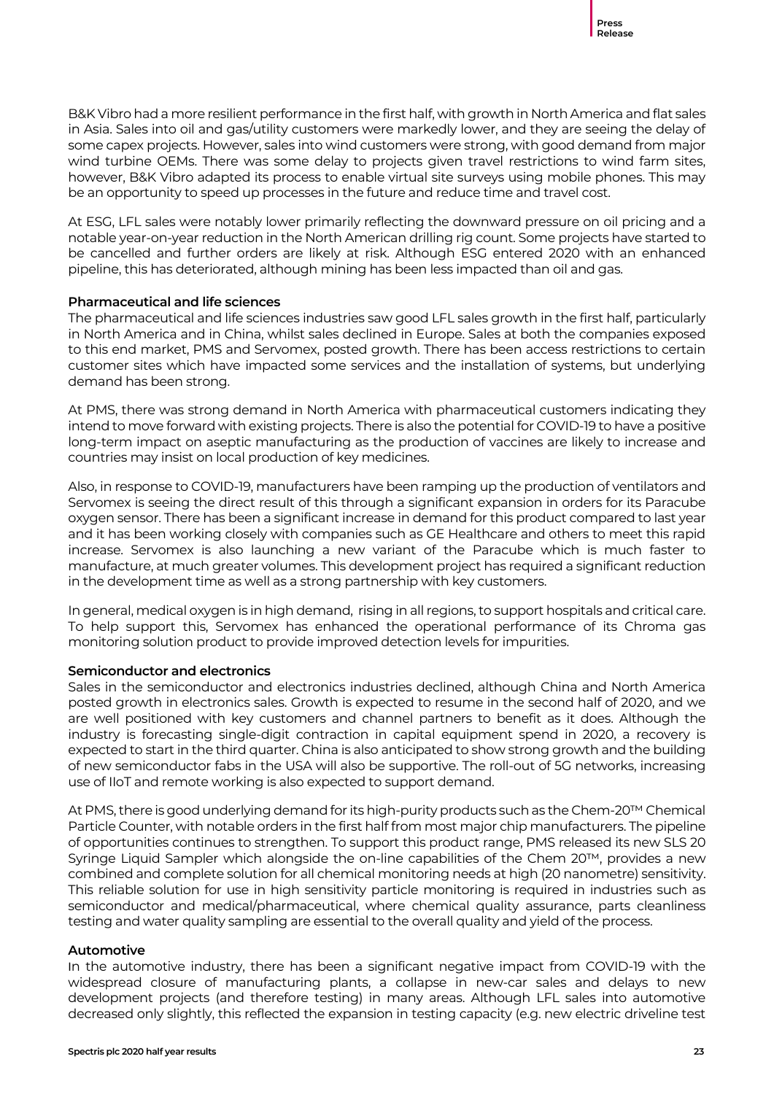B&K Vibro had a more resilient performance in the first half, with growth in North America and flat sales in Asia. Sales into oil and gas/utility customers were markedly lower, and they are seeing the delay of some capex projects. However, sales into wind customers were strong, with good demand from major wind turbine OEMs. There was some delay to projects given travel restrictions to wind farm sites, however, B&K Vibro adapted its process to enable virtual site surveys using mobile phones. This may be an opportunity to speed up processes in the future and reduce time and travel cost.

At ESG, LFL sales were notably lower primarily reflecting the downward pressure on oil pricing and a notable year-on-year reduction in the North American drilling rig count. Some projects have started to be cancelled and further orders are likely at risk. Although ESG entered 2020 with an enhanced pipeline, this has deteriorated, although mining has been less impacted than oil and gas.

#### **Pharmaceutical and life sciences**

The pharmaceutical and life sciences industries saw good LFL sales growth in the first half, particularly in North America and in China, whilst sales declined in Europe. Sales at both the companies exposed to this end market, PMS and Servomex, posted growth. There has been access restrictions to certain customer sites which have impacted some services and the installation of systems, but underlying demand has been strong.

At PMS, there was strong demand in North America with pharmaceutical customers indicating they intend to move forward with existing projects. There is also the potential for COVID-19 to have a positive long-term impact on aseptic manufacturing as the production of vaccines are likely to increase and countries may insist on local production of key medicines.

Also, in response to COVID-19, manufacturers have been ramping up the production of ventilators and Servomex is seeing the direct result of this through a significant expansion in orders for its Paracube oxygen sensor. There has been a significant increase in demand for this product compared to last year and it has been working closely with companies such as GE Healthcare and others to meet this rapid increase. Servomex is also launching a new variant of the Paracube which is much faster to manufacture, at much greater volumes. This development project has required a significant reduction in the development time as well as a strong partnership with key customers.

In general, medical oxygen is in high demand, rising in all regions, to support hospitals and critical care. To help support this, Servomex has enhanced the operational performance of its Chroma gas monitoring solution product to provide improved detection levels for impurities.

#### **Semiconductor and electronics**

Sales in the semiconductor and electronics industries declined, although China and North America posted growth in electronics sales. Growth is expected to resume in the second half of 2020, and we are well positioned with key customers and channel partners to benefit as it does. Although the industry is forecasting single-digit contraction in capital equipment spend in 2020, a recovery is expected to start in the third quarter. China is also anticipated to show strong growth and the building of new semiconductor fabs in the USA will also be supportive. The roll-out of 5G networks, increasing use of IIoT and remote working is also expected to support demand.

At PMS, there is good underlying demand for its high-purity products such as the Chem-20™ Chemical Particle Counter, with notable orders in the first half from most major chip manufacturers. The pipeline of opportunities continues to strengthen. To support this product range, PMS released its new [SLS 20](https://www.pmeasuring.com/products/liquid/sls-20-syringe-liquid-sampler/)  [Syringe Liquid Sampler](https://www.pmeasuring.com/products/liquid/sls-20-syringe-liquid-sampler/) which alongside the on-line capabilities of the Chem 20™, provides a new combined and complete solution for all chemical monitoring needs at high (20 nanometre) sensitivity. This reliable solution for use in high sensitivity particle monitoring is required in industries such as semiconductor and medical/pharmaceutical, where chemical quality assurance, parts cleanliness testing and water quality sampling are essential to the overall quality and yield of the process.

#### **Automotive**

In the automotive industry, there has been a significant negative impact from COVID-19 with the widespread closure of manufacturing plants, a collapse in new-car sales and delays to new development projects (and therefore testing) in many areas. Although LFL sales into automotive decreased only slightly, this reflected the expansion in testing capacity (e.g. new electric driveline test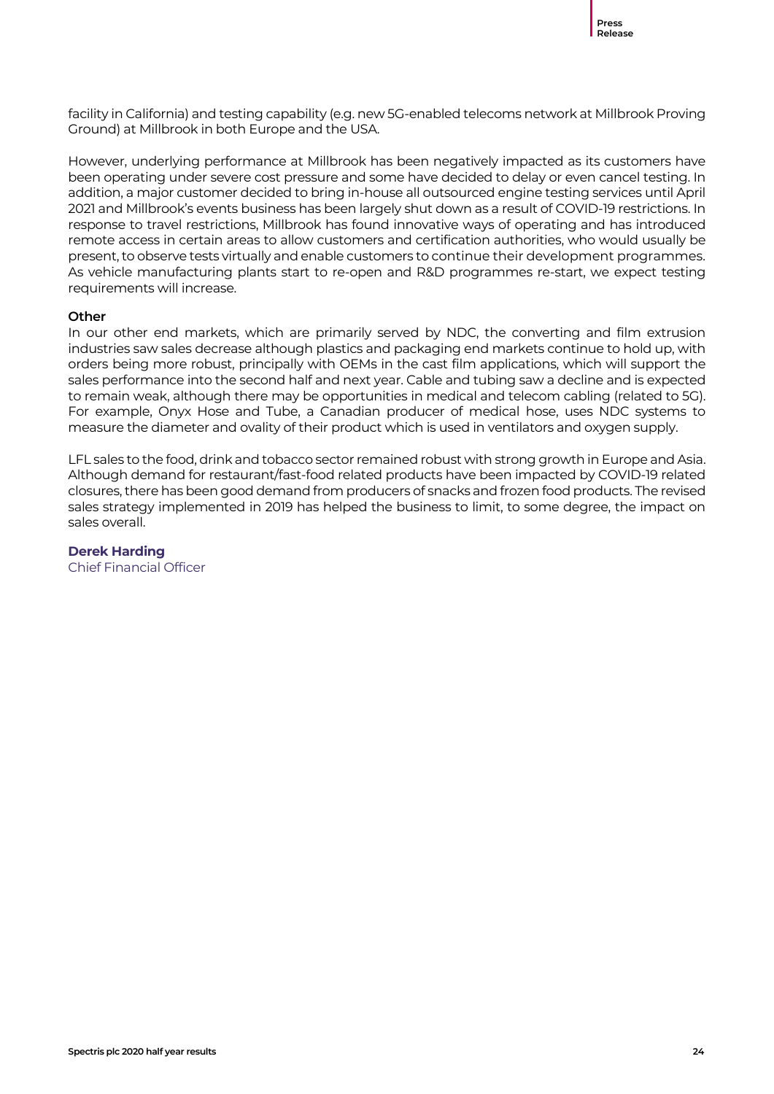facility in California) and testing capability (e.g. new 5G-enabled telecoms network at Millbrook Proving Ground) at Millbrook in both Europe and the USA.

However, underlying performance at Millbrook has been negatively impacted as its customers have been operating under severe cost pressure and some have decided to delay or even cancel testing. In addition, a major customer decided to bring in-house all outsourced engine testing services until April 2021 and Millbrook's events business has been largely shut down as a result of COVID-19 restrictions. In response to travel restrictions, Millbrook has found innovative ways of operating and has introduced remote access in certain areas to allow customers and certification authorities, who would usually be present, to observe tests virtually and enable customers to continue their development programmes. As vehicle manufacturing plants start to re-open and R&D programmes re-start, we expect testing requirements will increase.

#### **Other**

In our other end markets, which are primarily served by NDC, the converting and film extrusion industries saw sales decrease although plastics and packaging end markets continue to hold up, with orders being more robust, principally with OEMs in the cast film applications, which will support the sales performance into the second half and next year. Cable and tubing saw a decline and is expected to remain weak, although there may be opportunities in medical and telecom cabling (related to 5G). For example, Onyx Hose and Tube, a Canadian producer of medical hose, uses NDC systems to measure the diameter and ovality of their product which is used in ventilators and oxygen supply.

LFL sales to the food, drink and tobacco sector remained robust with strong growth in Europe and Asia. Although demand for restaurant/fast-food related products have been impacted by COVID-19 related closures, there has been good demand from producers of snacks and frozen food products. The revised sales strategy implemented in 2019 has helped the business to limit, to some degree, the impact on sales overall.

#### **Derek Harding**

Chief Financial Officer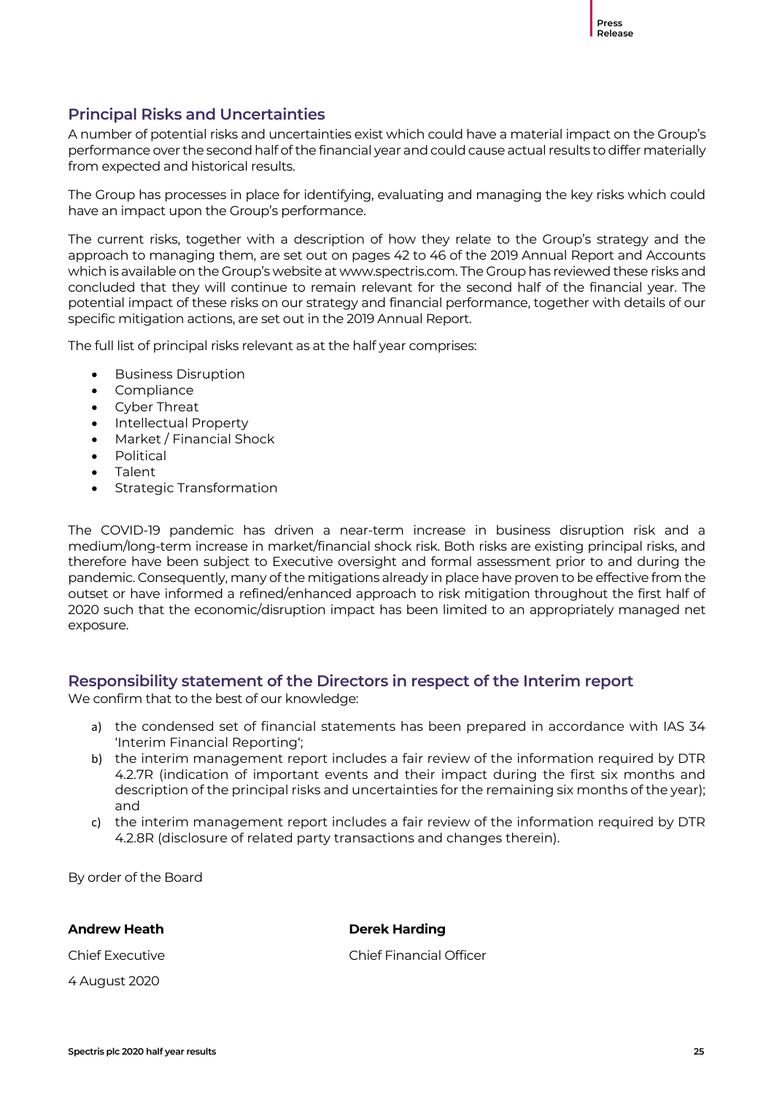#### **Principal Risks and Uncertainties**

A number of potential risks and uncertainties exist which could have a material impact on the Group's performance over the second half of the financial year and could cause actual results to differ materially from expected and historical results.

The Group has processes in place for identifying, evaluating and managing the key risks which could have an impact upon the Group's performance.

The current risks, together with a description of how they relate to the Group's strategy and the approach to managing them, are set out on pages 42 to 46 of the 2019 Annual Report and Accounts which is available on the Group's website at www.spectris.com. The Group has reviewed these risks and concluded that they will continue to remain relevant for the second half of the financial year. The potential impact of these risks on our strategy and financial performance, together with details of our specific mitigation actions, are set out in the 2019 Annual Report.

The full list of principal risks relevant as at the half year comprises:

- Business Disruption
- Compliance
- Cyber Threat
- Intellectual Property
- Market / Financial Shock
- Political
- Talent
- Strategic Transformation

The COVID-19 pandemic has driven a near-term increase in business disruption risk and a medium/long-term increase in market/financial shock risk. Both risks are existing principal risks, and therefore have been subject to Executive oversight and formal assessment prior to and during the pandemic. Consequently, many of the mitigations already in place have proven to be effective from the outset or have informed a refined/enhanced approach to risk mitigation throughout the first half of 2020 such that the economic/disruption impact has been limited to an appropriately managed net exposure.

#### **Responsibility statement of the Directors in respect of the Interim report**

We confirm that to the best of our knowledge:

- a) the condensed set of financial statements has been prepared in accordance with IAS 34 'Interim Financial Reporting';
- b) the interim management report includes a fair review of the information required by DTR 4.2.7R (indication of important events and their impact during the first six months and description of the principal risks and uncertainties for the remaining six months of the year); and
- c) the interim management report includes a fair review of the information required by DTR 4.2.8R (disclosure of related party transactions and changes therein).

By order of the Board

| <b>Andrew Heath</b> | <b>Derek Harding</b>    |
|---------------------|-------------------------|
| Chief Executive     | Chief Financial Officer |
| 4 August 2020       |                         |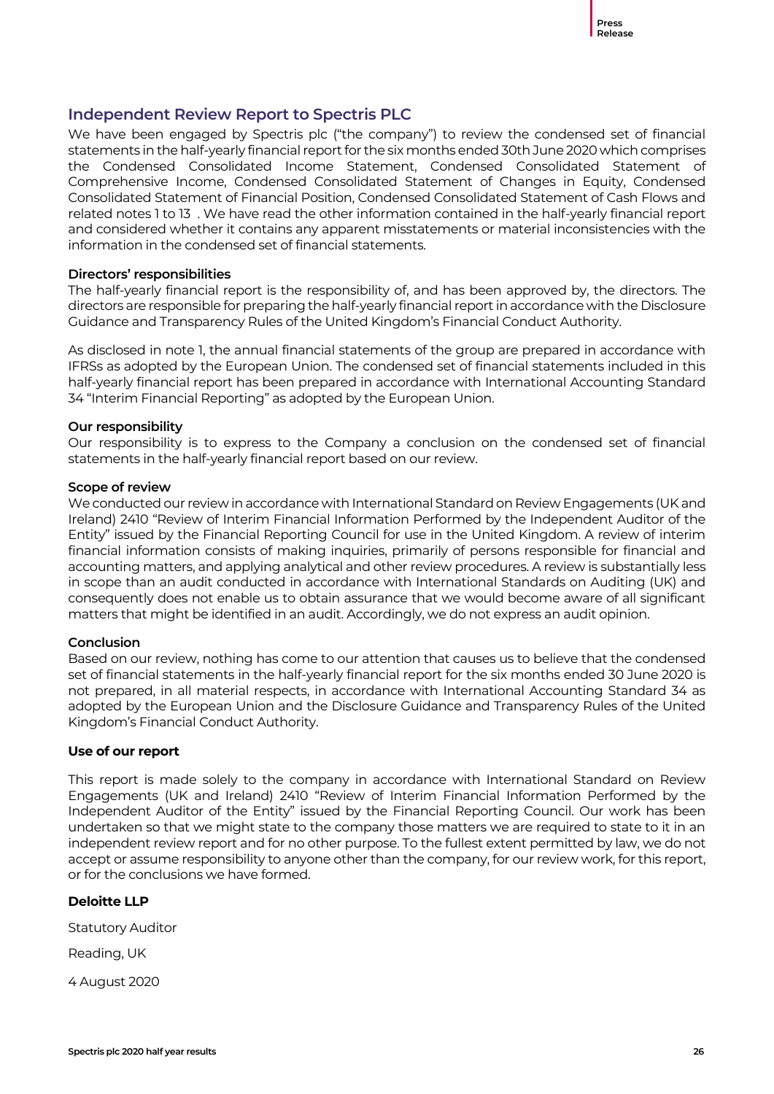#### **Independent Review Report to Spectris PLC**

We have been engaged by Spectris plc ("the company") to review the condensed set of financial statements in the half-yearly financial report for the six months ended 30th June 2020 which comprises the Condensed Consolidated Income Statement, Condensed Consolidated Statement of Comprehensive Income, Condensed Consolidated Statement of Changes in Equity, Condensed Consolidated Statement of Financial Position, Condensed Consolidated Statement of Cash Flows and related notes 1 to 13 . We have read the other information contained in the half-yearly financial report and considered whether it contains any apparent misstatements or material inconsistencies with the information in the condensed set of financial statements.

#### **Directors' responsibilities**

The half-yearly financial report is the responsibility of, and has been approved by, the directors. The directors are responsible for preparing the half-yearly financial report in accordance with the Disclosure Guidance and Transparency Rules of the United Kingdom's Financial Conduct Authority.

As disclosed in note 1, the annual financial statements of the group are prepared in accordance with IFRSs as adopted by the European Union. The condensed set of financial statements included in this half-yearly financial report has been prepared in accordance with International Accounting Standard 34 "Interim Financial Reporting" as adopted by the European Union.

#### **Our responsibility**

Our responsibility is to express to the Company a conclusion on the condensed set of financial statements in the half-yearly financial report based on our review.

#### **Scope of review**

We conducted our review in accordance with International Standard on Review Engagements (UK and Ireland) 2410 "Review of Interim Financial Information Performed by the Independent Auditor of the Entity" issued by the Financial Reporting Council for use in the United Kingdom. A review of interim financial information consists of making inquiries, primarily of persons responsible for financial and accounting matters, and applying analytical and other review procedures. A review is substantially less in scope than an audit conducted in accordance with International Standards on Auditing (UK) and consequently does not enable us to obtain assurance that we would become aware of all significant matters that might be identified in an audit. Accordingly, we do not express an audit opinion.

#### **Conclusion**

Based on our review, nothing has come to our attention that causes us to believe that the condensed set of financial statements in the half-yearly financial report for the six months ended 30 June 2020 is not prepared, in all material respects, in accordance with International Accounting Standard 34 as adopted by the European Union and the Disclosure Guidance and Transparency Rules of the United Kingdom's Financial Conduct Authority.

#### **Use of our report**

This report is made solely to the company in accordance with International Standard on Review Engagements (UK and Ireland) 2410 "Review of Interim Financial Information Performed by the Independent Auditor of the Entity" issued by the Financial Reporting Council. Our work has been undertaken so that we might state to the company those matters we are required to state to it in an independent review report and for no other purpose. To the fullest extent permitted by law, we do not accept or assume responsibility to anyone other than the company, for our review work, for this report, or for the conclusions we have formed.

#### **Deloitte LLP**

Statutory Auditor

Reading, UK

4 August 2020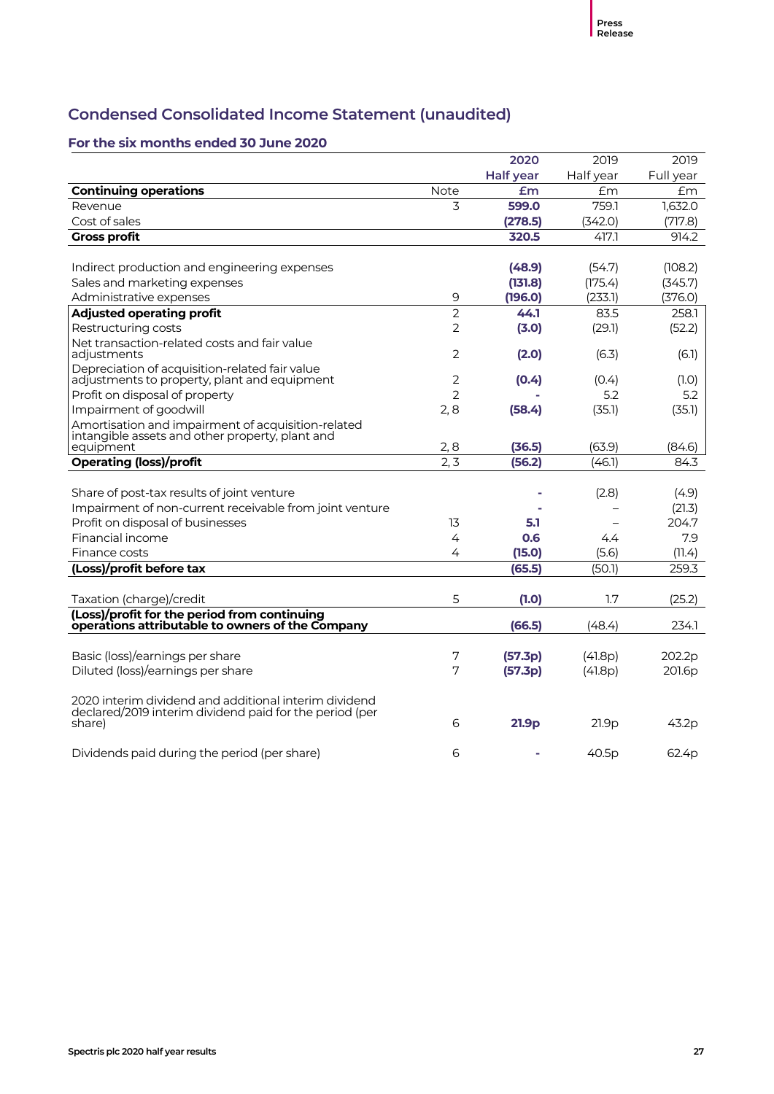## **Condensed Consolidated Income Statement (unaudited)**

|                                                                                                                  |                | 2020             | 2019      | 2019      |
|------------------------------------------------------------------------------------------------------------------|----------------|------------------|-----------|-----------|
|                                                                                                                  |                | <b>Half year</b> | Half year | Full year |
| <b>Continuing operations</b>                                                                                     | Note           | £m               | Em        | £m        |
| Revenue                                                                                                          | 3              | 599.0            | 759.1     | 1,632.0   |
| Cost of sales                                                                                                    |                | (278.5)          | (342.0)   | (717.8)   |
| <b>Gross profit</b>                                                                                              |                | 320.5            | 417.1     | 914.2     |
| Indirect production and engineering expenses                                                                     |                | (48.9)           | (54.7)    | (108.2)   |
| Sales and marketing expenses                                                                                     |                | (131.8)          | (175.4)   | (345.7)   |
| Administrative expenses                                                                                          | 9              | (196.0)          | (233.1)   | (376.0)   |
| <b>Adjusted operating profit</b>                                                                                 | $\overline{2}$ | 44.1             | 83.5      | 258.1     |
| Restructuring costs                                                                                              | $\overline{2}$ | (3.0)            | (29.1)    | (52.2)    |
| Net transaction-related costs and fair value<br>adjustments                                                      | 2              | (2.0)            | (6.3)     | (6.1)     |
| Depreciation of acquisition-related fair value<br>adjustments to property, plant and equipment                   | $\overline{2}$ | (0.4)            | (0.4)     | (1.0)     |
| Profit on disposal of property                                                                                   | $\overline{2}$ |                  | 5.2       | 5.2       |
| Impairment of goodwill                                                                                           | 2,8            | (58.4)           | (35.1)    | (35.1)    |
| Amortisation and impairment of acquisition-related<br>intangible assets and other property, plant and            |                |                  |           |           |
| equipment                                                                                                        | 2,8            | (36.5)           | (63.9)    | (84.6)    |
| <b>Operating (loss)/profit</b>                                                                                   | 2, 3           | (56.2)           | (46.1)    | 84.3      |
| Share of post-tax results of joint venture                                                                       |                |                  | (2.8)     | (4.9)     |
| Impairment of non-current receivable from joint venture                                                          |                |                  |           | (21.3)    |
| Profit on disposal of businesses                                                                                 | 13             | 5.1              |           | 204.7     |
| Financial income                                                                                                 | 4              | 0.6              | 4.4       | 7.9       |
| Finance costs                                                                                                    | 4              | (15.0)           | (5.6)     | (11.4)    |
| (Loss)/profit before tax                                                                                         |                | (65.5)           | (50.1)    | 259.3     |
|                                                                                                                  |                |                  |           |           |
| Taxation (charge)/credit                                                                                         | 5              | (1.0)            | 1.7       | (25.2)    |
| (Loss)/profit for the period from continuing<br>operations attributable to owners of the Company                 |                | (66.5)           | (48.4)    | 234.1     |
|                                                                                                                  |                |                  |           |           |
| Basic (loss)/earnings per share                                                                                  | 7              | (57.3p)          | (41.8p)   | 202.2p    |
| Diluted (loss)/earnings per share                                                                                | 7              | (57.3p)          | (41.8p)   | 201.6p    |
|                                                                                                                  |                |                  |           |           |
| 2020 interim dividend and additional interim dividend<br>declared/2019 interim dividend paid for the period (per |                |                  |           |           |
| share)                                                                                                           | 6              | 21.9p            | 21.9p     | 43.2p     |
| Dividends paid during the period (per share)                                                                     | 6              |                  | 40.5p     | 62.4p     |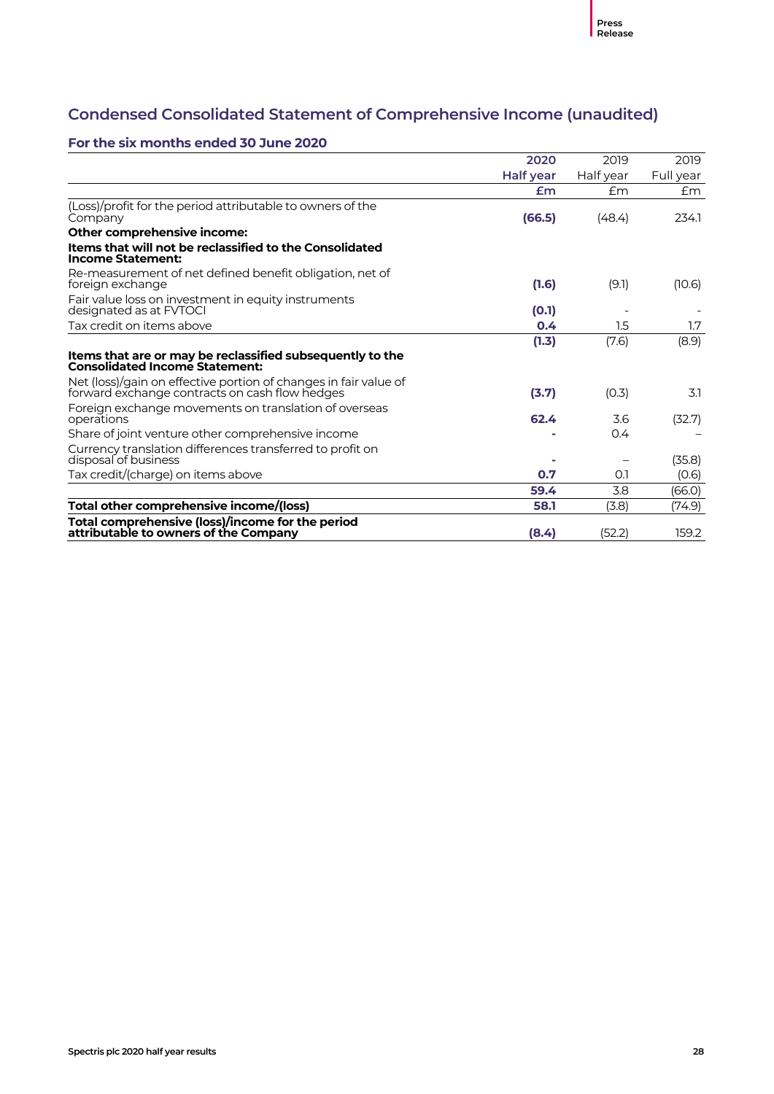## **Condensed Consolidated Statement of Comprehensive Income (unaudited)**

|                                                                                                                    | 2020      | 2019      | 2019      |
|--------------------------------------------------------------------------------------------------------------------|-----------|-----------|-----------|
|                                                                                                                    | Half year | Half year | Full year |
|                                                                                                                    | £m        | Em        | £m        |
| (Loss)/profit for the period attributable to owners of the<br>Company                                              | (66.5)    | (48.4)    | 234.1     |
| Other comprehensive income:                                                                                        |           |           |           |
| Items that will not be reclassified to the Consolidated<br><b>Income Statement:</b>                                |           |           |           |
| Re-measurement of net defined benefit obligation, net of<br>foreign exchange                                       | (1.6)     | (9.1)     | (10.6)    |
| Fair value loss on investment in equity instruments<br>designated as at FVTOCI                                     | (0.1)     |           |           |
| Tax credit on items above                                                                                          | 0.4       | $1.5\,$   | 1.7       |
|                                                                                                                    | (1.3)     | (7.6)     | (8.9)     |
| Items that are or may be reclassified subsequently to the<br><b>Consolidated Income Statement:</b>                 |           |           |           |
| Net (loss)/gain on effective portion of changes in fair value of<br>forward exchange contracts on cash flow hedges | (3.7)     | (O.3)     | 3.1       |
| Foreign exchange movements on translation of overseas<br>operations                                                | 62.4      | 3.6       | (32.7)    |
| Share of joint venture other comprehensive income                                                                  |           | 0.4       |           |
| Currency translation differences transferred to profit on<br>disposal of business                                  |           |           | (35.8)    |
| Tax credit/(charge) on items above                                                                                 | 0.7       | O.1       | (0.6)     |
|                                                                                                                    | 59.4      | 3.8       | (66.0)    |
| Total other comprehensive income/(loss)                                                                            | 58.1      | (3.8)     | (74.9)    |
| Total comprehensive (loss)/income for the period<br>attributable to owners of the Company                          | (8.4)     | (52.2)    | 159.2     |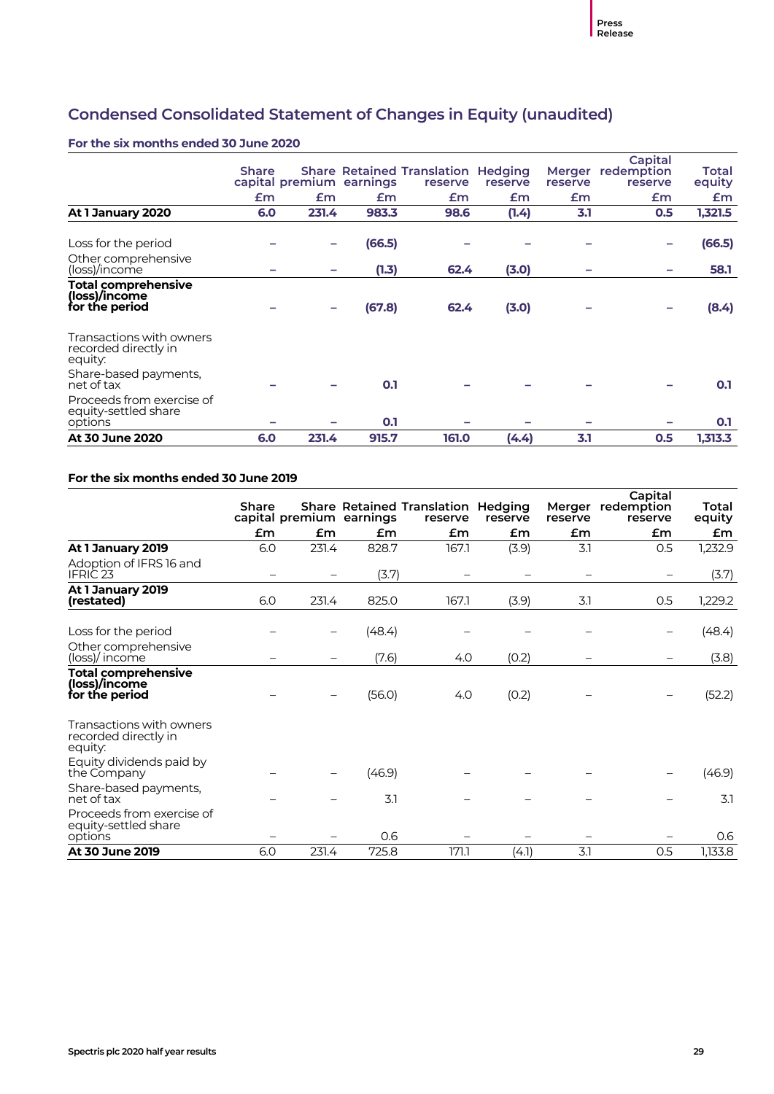## **Condensed Consolidated Statement of Changes in Equity (unaudited)**

#### **For the six months ended 30 June 2020**

|                                                               |              |       |                          |                                                      |         |         | Capital                      |                 |
|---------------------------------------------------------------|--------------|-------|--------------------------|------------------------------------------------------|---------|---------|------------------------------|-----------------|
|                                                               | <b>Share</b> |       | capital premium earnings | <b>Share Retained Translation Hedging</b><br>reserve | reserve | reserve | Merger redemption<br>reserve | Total<br>equity |
|                                                               | £m           | £m    | £m                       | £m                                                   | £m      | £m      | £m                           | £m              |
| At 1 January 2020                                             | 6.0          | 231.4 | 983.3                    | 98.6                                                 | (1.4)   | 3.1     | 0.5                          | 1,321.5         |
| Loss for the period                                           |              |       | (66.5)                   |                                                      |         |         |                              | (66.5)          |
| Other comprehensive<br>(loss)/income                          |              |       | (1.3)                    | 62.4                                                 | (3.0)   |         |                              | 58.1            |
| <b>Total comprehensive</b><br>(loss)/income<br>for the period |              |       | (67.8)                   | 62.4                                                 | (3.0)   |         |                              | (8.4)           |
| Transactions with owners<br>recorded directly in<br>equity:   |              |       |                          |                                                      |         |         |                              |                 |
| Share-based payments,<br>net of tax                           |              |       | 0.1                      |                                                      |         |         |                              | 0.1             |
| Proceeds from exercise of<br>equity-settled share<br>options  |              |       | 0.1                      |                                                      |         |         |                              | 0.1             |
| At 30 June 2020                                               | 6.0          | 231.4 | 915.7                    | 161.0                                                | (4.4)   | 3.1     | 0.5                          | 1,313.3         |

|                                                               | <b>Share</b> |       | capital premium earnings | <b>Share Retained Translation</b><br>reserve | Hedging<br>reserve | reserve | Capital<br>Merger redemption<br>reserve | Total<br>equity |
|---------------------------------------------------------------|--------------|-------|--------------------------|----------------------------------------------|--------------------|---------|-----------------------------------------|-----------------|
|                                                               | Em           | £m    | Em                       | £m                                           | £m                 | Em      | £m                                      | £m              |
| At 1 January 2019                                             | 6.0          | 231.4 | 828.7                    | 167.1                                        | (3.9)              | 3.1     | 0.5                                     | 1,232.9         |
| Adoption of IFRS 16 and<br><b>IFRIC 23</b>                    |              |       | (3.7)                    |                                              |                    |         |                                         | (3.7)           |
| At 1 January 2019<br>(restated)                               | 6.0          | 231.4 | 825.0                    | 167.1                                        | (3.9)              | 3.1     | 0.5                                     | 1,229.2         |
| Loss for the period                                           |              |       | (48.4)                   |                                              |                    |         |                                         | (48.4)          |
|                                                               |              |       |                          |                                              |                    |         |                                         |                 |
| Other comprehensive<br>(loss)/income                          |              |       | (7.6)                    | 4.0                                          | (0.2)              |         |                                         | (3.8)           |
| <b>Total comprehensive</b><br>(loss)/income<br>for the period |              |       | (56.0)                   | 4.0                                          | (0.2)              |         |                                         | (52.2)          |
| Transactions with owners<br>recorded directly in<br>equity:   |              |       |                          |                                              |                    |         |                                         |                 |
| Equity dividends paid by<br>the Company                       |              |       | (46.9)                   |                                              |                    |         |                                         | (46.9)          |
| Share-based payments,<br>net of tax                           |              |       | 3.1                      |                                              |                    |         |                                         | 3.1             |
| Proceeds from exercise of<br>equity-settled share<br>options  |              |       | 0.6                      |                                              |                    |         |                                         | 0.6             |
| At 30 June 2019                                               | 6.0          | 231.4 | 725.8                    | 171.1                                        | (4.1)              | 3.1     | 0.5                                     | 1,133.8         |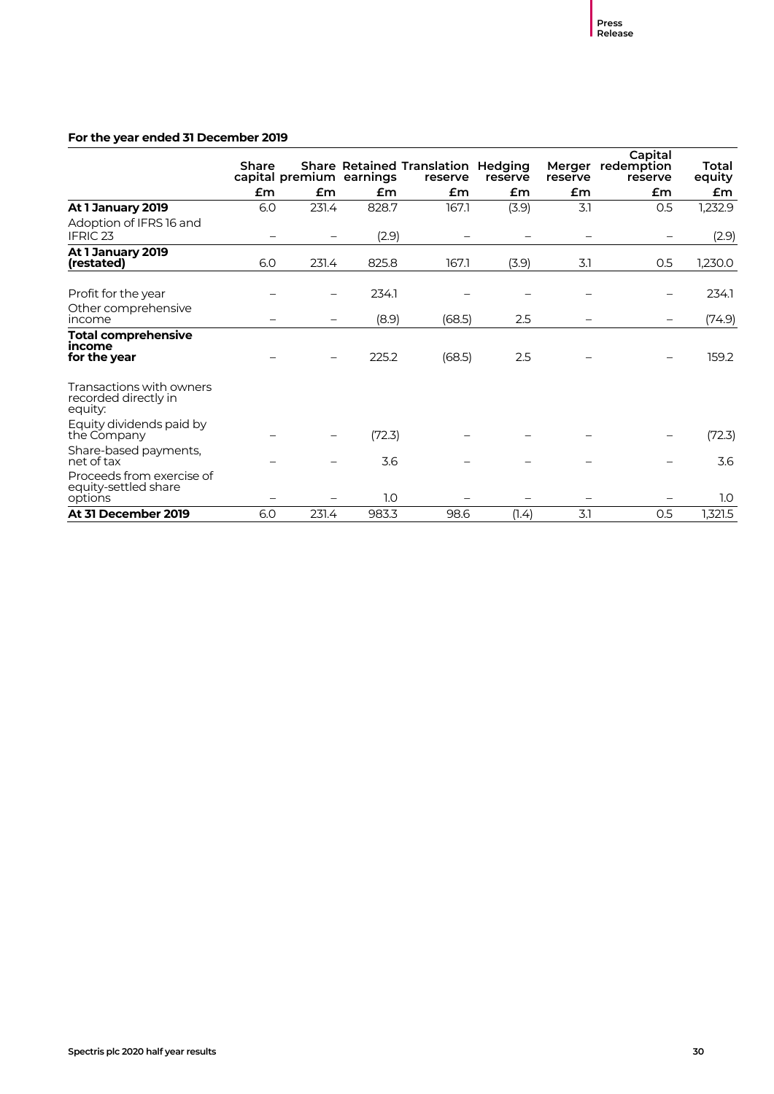#### **For the year ended 31 December 2019**

|                                                              | Share |       | capital premium earnings | <b>Share Retained Translation Hedging</b><br>reserve | reserve | reserve | Capital<br>Merger redemption<br>reserve | Total<br>equity |
|--------------------------------------------------------------|-------|-------|--------------------------|------------------------------------------------------|---------|---------|-----------------------------------------|-----------------|
|                                                              | Em    | Em    | Em                       | Em                                                   | Em      | Em      | Em                                      | £m              |
| At 1 January 2019                                            | 6.0   | 231.4 | 828.7                    | 167.1                                                | (3.9)   | 3.1     | 0.5                                     | 1,232.9         |
| Adoption of IFRS 16 and<br>IFRIC <sub>23</sub>               |       |       | (2.9)                    |                                                      |         |         |                                         | (2.9)           |
| At 1 January 2019<br>(restated)                              | 6.0   | 231.4 | 825.8                    | 167.1                                                | (3.9)   | 3.1     | 0.5                                     | 1,230.0         |
| Profit for the year                                          |       |       | 234.1                    |                                                      |         |         |                                         | 234.1           |
| Other comprehensive<br>income                                |       |       | (8.9)                    | (68.5)                                               | 2.5     |         |                                         | (74.9)          |
| <b>Total comprehensive</b><br><i>income</i><br>for the year  |       |       | 225.2                    | (68.5)                                               | 2.5     |         |                                         | 159.2           |
| Transactions with owners<br>recorded directly in<br>equity:  |       |       |                          |                                                      |         |         |                                         |                 |
| Equity dividends paid by<br>the Company                      |       |       | (72.3)                   |                                                      |         |         |                                         | (72.3)          |
| Share-based payments,<br>net of tax                          |       |       | 3.6                      |                                                      |         |         |                                         | 3.6             |
| Proceeds from exercise of<br>equity-settled share<br>options |       |       | 1.0                      |                                                      |         |         |                                         | 1.0             |
| At 31 December 2019                                          | 6.0   | 231.4 | 983.3                    | 98.6                                                 | (1.4)   | 3.1     | 0.5                                     | 1,321.5         |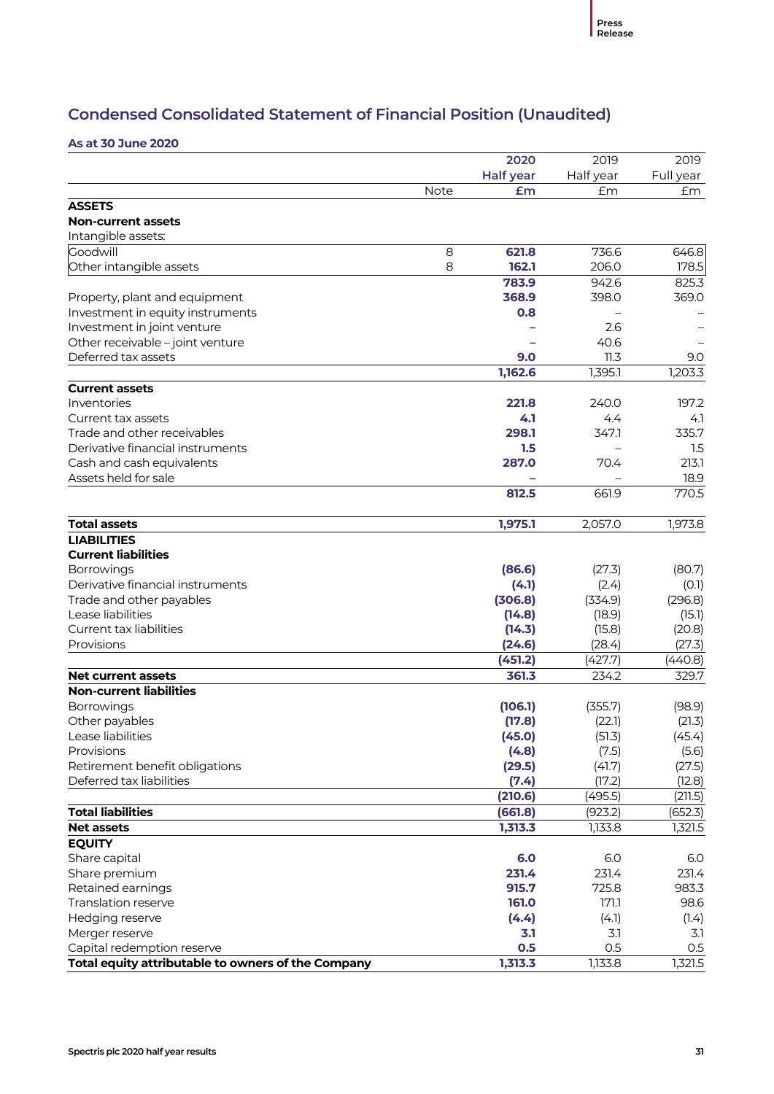## **Condensed Consolidated Statement of Financial Position (Unaudited)**

#### **As at 30 June 2020**

|                                                    |      | 2020             | 2019      | 2019      |
|----------------------------------------------------|------|------------------|-----------|-----------|
|                                                    |      | <b>Half year</b> | Half year | Full year |
|                                                    | Note | £m               | £m        | £m        |
| <b>ASSETS</b>                                      |      |                  |           |           |
| <b>Non-current assets</b>                          |      |                  |           |           |
| Intangible assets:                                 |      |                  |           |           |
| Goodwill                                           | 8    | 621.8            | 736.6     | 646.8     |
| Other intangible assets                            | 8    | 162.1            | 206.0     | 178.5     |
|                                                    |      | 783.9            | 942.6     | 825.3     |
| Property, plant and equipment                      |      | 368.9            | 398.0     | 369.0     |
| Investment in equity instruments                   |      | 0.8              |           |           |
| Investment in joint venture                        |      |                  | 2.6       |           |
| Other receivable - joint venture                   |      |                  | 40.6      |           |
| Deferred tax assets                                |      | 9.0              | 11.3      | 9.0       |
|                                                    |      | 1,162.6          | 1,395.1   | 1,203.3   |
| <b>Current assets</b>                              |      |                  |           |           |
| Inventories                                        |      | 221.8            | 240.0     | 197.2     |
| Current tax assets                                 |      | 4.1              | 4.4       | 4.1       |
| Trade and other receivables                        |      | 298.1            | 347.1     | 335.7     |
| Derivative financial instruments                   |      | 1.5              |           | 1.5       |
| Cash and cash equivalents                          |      | 287.0            | 70.4      | 213.1     |
| Assets held for sale                               |      |                  |           | 18.9      |
|                                                    |      | 812.5            | 661.9     | 770.5     |
|                                                    |      |                  |           |           |
| <b>Total assets</b>                                |      | 1,975.1          | 2,057.0   | 1,973.8   |
| <b>LIABILITIES</b>                                 |      |                  |           |           |
| <b>Current liabilities</b>                         |      |                  |           |           |
| <b>Borrowings</b>                                  |      | (86.6)           | (27.3)    | (80.7)    |
| Derivative financial instruments                   |      | (4.1)            | (2.4)     | (O.1)     |
| Trade and other payables                           |      | (306.8)          | (334.9)   | (296.8)   |
| Lease liabilities                                  |      | (14.8)           | (18.9)    | (15.1)    |
| <b>Current tax liabilities</b>                     |      | (14.3)           | (15.8)    | (20.8)    |
| Provisions                                         |      | (24.6)           | (28.4)    | (27.3)    |
|                                                    |      | (451.2)          | (427.7)   | (440.8)   |
| <b>Net current assets</b>                          |      | 361.3            | 234.2     | 329.7     |
| <b>Non-current liabilities</b>                     |      |                  |           |           |
| Borrowings                                         |      | (106.1)          | (355.7)   | (98.9)    |
| Other payables                                     |      | (17.8)           | (22.1)    | (21.3)    |
| Lease liabilities                                  |      | (45.0)           | (51.3)    | (45.4)    |
| Provisions                                         |      | (4.8)            | (7.5)     | (5.6)     |
| Retirement benefit obligations                     |      | (29.5)           | (41.7)    | (27.5)    |
| Deferred tax liabilities                           |      | (7.4)            | (17.2)    | (12.8)    |
|                                                    |      | (210.6)          | (495.5)   | (211.5)   |
| <b>Total liabilities</b>                           |      | (661.8)          | (923.2)   | (652.3)   |
| <b>Net assets</b>                                  |      | 1,313.3          | 1,133.8   | 1,321.5   |
| <b>EQUITY</b>                                      |      |                  |           |           |
| Share capital                                      |      | 6.0              | 6.0       | 6.0       |
| Share premium                                      |      | 231.4            | 231.4     | 231.4     |
| Retained earnings                                  |      | 915.7            | 725.8     | 983.3     |
| Translation reserve                                |      | 161.0            | 171.1     | 98.6      |
| Hedging reserve                                    |      | (4.4)            | (4.1)     | (1.4)     |
| Merger reserve                                     |      | 3.1              | 3.1       | 3.1       |
| Capital redemption reserve                         |      | 0.5              | 0.5       | 0.5       |
| Total equity attributable to owners of the Company |      | 1,313.3          | 1,133.8   | 1,321.5   |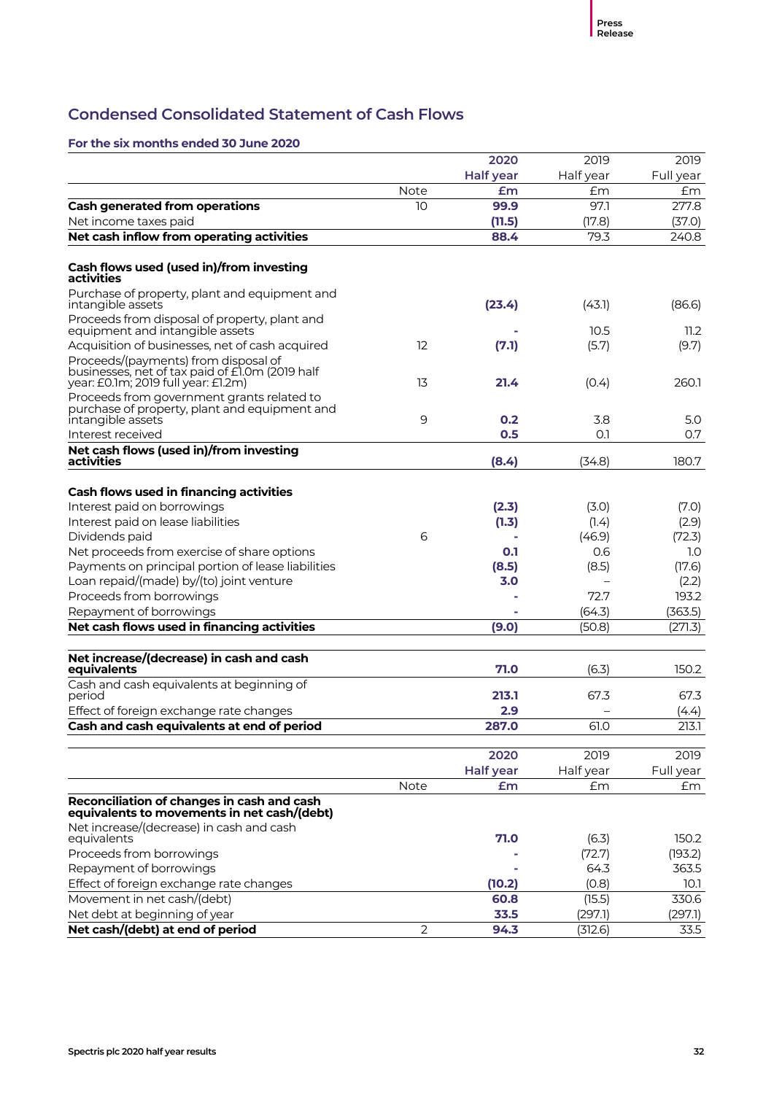## **Condensed Consolidated Statement of Cash Flows**

|                                                                                                                                |                   | 2020             | 2019              | 2019             |
|--------------------------------------------------------------------------------------------------------------------------------|-------------------|------------------|-------------------|------------------|
|                                                                                                                                |                   | <b>Half year</b> | Half year         | Full year        |
|                                                                                                                                | Note              | Em               | £m                | £m               |
| <b>Cash generated from operations</b>                                                                                          | 10                | 99.9             | 97.1              | 277.8            |
| Net income taxes paid                                                                                                          |                   | (11.5)           | (17.8)            | (37.0)           |
| Net cash inflow from operating activities                                                                                      |                   | 88.4             | 79.3              | 240.8            |
|                                                                                                                                |                   |                  |                   |                  |
| Cash flows used (used in)/from investing<br>activities                                                                         |                   |                  |                   |                  |
| Purchase of property, plant and equipment and<br>intangible assets                                                             |                   | (23.4)           | (43.1)            | (86.6)           |
| Proceeds from disposal of property, plant and<br>equipment and intangible assets                                               |                   |                  | 10.5              | 11.2             |
| Acquisition of businesses, net of cash acquired                                                                                | $12 \overline{ }$ | (7.1)            | (5.7)             | (9.7)            |
| Proceeds/(payments) from disposal of<br>businesses, net of tax paid of £1.0m (2019 half<br>year: £0.1m; 2019 full year: £1.2m) | 13                | 21.4             | (0.4)             | 260.1            |
| Proceeds from government grants related to<br>purchase of property, plant and equipment and<br>intangible assets               | 9                 | 0.2              | 3.8               | 5.0              |
| Interest received                                                                                                              |                   | 0.5              | O.1               | 0.7              |
| Net cash flows (used in)/from investing<br>activities                                                                          |                   | (8.4)            | (34.8)            | 180.7            |
|                                                                                                                                |                   |                  |                   |                  |
| <b>Cash flows used in financing activities</b>                                                                                 |                   |                  |                   |                  |
| Interest paid on borrowings                                                                                                    |                   | (2.3)            | (3.0)             | (7.0)            |
| Interest paid on lease liabilities                                                                                             |                   | (1.3)            | (1.4)             | (2.9)            |
| Dividends paid                                                                                                                 | 6                 |                  | (46.9)            | (72.3)           |
| Net proceeds from exercise of share options                                                                                    |                   | 0.1              | 0.6               | 1.0              |
| Payments on principal portion of lease liabilities                                                                             |                   | (8.5)            | (8.5)             | (17.6)           |
| Loan repaid/(made) by/(to) joint venture                                                                                       |                   | 3.0              |                   | (2.2)            |
| Proceeds from borrowings                                                                                                       |                   |                  | 72.7              | 193.2            |
| Repayment of borrowings                                                                                                        |                   |                  | (64.3)            | (363.5)          |
| Net cash flows used in financing activities                                                                                    |                   | (9.0)            | (50.8)            | (271.3)          |
| Net increase/(decrease) in cash and cash<br>equivalents                                                                        |                   | 71.0             | (6.3)             | 150.2            |
| Cash and cash equivalents at beginning of<br>period                                                                            |                   | 213.1            | 67.3              | 67.3             |
| Effect of foreign exchange rate changes                                                                                        |                   | 2.9              |                   | (4.4)            |
| Cash and cash equivalents at end of period                                                                                     |                   | 287.0            | 61.0              | 213.1            |
|                                                                                                                                |                   |                  |                   |                  |
|                                                                                                                                |                   | 2020             | 2019              | 2019             |
|                                                                                                                                |                   | <b>Half year</b> | Half year         | Full year        |
|                                                                                                                                | Note              | £m               | £m                | £m               |
| Reconciliation of changes in cash and cash<br>equivalents to movements in net cash/(debt)                                      |                   |                  |                   |                  |
| Net increase/(decrease) in cash and cash                                                                                       |                   |                  |                   |                  |
| equivalents                                                                                                                    |                   | 71.0             | (6.3)             | 150.2            |
| Proceeds from borrowings                                                                                                       |                   |                  | (72.7)            | (193.2)          |
| Repayment of borrowings                                                                                                        |                   |                  | 64.3              | 363.5            |
| Effect of foreign exchange rate changes                                                                                        |                   | (10.2)           | (0.8)             | 10.1             |
| Movement in net cash/(debt)<br>Net debt at beginning of year                                                                   |                   | 60.8<br>33.5     | (15.5)<br>(297.1) | 330.6<br>(297.1) |
| Net cash/(debt) at end of period                                                                                               | 2                 | 94.3             | (312.6)           | 33.5             |
|                                                                                                                                |                   |                  |                   |                  |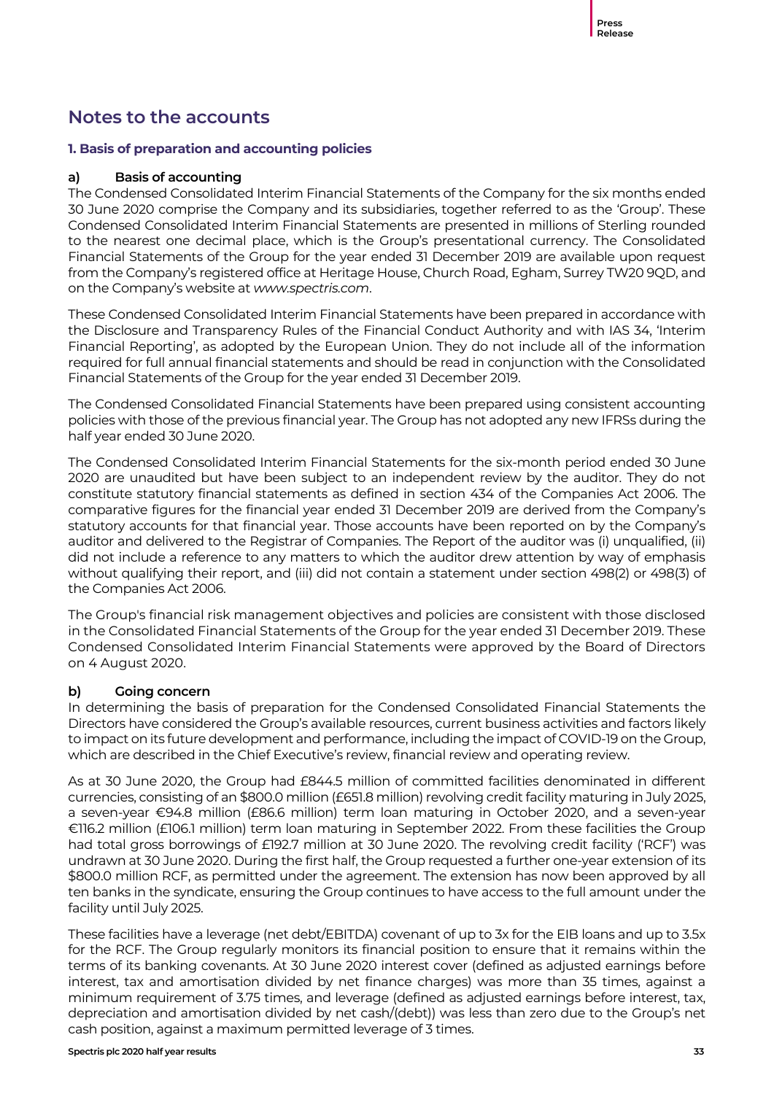## **Notes to the accounts**

#### **1. Basis of preparation and accounting policies**

#### **a) Basis of accounting**

The Condensed Consolidated Interim Financial Statements of the Company for the six months ended 30 June 2020 comprise the Company and its subsidiaries, together referred to as the 'Group'. These Condensed Consolidated Interim Financial Statements are presented in millions of Sterling rounded to the nearest one decimal place, which is the Group's presentational currency. The Consolidated Financial Statements of the Group for the year ended 31 December 2019 are available upon request from the Company's registered office at Heritage House, Church Road, Egham, Surrey TW20 9QD, and on the Company's website at *www.spectris.com*.

These Condensed Consolidated Interim Financial Statements have been prepared in accordance with the Disclosure and Transparency Rules of the Financial Conduct Authority and with IAS 34, 'Interim Financial Reporting', as adopted by the European Union. They do not include all of the information required for full annual financial statements and should be read in conjunction with the Consolidated Financial Statements of the Group for the year ended 31 December 2019.

The Condensed Consolidated Financial Statements have been prepared using consistent accounting policies with those of the previous financial year. The Group has not adopted any new IFRSs during the half year ended 30 June 2020.

The Condensed Consolidated Interim Financial Statements for the six-month period ended 30 June 2020 are unaudited but have been subject to an independent review by the auditor. They do not constitute statutory financial statements as defined in section 434 of the Companies Act 2006. The comparative figures for the financial year ended 31 December 2019 are derived from the Company's statutory accounts for that financial year. Those accounts have been reported on by the Company's auditor and delivered to the Registrar of Companies. The Report of the auditor was (i) unqualified, (ii) did not include a reference to any matters to which the auditor drew attention by way of emphasis without qualifying their report, and (iii) did not contain a statement under section 498(2) or 498(3) of the Companies Act 2006.

The Group's financial risk management objectives and policies are consistent with those disclosed in the Consolidated Financial Statements of the Group for the year ended 31 December 2019. These Condensed Consolidated Interim Financial Statements were approved by the Board of Directors on 4 August 2020.

#### **b) Going concern**

In determining the basis of preparation for the Condensed Consolidated Financial Statements the Directors have considered the Group's available resources, current business activities and factors likely to impact on its future development and performance, including the impact of COVID-19 on the Group, which are described in the Chief Executive's review, financial review and operating review.

As at 30 June 2020, the Group had £844.5 million of committed facilities denominated in different currencies, consisting of an \$800.0 million (£651.8 million) revolving credit facility maturing in July 2025, a seven-year €94.8 million (£86.6 million) term loan maturing in October 2020, and a seven-year €116.2 million (£106.1 million) term loan maturing in September 2022. From these facilities the Group had total gross borrowings of £192.7 million at 30 June 2020. The revolving credit facility ('RCF') was undrawn at 30 June 2020. During the first half, the Group requested a further one-year extension of its \$800.0 million RCF, as permitted under the agreement. The extension has now been approved by all ten banks in the syndicate, ensuring the Group continues to have access to the full amount under the facility until July 2025.

These facilities have a leverage (net debt/EBITDA) covenant of up to 3x for the EIB loans and up to 3.5x for the RCF. The Group regularly monitors its financial position to ensure that it remains within the terms of its banking covenants. At 30 June 2020 interest cover (defined as adjusted earnings before interest, tax and amortisation divided by net finance charges) was more than 35 times, against a minimum requirement of 3.75 times, and leverage (defined as adjusted earnings before interest, tax, depreciation and amortisation divided by net cash/(debt)) was less than zero due to the Group's net cash position, against a maximum permitted leverage of 3 times.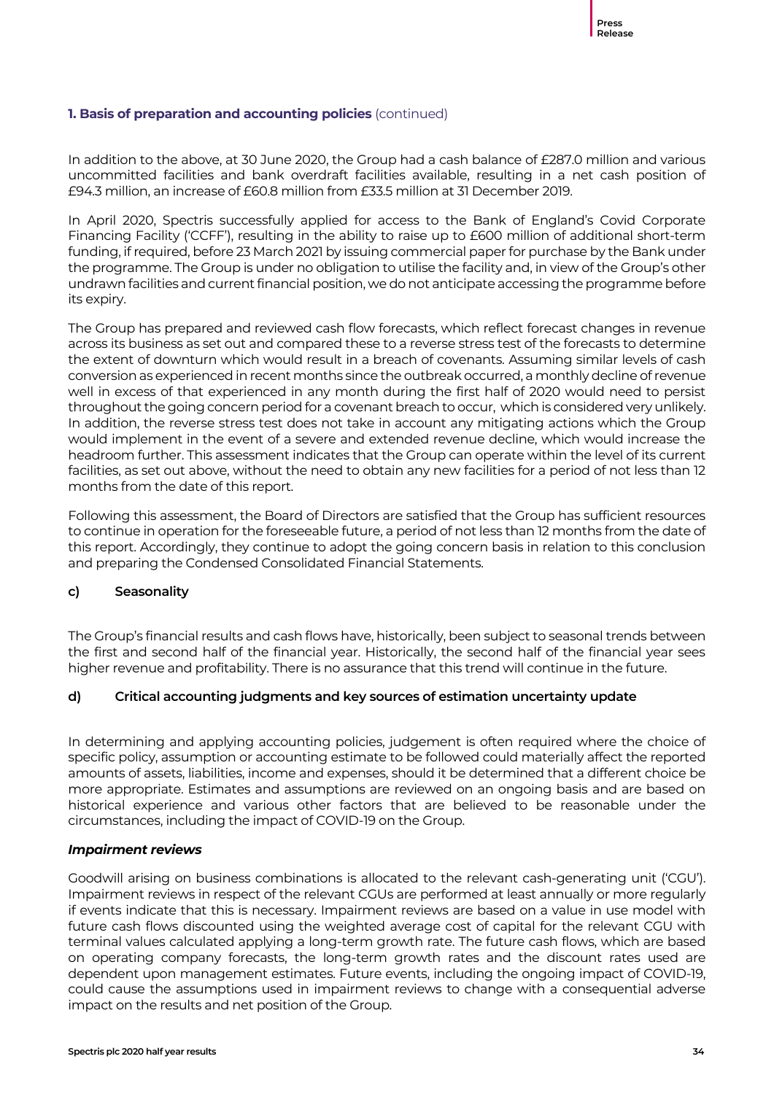#### **1. Basis of preparation and accounting policies** (continued)

In addition to the above, at 30 June 2020, the Group had a cash balance of £287.0 million and various uncommitted facilities and bank overdraft facilities available, resulting in a net cash position of £94.3 million, an increase of £60.8 million from £33.5 million at 31 December 2019.

In April 2020, Spectris successfully applied for access to the Bank of England's Covid Corporate Financing Facility ('CCFF'), resulting in the ability to raise up to £600 million of additional short-term funding, if required, before 23 March 2021 by issuing commercial paper for purchase by the Bank under the programme. The Group is under no obligation to utilise the facility and, in view of the Group's other undrawn facilities and current financial position, we do not anticipate accessing the programme before its expiry.

The Group has prepared and reviewed cash flow forecasts, which reflect forecast changes in revenue across its business as set out and compared these to a reverse stress test of the forecasts to determine the extent of downturn which would result in a breach of covenants. Assuming similar levels of cash conversion as experienced in recent months since the outbreak occurred, a monthly decline of revenue well in excess of that experienced in any month during the first half of 2020 would need to persist throughout the going concern period for a covenant breach to occur, which is considered very unlikely. In addition, the reverse stress test does not take in account any mitigating actions which the Group would implement in the event of a severe and extended revenue decline, which would increase the headroom further. This assessment indicates that the Group can operate within the level of its current facilities, as set out above, without the need to obtain any new facilities for a period of not less than 12 months from the date of this report.

Following this assessment, the Board of Directors are satisfied that the Group has sufficient resources to continue in operation for the foreseeable future, a period of not less than 12 months from the date of this report. Accordingly, they continue to adopt the going concern basis in relation to this conclusion and preparing the Condensed Consolidated Financial Statements.

#### **c) Seasonality**

The Group's financial results and cash flows have, historically, been subject to seasonal trends between the first and second half of the financial year. Historically, the second half of the financial year sees higher revenue and profitability. There is no assurance that this trend will continue in the future.

#### **d) Critical accounting judgments and key sources of estimation uncertainty update**

In determining and applying accounting policies, judgement is often required where the choice of specific policy, assumption or accounting estimate to be followed could materially affect the reported amounts of assets, liabilities, income and expenses, should it be determined that a different choice be more appropriate. Estimates and assumptions are reviewed on an ongoing basis and are based on historical experience and various other factors that are believed to be reasonable under the circumstances, including the impact of COVID-19 on the Group.

#### *Impairment reviews*

Goodwill arising on business combinations is allocated to the relevant cash-generating unit ('CGU'). Impairment reviews in respect of the relevant CGUs are performed at least annually or more regularly if events indicate that this is necessary. Impairment reviews are based on a value in use model with future cash flows discounted using the weighted average cost of capital for the relevant CGU with terminal values calculated applying a long-term growth rate. The future cash flows, which are based on operating company forecasts, the long-term growth rates and the discount rates used are dependent upon management estimates. Future events, including the ongoing impact of COVID-19, could cause the assumptions used in impairment reviews to change with a consequential adverse impact on the results and net position of the Group.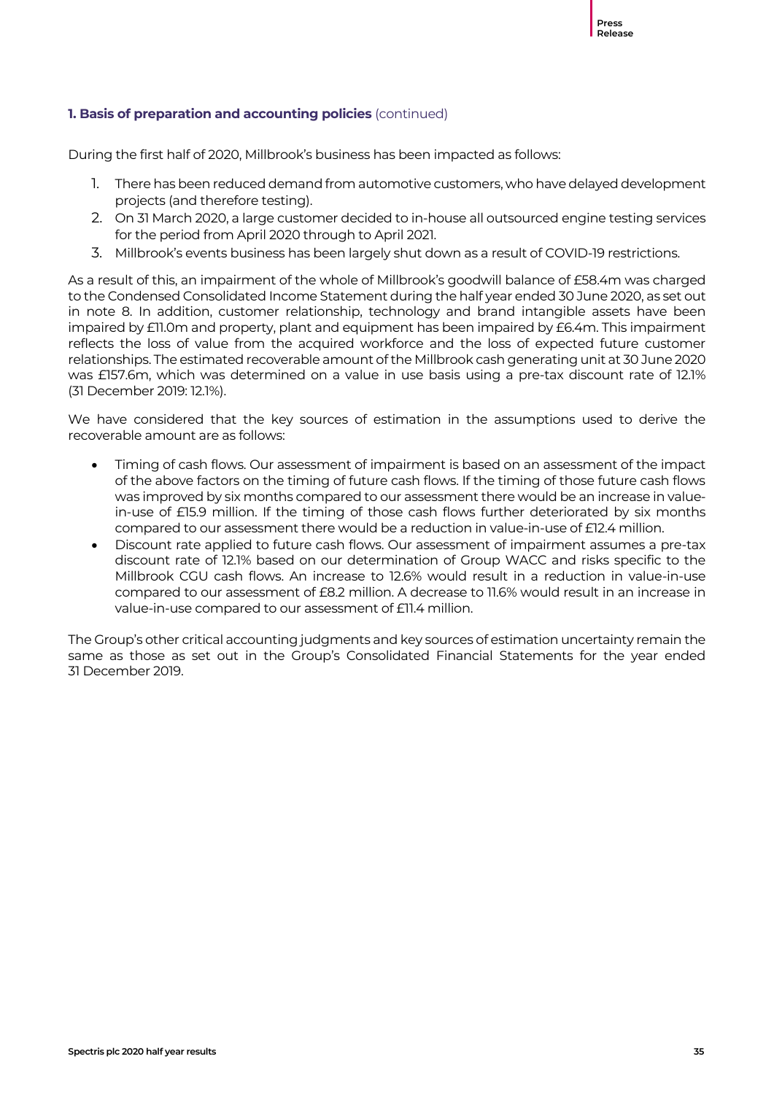#### **1. Basis of preparation and accounting policies** (continued)

During the first half of 2020, Millbrook's business has been impacted as follows:

- 1. There has been reduced demand from automotive customers, who have delayed development projects (and therefore testing).
- 2. On 31 March 2020, a large customer decided to in-house all outsourced engine testing services for the period from April 2020 through to April 2021.
- 3. Millbrook's events business has been largely shut down as a result of COVID-19 restrictions.

As a result of this, an impairment of the whole of Millbrook's goodwill balance of £58.4m was charged to the Condensed Consolidated Income Statement during the half year ended 30 June 2020, as set out in note 8. In addition, customer relationship, technology and brand intangible assets have been impaired by £11.0m and property, plant and equipment has been impaired by £6.4m. This impairment reflects the loss of value from the acquired workforce and the loss of expected future customer relationships. The estimated recoverable amount of the Millbrook cash generating unit at 30 June 2020 was £157.6m, which was determined on a value in use basis using a pre-tax discount rate of 12.1% (31 December 2019: 12.1%).

We have considered that the key sources of estimation in the assumptions used to derive the recoverable amount are as follows:

- Timing of cash flows. Our assessment of impairment is based on an assessment of the impact of the above factors on the timing of future cash flows. If the timing of those future cash flows was improved by six months compared to our assessment there would be an increase in valuein-use of £15.9 million. If the timing of those cash flows further deteriorated by six months compared to our assessment there would be a reduction in value-in-use of £12.4 million.
- Discount rate applied to future cash flows. Our assessment of impairment assumes a pre-tax discount rate of 12.1% based on our determination of Group WACC and risks specific to the Millbrook CGU cash flows. An increase to 12.6% would result in a reduction in value-in-use compared to our assessment of £8.2 million. A decrease to 11.6% would result in an increase in value-in-use compared to our assessment of £11.4 million.

The Group's other critical accounting judgments and key sources of estimation uncertainty remain the same as those as set out in the Group's Consolidated Financial Statements for the year ended 31 December 2019.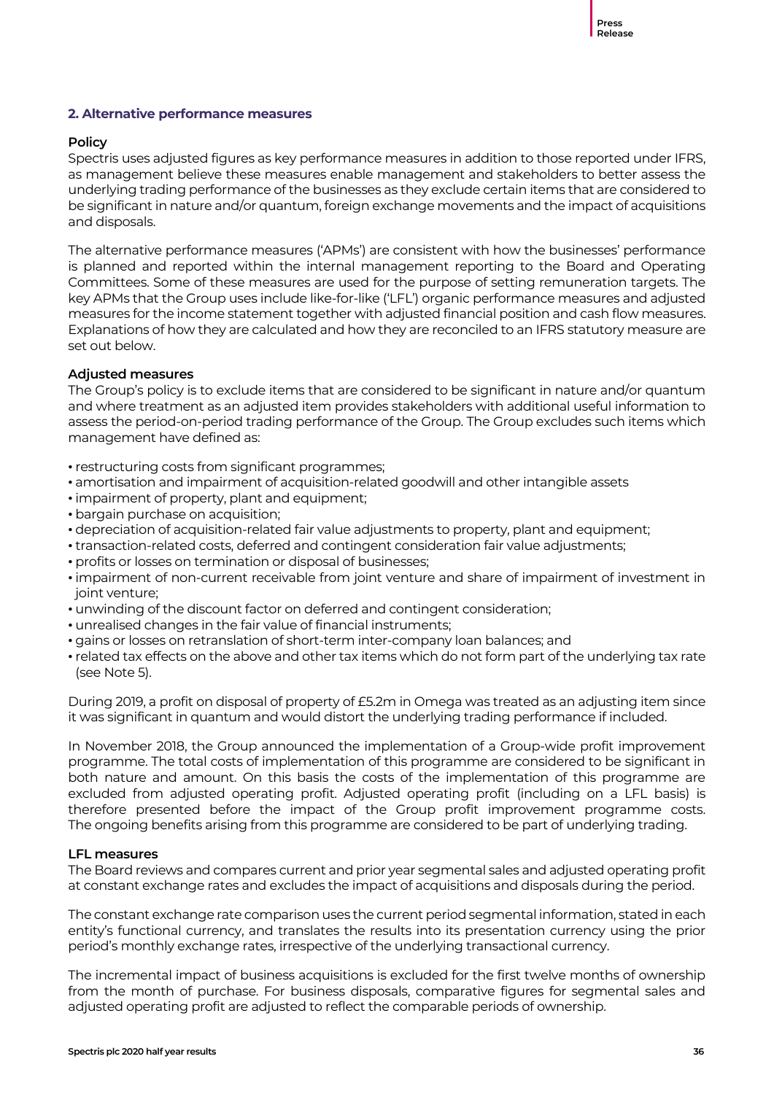#### **2. Alternative performance measures**

#### **Policy**

Spectris uses adjusted figures as key performance measures in addition to those reported under IFRS, as management believe these measures enable management and stakeholders to better assess the underlying trading performance of the businesses as they exclude certain items that are considered to be significant in nature and/or quantum, foreign exchange movements and the impact of acquisitions and disposals.

The alternative performance measures ('APMs') are consistent with how the businesses' performance is planned and reported within the internal management reporting to the Board and Operating Committees. Some of these measures are used for the purpose of setting remuneration targets. The key APMs that the Group uses include like-for-like ('LFL') organic performance measures and adjusted measures for the income statement together with adjusted financial position and cash flow measures. Explanations of how they are calculated and how they are reconciled to an IFRS statutory measure are set out below.

#### **Adjusted measures**

The Group's policy is to exclude items that are considered to be significant in nature and/or quantum and where treatment as an adjusted item provides stakeholders with additional useful information to assess the period-on-period trading performance of the Group. The Group excludes such items which management have defined as:

- restructuring costs from significant programmes;
- amortisation and impairment of acquisition-related goodwill and other intangible assets
- impairment of property, plant and equipment;
- bargain purchase on acquisition:
- depreciation of acquisition-related fair value adjustments to property, plant and equipment;
- transaction-related costs, deferred and contingent consideration fair value adjustments;
- profits or losses on termination or disposal of businesses;
- impairment of non-current receivable from joint venture and share of impairment of investment in joint venture;
- unwinding of the discount factor on deferred and contingent consideration;
- unrealised changes in the fair value of financial instruments;
- gains or losses on retranslation of short-term inter-company loan balances; and
- related tax effects on the above and other tax items which do not form part of the underlying tax rate (see Note 5).

During 2019, a profit on disposal of property of £5.2m in Omega was treated as an adjusting item since it was significant in quantum and would distort the underlying trading performance if included.

In November 2018, the Group announced the implementation of a Group-wide profit improvement programme. The total costs of implementation of this programme are considered to be significant in both nature and amount. On this basis the costs of the implementation of this programme are excluded from adjusted operating profit. Adjusted operating profit (including on a LFL basis) is therefore presented before the impact of the Group profit improvement programme costs. The ongoing benefits arising from this programme are considered to be part of underlying trading.

#### **LFL measures**

The Board reviews and compares current and prior year segmental sales and adjusted operating profit at constant exchange rates and excludes the impact of acquisitions and disposals during the period.

The constant exchange rate comparison uses the current period segmental information, stated in each entity's functional currency, and translates the results into its presentation currency using the prior period's monthly exchange rates, irrespective of the underlying transactional currency.

The incremental impact of business acquisitions is excluded for the first twelve months of ownership from the month of purchase. For business disposals, comparative figures for segmental sales and adjusted operating profit are adjusted to reflect the comparable periods of ownership.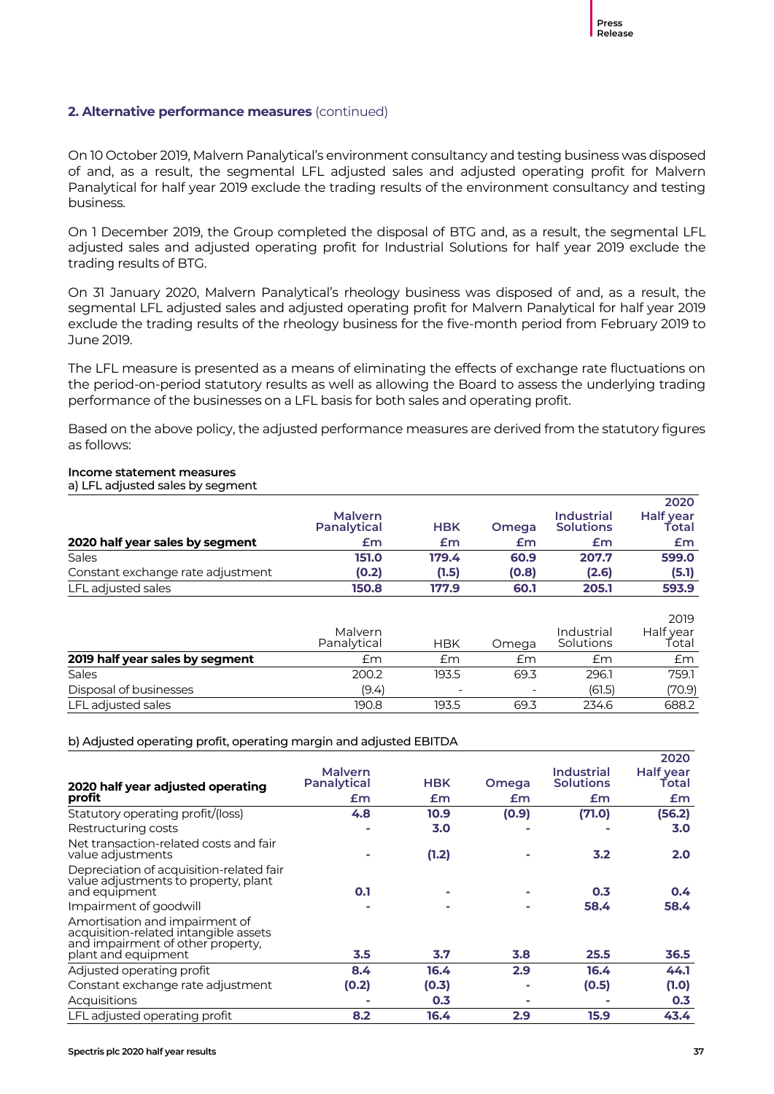On 10 October 2019, Malvern Panalytical's environment consultancy and testing business was disposed of and, as a result, the segmental LFL adjusted sales and adjusted operating profit for Malvern Panalytical for half year 2019 exclude the trading results of the environment consultancy and testing business.

On 1 December 2019, the Group completed the disposal of BTG and, as a result, the segmental LFL adjusted sales and adjusted operating profit for Industrial Solutions for half year 2019 exclude the trading results of BTG.

On 31 January 2020, Malvern Panalytical's rheology business was disposed of and, as a result, the segmental LFL adjusted sales and adjusted operating profit for Malvern Panalytical for half year 2019 exclude the trading results of the rheology business for the five-month period from February 2019 to June 2019.

The LFL measure is presented as a means of eliminating the effects of exchange rate fluctuations on the period-on-period statutory results as well as allowing the Board to assess the underlying trading performance of the businesses on a LFL basis for both sales and operating profit.

Based on the above policy, the adjusted performance measures are derived from the statutory figures as follows:

#### **Income statement measures**

a) LFL adjusted sales by segment

|                                   |                               |            |              |                                       | 2020               |
|-----------------------------------|-------------------------------|------------|--------------|---------------------------------------|--------------------|
|                                   | <b>Malvern</b><br>Panalytical | <b>HBK</b> | <b>Omega</b> | <b>Industrial</b><br><b>Solutions</b> | Half year<br>Total |
| 2020 half year sales by segment   | £m                            | £m         | £m           | £m                                    | £m                 |
| Sales                             | 151.0                         | 179.4      | 60.9         | 207.7                                 | 599.0              |
| Constant exchange rate adjustment | (0.2)                         | (1.5)      | (0.8)        | (2.6)                                 | (5.1)              |
| LFL adjusted sales                | 150.8                         | 177.9      | 60.1         | 205.1                                 | 593.9              |

|                                 |                        |                          |                          |                         | 2019               |
|---------------------------------|------------------------|--------------------------|--------------------------|-------------------------|--------------------|
|                                 | Malvern<br>Panalytical | <b>HBK</b>               | Omeaa                    | Industrial<br>Solutions | Half year<br>Total |
| 2019 half year sales by segment | £m                     | £m                       | £m                       | £m                      | £m                 |
| Sales                           | 200.2                  | 193.5                    | 69.3                     | 296.1                   | 759.1              |
| Disposal of businesses          | (9.4)                  | $\overline{\phantom{a}}$ | $\overline{\phantom{0}}$ | (61.5)                  | (70.9)             |
| LFL adjusted sales              | 190.8                  | 193.5                    | 69.3                     | 234.6                   | 688.2              |

b) Adjusted operating profit, operating margin and adjusted EBITDA

|                                                                                                                                     |                               |            |              |                                | 2020                      |
|-------------------------------------------------------------------------------------------------------------------------------------|-------------------------------|------------|--------------|--------------------------------|---------------------------|
| 2020 half year adjusted operating                                                                                                   | <b>Malvern</b><br>Panalytical | <b>HBK</b> | <b>Omega</b> | Industrial<br><b>Solutions</b> | <b>Half year</b><br>Total |
| profit                                                                                                                              | £m                            | £m         | £m           | £m                             | £m                        |
| Statutory operating profit/(loss)                                                                                                   | 4.8                           | 10.9       | (0.9)        | (71.0)                         | (56.2)                    |
| Restructuring costs                                                                                                                 |                               | 3.0        |              |                                | 3.0                       |
| Net transaction-related costs and fair<br>value adjustments                                                                         |                               | (1.2)      |              | 3.2                            | 2.0                       |
| Depreciation of acquisition-related fair<br>value adjustments to property, plant<br>and equipment                                   | 0.1                           |            |              | 0.3                            | $0.4^{\circ}$             |
| Impairment of goodwill                                                                                                              |                               |            |              | 58.4                           | 58.4                      |
| Amortisation and impairment of<br>acquisition-related intangible assets<br>and impairment of other property,<br>plant and equipment | 3.5                           | 3.7        | 3.8          | 25.5                           | 36.5                      |
| Adjusted operating profit                                                                                                           | 8.4                           | 16.4       | 2.9          | 16.4                           | 44.1                      |
| Constant exchange rate adjustment                                                                                                   | (0.2)                         | (0.3)      | ۰            | (0.5)                          | (1.0)                     |
| Acquisitions                                                                                                                        |                               | 0.3        |              |                                | 0.3                       |
| LFL adjusted operating profit                                                                                                       | 8.2                           | 16.4       | 2.9          | 15.9                           | 43.4                      |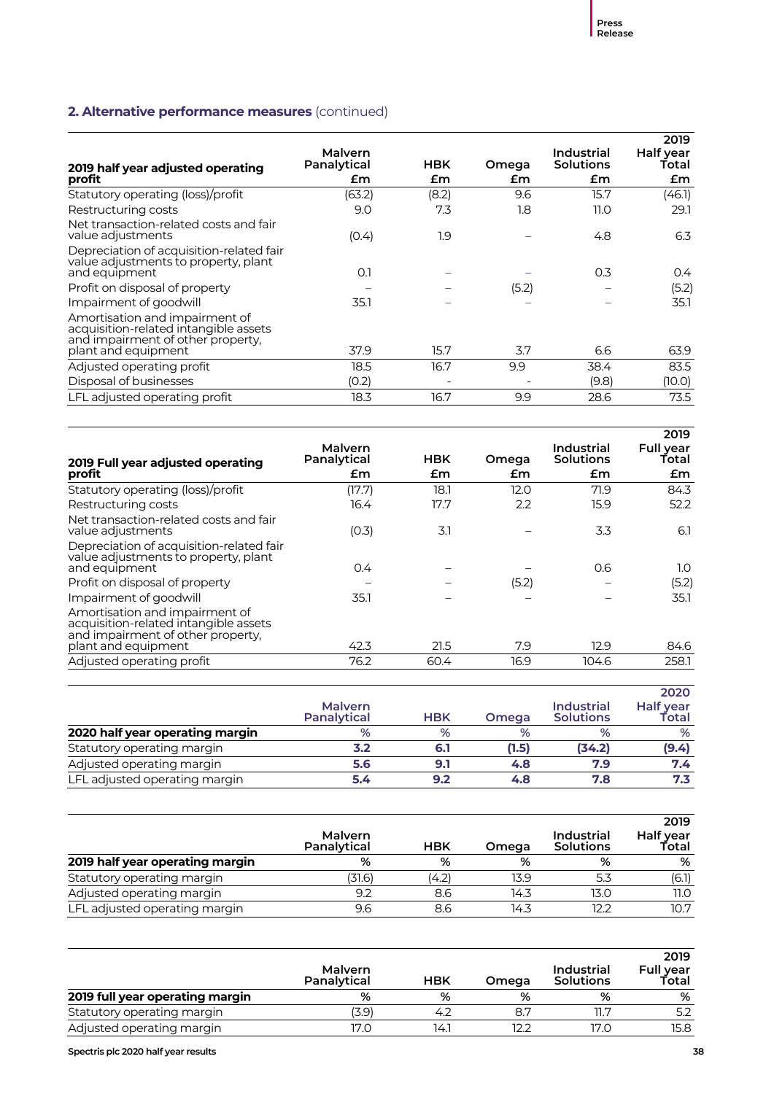| 2019 half year adjusted operating                                                                            | Malvern<br>Panalytical | HBK                      | Omega                    | Industrial<br><b>Solutions</b> | 2019<br>Half year<br>Total |
|--------------------------------------------------------------------------------------------------------------|------------------------|--------------------------|--------------------------|--------------------------------|----------------------------|
| profit                                                                                                       | £m                     | £m                       | £m                       | £m                             | £m                         |
| Statutory operating (loss)/profit                                                                            | (63.2)                 | (8.2)                    | 9.6                      | 15.7                           | (46.1)                     |
| Restructuring costs                                                                                          | 9.0                    | 7.3                      | 1.8                      | 11.0                           | 29.1                       |
| Net transaction-related costs and fair<br>value adjustments                                                  | (0.4)                  | 1.9                      |                          | 4.8                            | 6.3                        |
| Depreciation of acquisition-related fair<br>value adjustments to property, plant<br>and equipment            | O.1                    |                          |                          | 0.3                            | 0.4                        |
| Profit on disposal of property                                                                               |                        |                          | (5.2)                    |                                | (5.2)                      |
| Impairment of goodwill                                                                                       | 35.1                   |                          |                          |                                | 35.1                       |
| Amortisation and impairment of<br>acquisition-related intangible assets<br>and impairment of other property, |                        |                          |                          |                                |                            |
| plant and equipment                                                                                          | 37.9                   | 15.7                     | 3.7                      | 6.6                            | 63.9                       |
| Adjusted operating profit                                                                                    | 18.5                   | 16.7                     | 9.9                      | 38.4                           | 83.5                       |
| Disposal of businesses                                                                                       | (0.2)                  | $\overline{\phantom{a}}$ | $\overline{\phantom{0}}$ | (9.8)                          | (10.0)                     |
| LFL adjusted operating profit                                                                                | 18.3                   | 16.7                     | 9.9                      | 28.6                           | 73.5                       |

| 2019 Full year adjusted operating                                                                                                   | Malvern<br>Panalytical | <b>HBK</b> | Omega | Industrial<br><b>Solutions</b> | 2019<br>Full year<br>Total |
|-------------------------------------------------------------------------------------------------------------------------------------|------------------------|------------|-------|--------------------------------|----------------------------|
| profit                                                                                                                              | £m                     | £m         | £m    | £m                             | £m                         |
| Statutory operating (loss)/profit                                                                                                   | (17.7)                 | 18.1       | 12.0  | 71.9                           | 84.3                       |
| Restructuring costs                                                                                                                 | 16.4                   | 17.7       | 2.2   | 15.9                           | 52.2                       |
| Net transaction-related costs and fair<br>value adjustments                                                                         | (O.3)                  | 3.1        |       | 3.3                            | 6.1                        |
| Depreciation of acquisition-related fair<br>value adjustments to property, plant<br>and equipment                                   | 0.4                    |            |       | 0.6                            | 1.0                        |
| Profit on disposal of property                                                                                                      |                        |            | (5.2) |                                | (5.2)                      |
| Impairment of goodwill                                                                                                              | 35.1                   |            |       |                                | 35.1                       |
| Amortisation and impairment of<br>acquisition-related intangible assets<br>and impairment of other property,<br>plant and equipment | 42.3                   | 21.5       | 7.9   | 12.9                           | 84.6                       |
| Adjusted operating profit                                                                                                           | 76.2                   | 60.4       | 16.9  | 104.6                          | 258.1                      |
|                                                                                                                                     |                        |            |       |                                |                            |

|                                 | <b>Malvern</b><br>Panalytical | <b>HBK</b> | Omega | <b>Industrial</b><br><b>Solutions</b> | 2020<br>Half year<br>Total |
|---------------------------------|-------------------------------|------------|-------|---------------------------------------|----------------------------|
| 2020 half year operating margin | %                             | %          | %     | %                                     | %                          |
| Statutory operating margin      | 3.2                           | 6.1        | (1.5) | (34.2)                                | (9.4)                      |
| Adjusted operating margin       | 5.6                           | 9.1        | 4.8   | 7.9                                   | 7.4                        |
| LFL adjusted operating margin   | 5.4                           | 9.2        | 4.8   | 7.8                                   | 7.3                        |

|                                 | <b>Malvern</b><br>Panalytical | HBK   | Omega | Industrial<br><b>Solutions</b> | 2019<br>Half year<br>Total |
|---------------------------------|-------------------------------|-------|-------|--------------------------------|----------------------------|
| 2019 half year operating margin | %                             | %     | %     | %                              | %                          |
| Statutory operating margin      | 31.6)                         | (4.2) | 13.9  | 5.3                            | (6.1)                      |
| Adjusted operating margin       | 9.2                           | 8.6   | 14.3  | 13.0                           | 11.0                       |
| LFL adjusted operating margin   | 9.6                           | 8.6   | 14.3  | 12.2                           | 10.7                       |

|                                 | Malvern<br>Panalytical | <b>HBK</b> | Omega | Industrial<br><b>Solutions</b> | 2019<br><b>Full year</b><br>Total |
|---------------------------------|------------------------|------------|-------|--------------------------------|-----------------------------------|
| 2019 full year operating margin | %                      | %          | %     | %                              | %                                 |
| Statutory operating margin      | (3.9)                  | 4.2        | 8.7   | 11.7                           | 5.2                               |
| Adjusted operating margin       | 17.0                   | 14.        | 12.2  | 17.0                           | 15.8                              |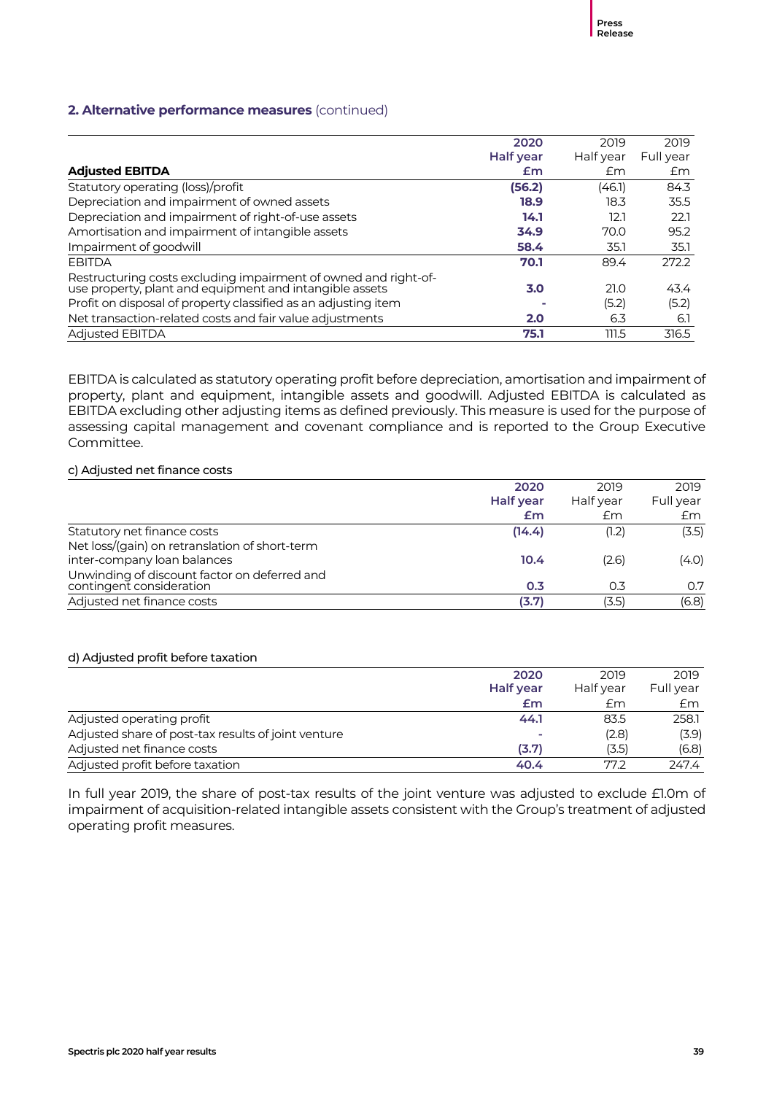|                                                                                                                            | 2020             | 2019      | 2019      |
|----------------------------------------------------------------------------------------------------------------------------|------------------|-----------|-----------|
|                                                                                                                            | <b>Half year</b> | Half year | Full year |
| <b>Adjusted EBITDA</b>                                                                                                     | £m               | £m        | £m        |
| Statutory operating (loss)/profit                                                                                          | (56.2)           | (46.1)    | 84.3      |
| Depreciation and impairment of owned assets                                                                                | 18.9             | 18.3      | 35.5      |
| Depreciation and impairment of right-of-use assets                                                                         | 14.1             | 12.1      | 22.1      |
| Amortisation and impairment of intangible assets                                                                           | 34.9             | 70.0      | 95.2      |
| Impairment of goodwill                                                                                                     | 58.4             | 35.1      | 35.1      |
| <b>EBITDA</b>                                                                                                              | 70.1             | 89.4      | 272.2     |
| Restructuring costs excluding impairment of owned and right-of-<br>use property, plant and equipment and intangible assets | 3.0              | 21.0      | 43.4      |
| Profit on disposal of property classified as an adjusting item                                                             |                  | (5.2)     | (5.2)     |
| Net transaction-related costs and fair value adjustments                                                                   | 2.0              | 6.3       | 6.1       |
| <b>Adjusted EBITDA</b>                                                                                                     | 75.1             | 111.5     | 316.5     |

EBITDA is calculated as statutory operating profit before depreciation, amortisation and impairment of property, plant and equipment, intangible assets and goodwill. Adjusted EBITDA is calculated as EBITDA excluding other adjusting items as defined previously. This measure is used for the purpose of assessing capital management and covenant compliance and is reported to the Group Executive Committee.

#### c) Adjusted net finance costs

|                                                                               | 2020             | 2019      | 2019      |
|-------------------------------------------------------------------------------|------------------|-----------|-----------|
|                                                                               | <b>Half year</b> | Half year | Full year |
|                                                                               | £m               | £m        | £m        |
| Statutory net finance costs                                                   | (14.4)           | (1.2)     | (3.5)     |
| Net loss/(gain) on retranslation of short-term<br>inter-company loan balances | 10.4             | (2.6)     | (4.0)     |
| Unwinding of discount factor on deferred and<br>contingent consideration      | 0.3              | 0.3       | 0.7       |
| Adjusted net finance costs                                                    | (3.7)            | (3.5)     | (6.8)     |

#### d) Adjusted profit before taxation

|                                                     | 2020                     | 2019      | 2019      |
|-----------------------------------------------------|--------------------------|-----------|-----------|
|                                                     | Half year                | Half year | Full year |
|                                                     | £m                       | £m        | Em        |
| Adjusted operating profit                           | 44.1                     | 83.5      | 258.1     |
| Adjusted share of post-tax results of joint venture | $\overline{\phantom{a}}$ | (2.8)     | (3.9)     |
| Adjusted net finance costs                          | (3.7)                    | (3.5)     | (6.8)     |
| Adjusted profit before taxation                     | 40.4                     | 77.2      | 247.4     |

In full year 2019, the share of post-tax results of the joint venture was adjusted to exclude £1.0m of impairment of acquisition-related intangible assets consistent with the Group's treatment of adjusted operating profit measures.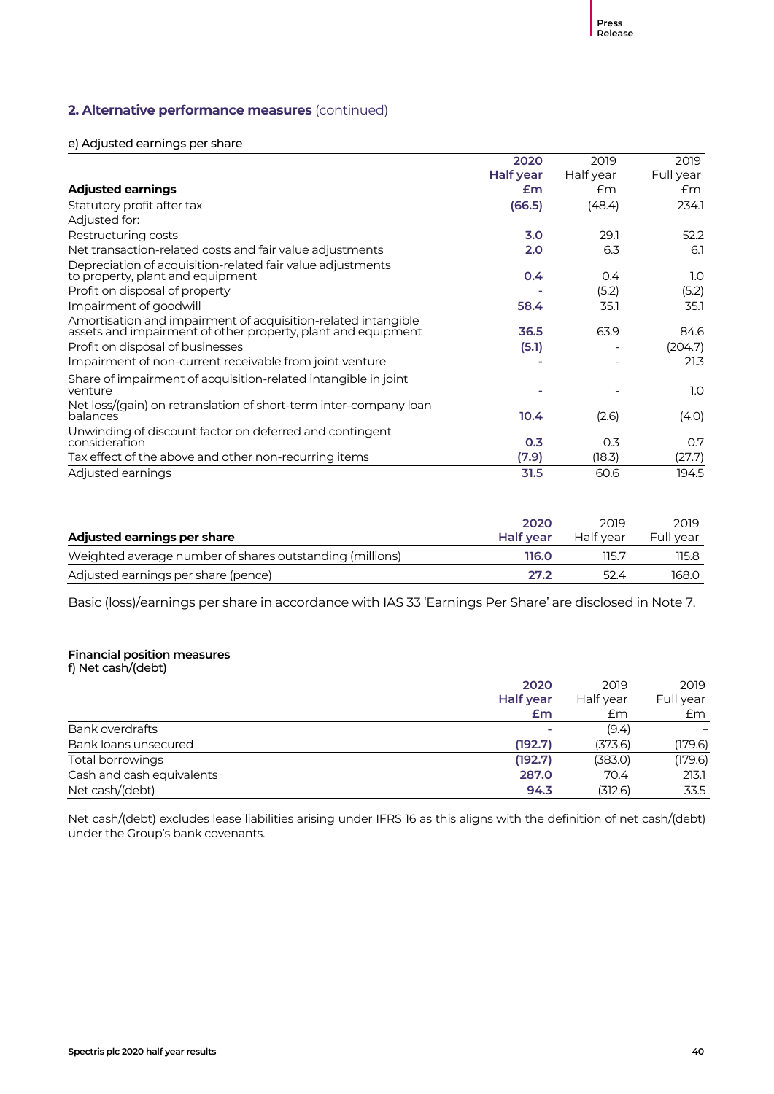e) Adjusted earnings per share

|                                                                                                                               | 2020      | 2019      | 2019      |
|-------------------------------------------------------------------------------------------------------------------------------|-----------|-----------|-----------|
|                                                                                                                               | Half year | Half year | Full year |
| <b>Adjusted earnings</b>                                                                                                      | £m        | Em        | £m        |
| Statutory profit after tax                                                                                                    | (66.5)    | (48.4)    | 234.1     |
| Adjusted for:                                                                                                                 |           |           |           |
| Restructuring costs                                                                                                           | 3.0       | 29.1      | 52.2      |
| Net transaction-related costs and fair value adjustments                                                                      | 2.0       | 6.3       | 6.1       |
| Depreciation of acquisition-related fair value adjustments<br>to property, plant and equipment                                | 0.4       | 0.4       | 1.0       |
| Profit on disposal of property                                                                                                |           | (5.2)     | (5.2)     |
| Impairment of goodwill                                                                                                        | 58.4      | 35.1      | 35.1      |
| Amortisation and impairment of acquisition-related intangible<br>assets and impairment of other property, plant and equipment | 36.5      | 63.9      | 84.6      |
| Profit on disposal of businesses                                                                                              | (5.1)     |           | (204.7)   |
| Impairment of non-current receivable from joint venture                                                                       |           |           | 21.3      |
| Share of impairment of acquisition-related intangible in joint<br>venture                                                     |           |           | 1.0       |
| Net loss/(gain) on retranslation of short-term inter-company loan<br>balances                                                 | 10.4      | (2.6)     | (4.0)     |
| Unwinding of discount factor on deferred and contingent<br>consideration                                                      | 0.3       | 0.3       | O.7       |
| Tax effect of the above and other non-recurring items                                                                         | (7.9)     | (18.3)    | (27.7)    |
| Adjusted earnings                                                                                                             | 31.5      | 60.6      | 194.5     |

|                                                          | 2020             | 2019      | 2019      |
|----------------------------------------------------------|------------------|-----------|-----------|
| Adjusted earnings per share                              | <b>Half year</b> | Half vear | Full year |
| Weighted average number of shares outstanding (millions) | 116.0            | 115.7     | 115.8     |
| Adjusted earnings per share (pence)                      | 27.2             | 52.4      | 168.0     |

Basic (loss)/earnings per share in accordance with IAS 33 'Earnings Per Share' are disclosed in Note 7.

#### **Financial position measures**

f) Net cash/(debt)

|                           | 2020      | 2019      | 2019      |
|---------------------------|-----------|-----------|-----------|
|                           | Half year | Half year | Full year |
|                           | £m        | Em        | £m        |
| Bank overdrafts           |           | (9.4)     |           |
| Bank loans unsecured      | (192.7)   | (373.6)   | (179.6)   |
| Total borrowings          | (192.7)   | (383.0)   | (179.6)   |
| Cash and cash equivalents | 287.0     | 70.4      | 213.1     |
| Net cash/(debt)           | 94.3      | (312.6)   | 33.5      |
|                           |           |           |           |

Net cash/(debt) excludes lease liabilities arising under IFRS 16 as this aligns with the definition of net cash/(debt) under the Group's bank covenants.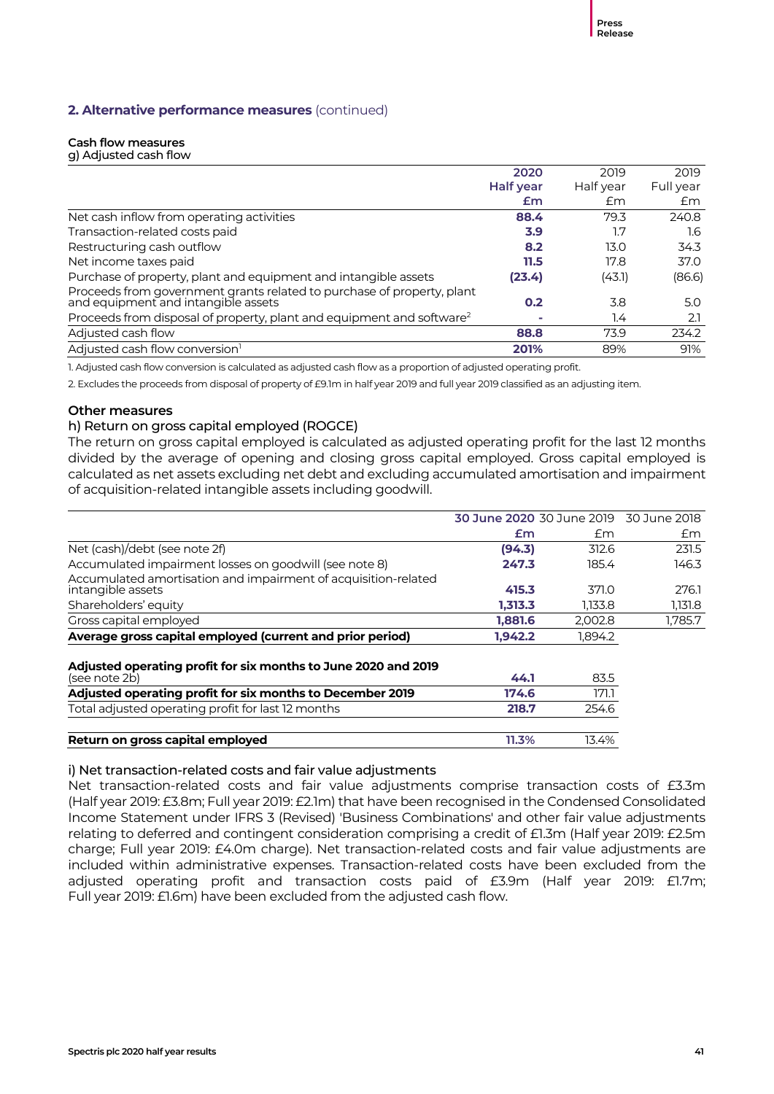#### **Cash flow measures**

g) Adjusted cash flow

|                                                                                                               | 2020      | 2019      | 2019      |
|---------------------------------------------------------------------------------------------------------------|-----------|-----------|-----------|
|                                                                                                               | Half year | Half year | Full year |
|                                                                                                               | £m        | £m        | £m        |
| Net cash inflow from operating activities                                                                     | 88.4      | 79.3      | 240.8     |
| Transaction-related costs paid                                                                                | 3.9       | 1.7       | 1.6       |
| Restructuring cash outflow                                                                                    | 8.2       | 13.0      | 34.3      |
| Net income taxes paid                                                                                         | 11.5      | 17.8      | 37.0      |
| Purchase of property, plant and equipment and intangible assets                                               | (23.4)    | (43.1)    | (86.6)    |
| Proceeds from government grants related to purchase of property, plant<br>and equipment and intangible assets | 0.2       | 3.8       | 5.0       |
| Proceeds from disposal of property, plant and equipment and software <sup>2</sup>                             | ۰         | 1.4       | 2.1       |
| Adjusted cash flow                                                                                            | 88.8      | 73.9      | 234.2     |
| Adjusted cash flow conversion <sup>1</sup>                                                                    | 201%      | 89%       | 91%       |

1. Adjusted cash flow conversion is calculated as adjusted cash flow as a proportion of adjusted operating profit.

2. Excludes the proceeds from disposal of property of £9.1m in half year 2019 and full year 2019 classified as an adjusting item.

#### **Other measures**

#### h) Return on gross capital employed (ROGCE)

The return on gross capital employed is calculated as adjusted operating profit for the last 12 months divided by the average of opening and closing gross capital employed. Gross capital employed is calculated as net assets excluding net debt and excluding accumulated amortisation and impairment of acquisition-related intangible assets including goodwill.

|                                                                                     |         |         | 30 June 2020 30 June 2019 30 June 2018 |
|-------------------------------------------------------------------------------------|---------|---------|----------------------------------------|
|                                                                                     | £m      | £m      | £m                                     |
| Net (cash)/debt (see note 2f)                                                       | (94.3)  | 312.6   | 231.5                                  |
| Accumulated impairment losses on goodwill (see note 8)                              | 247.3   | 185.4   | 146.3                                  |
| Accumulated amortisation and impairment of acquisition-related<br>intangible assets | 415.3   | 371.0   | 276.1                                  |
| Shareholders' equity                                                                | 1,313.3 | 1.133.8 | 1,131.8                                |
| Gross capital employed                                                              | 1.881.6 | 2.002.8 | 1.785.7                                |
| Average gross capital employed (current and prior period)                           | 1,942.2 | 1,894.2 |                                        |
| Adjusted operating profit for six months to June 2020 and 2019<br>(see note 2b)     | 44.1    | 83.5    |                                        |
| Adjusted operating profit for six months to December 2019                           | 174.6   | 171.1   |                                        |
| Total adjusted operating profit for last 12 months                                  | 218.7   | 254.6   |                                        |
| Return on gross capital employed                                                    | 11.3%   | 13.4%   |                                        |

#### i) Net transaction-related costs and fair value adjustments

Net transaction-related costs and fair value adjustments comprise transaction costs of £3.3m (Half year 2019: £3.8m; Full year 2019: £2.1m) that have been recognised in the Condensed Consolidated Income Statement under IFRS 3 (Revised) 'Business Combinations' and other fair value adjustments relating to deferred and contingent consideration comprising a credit of £1.3m (Half year 2019: £2.5m charge; Full year 2019: £4.0m charge). Net transaction-related costs and fair value adjustments are included within administrative expenses. Transaction-related costs have been excluded from the adjusted operating profit and transaction costs paid of £3.9m (Half year 2019: £1.7m; Full year 2019: £1.6m) have been excluded from the adjusted cash flow.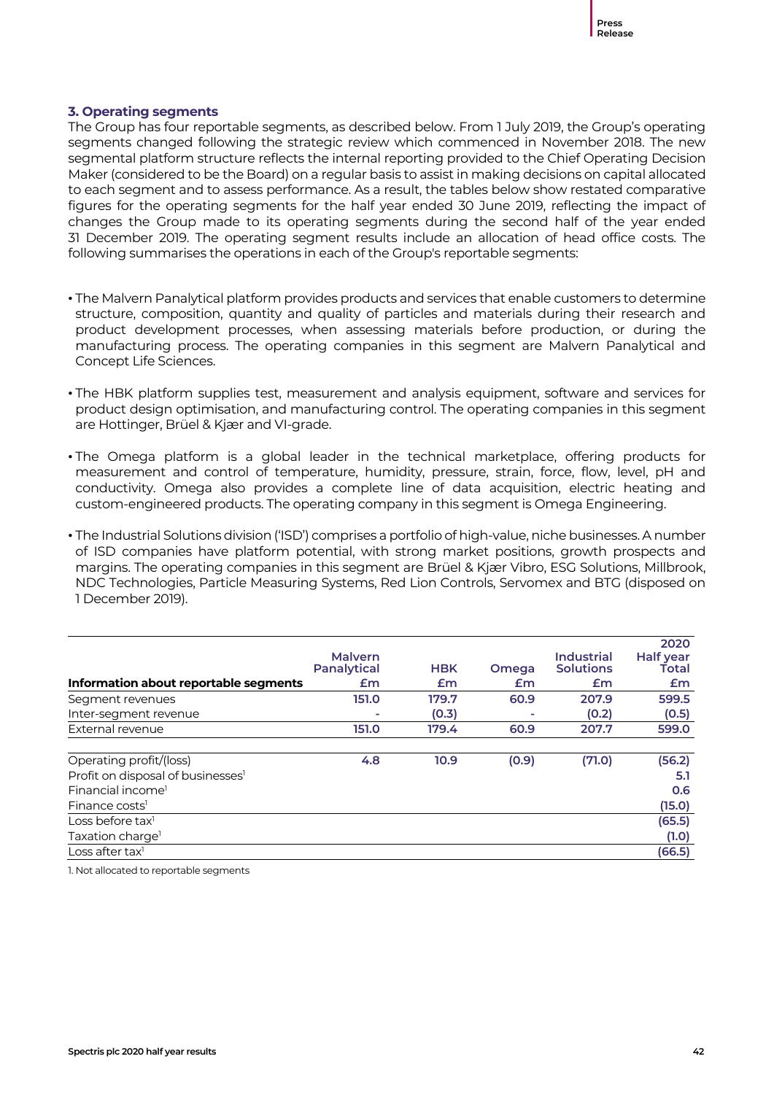#### **3. Operating segments**

The Group has four reportable segments, as described below. From 1 July 2019, the Group's operating segments changed following the strategic review which commenced in November 2018. The new segmental platform structure reflects the internal reporting provided to the Chief Operating Decision Maker (considered to be the Board) on a regular basis to assist in making decisions on capital allocated to each segment and to assess performance. As a result, the tables below show restated comparative figures for the operating segments for the half year ended 30 June 2019, reflecting the impact of changes the Group made to its operating segments during the second half of the year ended 31 December 2019. The operating segment results include an allocation of head office costs. The following summarises the operations in each of the Group's reportable segments:

- The Malvern Panalytical platform provides products and services that enable customers to determine structure, composition, quantity and quality of particles and materials during their research and product development processes, when assessing materials before production, or during the manufacturing process. The operating companies in this segment are Malvern Panalytical and Concept Life Sciences.
- The HBK platform supplies test, measurement and analysis equipment, software and services for product design optimisation, and manufacturing control. The operating companies in this segment are Hottinger, Brüel & Kjær and VI-grade.
- The Omega platform is a global leader in the technical marketplace, offering products for measurement and control of temperature, humidity, pressure, strain, force, flow, level, pH and conductivity. Omega also provides a complete line of data acquisition, electric heating and custom-engineered products. The operating company in this segment is Omega Engineering.
- The Industrial Solutions division ('ISD') comprises a portfolio of high-value, niche businesses. A number of ISD companies have platform potential, with strong market positions, growth prospects and margins. The operating companies in this segment are Brüel & Kjær Vibro, ESG Solutions, Millbrook, NDC Technologies, Particle Measuring Systems, Red Lion Controls, Servomex and BTG (disposed on 1 December 2019).

|                                               |                    |            |                          |                   | 2020             |
|-----------------------------------------------|--------------------|------------|--------------------------|-------------------|------------------|
|                                               | <b>Malvern</b>     |            |                          | <b>Industrial</b> | <b>Half year</b> |
|                                               | <b>Panalytical</b> | <b>HBK</b> | <b>Omega</b>             | <b>Solutions</b>  | Total            |
| Information about reportable segments         | £m                 | £m         | £m                       | £m                | £m               |
| Segment revenues                              | 151.0              | 179.7      | 60.9                     | 207.9             | 599.5            |
| Inter-segment revenue                         | ٠                  | (0.3)      | $\overline{\phantom{0}}$ | (0.2)             | (0.5)            |
| External revenue                              | 151.0              | 179.4      | 60.9                     | 207.7             | 599.0            |
| Operating profit/(loss)                       | 4.8                | 10.9       | (0.9)                    | (71.0)            | (56.2)           |
| Profit on disposal of businesses <sup>1</sup> |                    |            |                          |                   | 5.1              |
| Financial income <sup>1</sup>                 |                    |            |                          |                   | 0.6              |
| Finance costs <sup>1</sup>                    |                    |            |                          |                   | (15.0)           |
| Loss before tax <sup>1</sup>                  |                    |            |                          |                   | (65.5)           |
| Taxation charge <sup>1</sup>                  |                    |            |                          |                   | (1.0)            |
| Loss after tax <sup>1</sup>                   |                    |            |                          |                   | (66.5)           |

1. Not allocated to reportable segments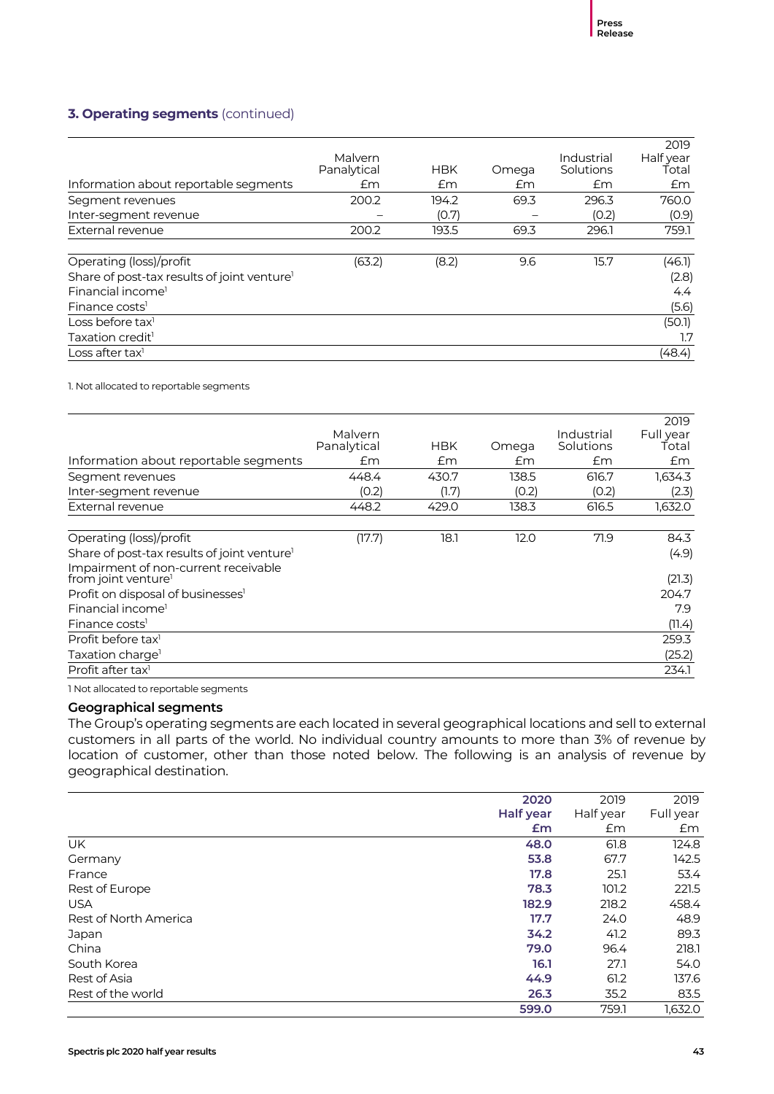#### **3. Operating segments** (continued)

|                                                         |                        |            |       |                         | 2019               |
|---------------------------------------------------------|------------------------|------------|-------|-------------------------|--------------------|
|                                                         | Malvern<br>Panalytical | <b>HBK</b> | Omega | Industrial<br>Solutions | Half year<br>Ťotal |
| Information about reportable segments                   | £m                     | £m         | £m    | £m                      | £m                 |
| Segment revenues                                        | 200.2                  | 194.2      | 69.3  | 296.3                   | 760.0              |
| Inter-segment revenue                                   |                        | (0.7)      |       | (0.2)                   | (0.9)              |
| External revenue                                        | 200.2                  | 193.5      | 69.3  | 296.1                   | 759.1              |
|                                                         |                        |            |       |                         |                    |
| Operating (loss)/profit                                 | (63.2)                 | (8.2)      | 9.6   | 15.7                    | (46.1)             |
| Share of post-tax results of joint venture <sup>1</sup> |                        |            |       |                         | (2.8)              |
| Financial income <sup>1</sup>                           |                        |            |       |                         | 4.4                |
| Finance costs <sup>1</sup>                              |                        |            |       |                         | (5.6)              |
| Loss before tax $l$                                     |                        |            |       |                         | (50.1)             |
| Taxation credit <sup>1</sup>                            |                        |            |       |                         | 1.7                |
| Loss after tax <sup>1</sup>                             |                        |            |       |                         | (48.4)             |

1. Not allocated to reportable segments

|                                                                         |                        |            |       |                         | 2019               |
|-------------------------------------------------------------------------|------------------------|------------|-------|-------------------------|--------------------|
|                                                                         | Malvern<br>Panalytical | <b>HBK</b> | Omega | Industrial<br>Solutions | Full year<br>Total |
| Information about reportable segments                                   | £m                     | Em         | £m    | £m                      | £m                 |
| Segment revenues                                                        | 448.4                  | 430.7      | 138.5 | 616.7                   | 1,634.3            |
| Inter-segment revenue                                                   | (0.2)                  | (1.7)      | (0.2) | (0.2)                   | (2.3)              |
| External revenue                                                        | 448.2                  | 429.0      | 138.3 | 616.5                   | 1,632.0            |
| Operating (loss)/profit                                                 | (17.7)                 | 18.1       | 12.0  | 71.9                    | 84.3               |
| Share of post-tax results of joint venture <sup>1</sup>                 |                        |            |       |                         | (4.9)              |
| Impairment of non-current receivable<br>from joint venture <sup>1</sup> |                        |            |       |                         | (21.3)             |
| Profit on disposal of businesses <sup>1</sup>                           |                        |            |       |                         | 204.7              |
| Financial income <sup>1</sup>                                           |                        |            |       |                         | 7.9                |
| Finance costs <sup>1</sup>                                              |                        |            |       |                         | (11.4)             |
| Profit before tax <sup>1</sup>                                          |                        |            |       |                         | 259.3              |
| Taxation charge <sup>1</sup>                                            |                        |            |       |                         | (25.2)             |
| Profit after tax <sup>1</sup>                                           |                        |            |       |                         | 234.1              |

1 Not allocated to reportable segments

#### **Geographical segments**

The Group's operating segments are each located in several geographical locations and sell to external customers in all parts of the world. No individual country amounts to more than 3% of revenue by location of customer, other than those noted below. The following is an analysis of revenue by geographical destination.

|                       | 2020             | 2019      | 2019      |
|-----------------------|------------------|-----------|-----------|
|                       | <b>Half year</b> | Half year | Full year |
|                       | £m               | £m        | £m        |
| UK.                   | 48.0             | 61.8      | 124.8     |
| Germany               | 53.8             | 67.7      | 142.5     |
| France                | 17.8             | 25.1      | 53.4      |
| Rest of Europe        | 78.3             | 101.2     | 221.5     |
| <b>USA</b>            | 182.9            | 218.2     | 458.4     |
| Rest of North America | 17.7             | 24.0      | 48.9      |
| Japan                 | 34.2             | 41.2      | 89.3      |
| China                 | 79.0             | 96.4      | 218.1     |
| South Korea           | 16.1             | 27.1      | 54.0      |
| Rest of Asia          | 44.9             | 61.2      | 137.6     |
| Rest of the world     | 26.3             | 35.2      | 83.5      |
|                       | 599.0            | 759.1     | 1.632.0   |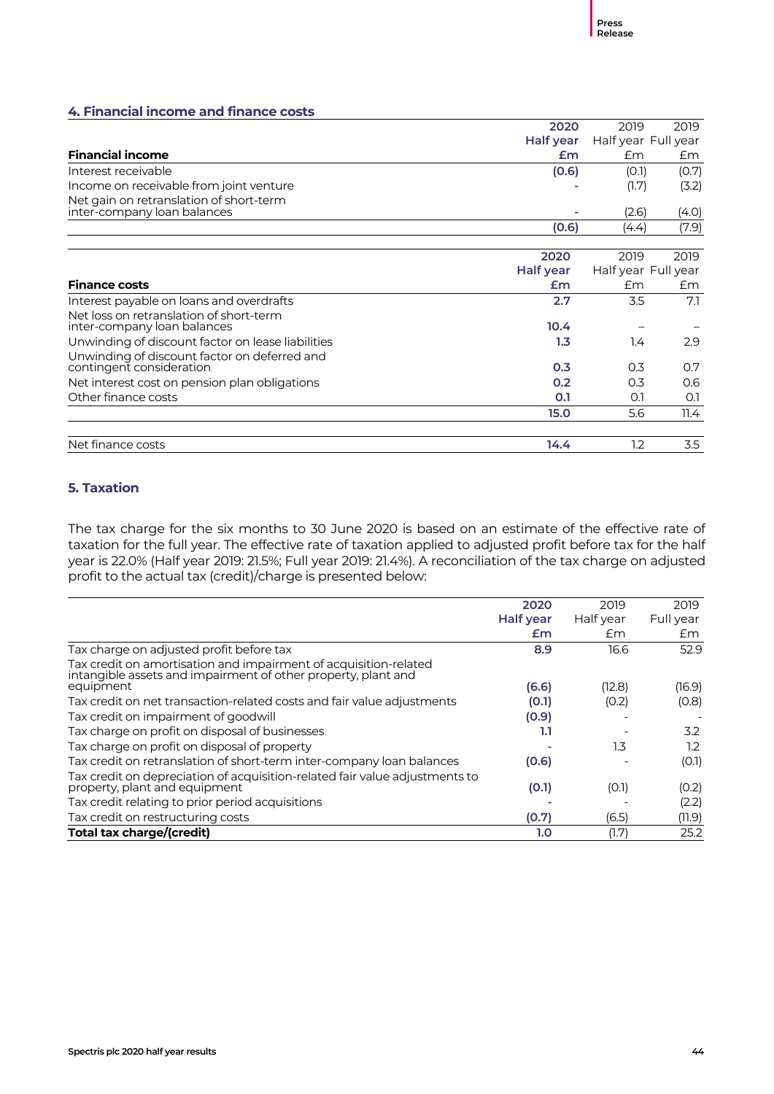#### **4. Financial income and finance costs**

|                                                                          | 2020             | 2019                | 2019  |
|--------------------------------------------------------------------------|------------------|---------------------|-------|
|                                                                          | <b>Half year</b> | Half year Full year |       |
| <b>Financial income</b>                                                  | £m               | £m                  | £m    |
| Interest receivable                                                      | (0.6)            | (0.1)               | (0.7) |
| Income on receivable from joint venture                                  |                  | (1.7)               | (3.2) |
| Net gain on retranslation of short-term<br>inter-company loan balances   |                  | (2.6)               | (4.0) |
|                                                                          | (0.6)            | (4.4)               | (7.9) |
|                                                                          |                  |                     |       |
|                                                                          | 2020             | 2019                | 2019  |
|                                                                          | <b>Half year</b> | Half year Full year |       |
| <b>Finance costs</b>                                                     | £m               | Em                  | £m    |
| Interest payable on loans and overdrafts                                 | 2.7              | 3.5                 | 7.1   |
| Net loss on retranslation of short-term<br>inter-company loan balances   | 10.4             |                     |       |
| Unwinding of discount factor on lease liabilities                        | 1.3              | 1.4                 | 2.9   |
| Unwinding of discount factor on deferred and<br>contingent consideration | 0.3              | 0.3                 | 0.7   |
| Net interest cost on pension plan obligations                            | 0.2              | 0.3                 | 0.6   |
| Other finance costs                                                      | 0.1              | O.1                 | O.1   |
|                                                                          | 15.0             | 5.6                 | 11.4  |
| Net finance costs                                                        | 14.4             | 1.2                 | 3.5   |

#### **5. Taxation**

The tax charge for the six months to 30 June 2020 is based on an estimate of the effective rate of taxation for the full year. The effective rate of taxation applied to adjusted profit before tax for the half year is 22.0% (Half year 2019: 21.5%; Full year 2019: 21.4%). A reconciliation of the tax charge on adjusted profit to the actual tax (credit)/charge is presented below:

|                                                                                                                                   | 2020             | 2019      | 2019      |
|-----------------------------------------------------------------------------------------------------------------------------------|------------------|-----------|-----------|
|                                                                                                                                   | <b>Half year</b> | Half year | Full year |
|                                                                                                                                   | £m               | £m        | £m        |
| Tax charge on adjusted profit before tax                                                                                          | 8.9              | 16.6      | 52.9      |
| Tax credit on amortisation and impairment of acquisition-related<br>intangible assets and impairment of other property, plant and |                  |           |           |
| equipment                                                                                                                         | (6.6)            | (12.8)    | (16.9)    |
| Tax credit on net transaction-related costs and fair value adjustments                                                            | (0.1)            | (0.2)     | (0.8)     |
| Tax credit on impairment of goodwill                                                                                              | (0.9)            |           |           |
| Tax charge on profit on disposal of businesses                                                                                    | 1.1              |           | 3.2       |
| Tax charge on profit on disposal of property                                                                                      |                  | 1.3       | 1.2       |
| Tax credit on retranslation of short-term inter-company loan balances                                                             | (0.6)            |           | (0.1)     |
| Tax credit on depreciation of acquisition-related fair value adjustments to<br>property, plant and equipment                      | (0.1)            | (O.1)     | (0.2)     |
| Tax credit relating to prior period acquisitions                                                                                  |                  |           | (2.2)     |
| Tax credit on restructuring costs                                                                                                 | (0.7)            | (6.5)     | (11.9)    |
| Total tax charge/(credit)                                                                                                         | 1.0              | (1.7)     | 25.2      |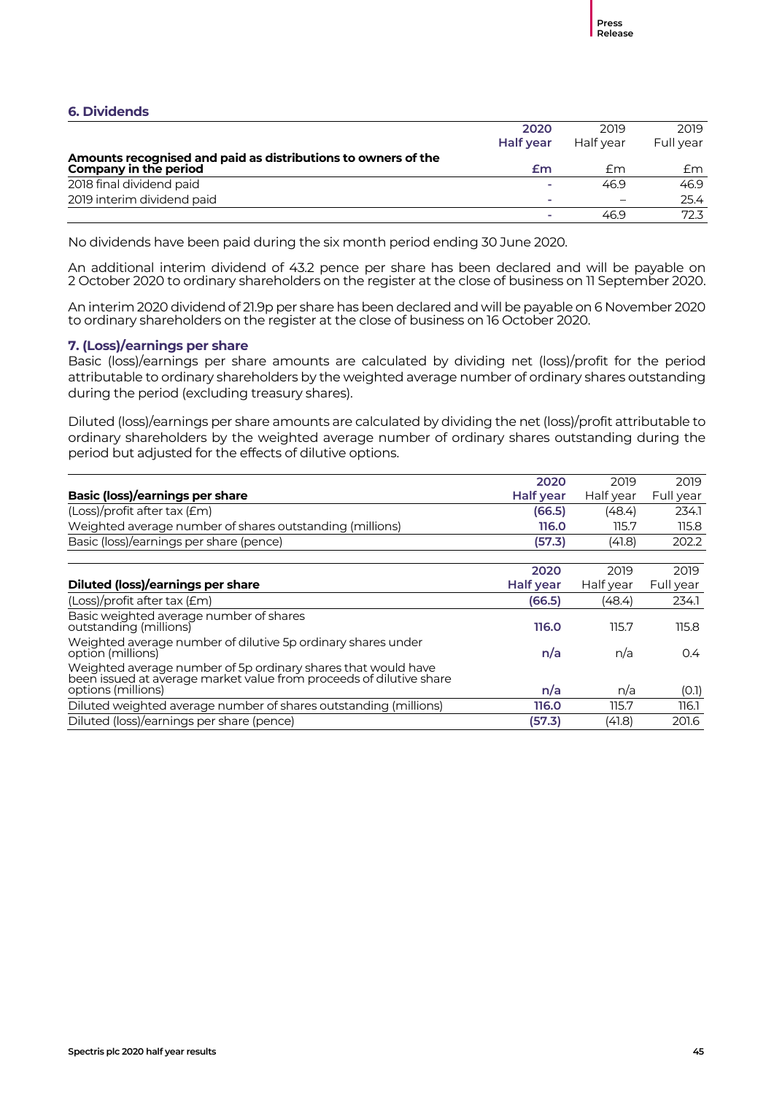#### **6. Dividends**

|                                                               | 2020                     | 2019      | 2019      |
|---------------------------------------------------------------|--------------------------|-----------|-----------|
|                                                               | <b>Half year</b>         | Half year | Full vear |
| Amounts recognised and paid as distributions to owners of the |                          |           |           |
| Company in the period                                         | £m                       | fm        | £m        |
| 2018 final dividend paid                                      | ۰                        | 46.9      | 46.9      |
| 2019 interim dividend paid                                    | $\overline{\phantom{0}}$ |           | 25.4      |
|                                                               | -                        | 46.9      | 72.3      |

No dividends have been paid during the six month period ending 30 June 2020.

An additional interim dividend of 43.2 pence per share has been declared and will be payable on 2 October 2020 to ordinary shareholders on the register at the close of business on 11 September 2020.

An interim 2020 dividend of 21.9p per share has been declared and will be payable on 6 November 2020 to ordinary shareholders on the register at the close of business on 16 October 2020.

#### **7. (Loss)/earnings per share**

Basic (loss)/earnings per share amounts are calculated by dividing net (loss)/profit for the period attributable to ordinary shareholders by the weighted average number of ordinary shares outstanding during the period (excluding treasury shares).

Diluted (loss)/earnings per share amounts are calculated by dividing the net (loss)/profit attributable to ordinary shareholders by the weighted average number of ordinary shares outstanding during the period but adjusted for the effects of dilutive options.

|                                                                                                                                      | 2020             | 2019      | 2019          |
|--------------------------------------------------------------------------------------------------------------------------------------|------------------|-----------|---------------|
| <b>Basic (loss)/earnings per share</b>                                                                                               | <b>Half year</b> | Half vear | Full year     |
| $(Loss)/profit$ after tax $(fm)$                                                                                                     | (66.5)           | (48.4)    | 234.1         |
| Weighted average number of shares outstanding (millions)                                                                             | 116.0            | 115.7     | 115.8         |
| Basic (loss)/earnings per share (pence)                                                                                              | (57.3)           | (41.8)    | 202.2         |
|                                                                                                                                      |                  |           |               |
|                                                                                                                                      | 2020             | 2019      | 2019          |
| <b>Diluted (loss)/earnings per share</b>                                                                                             | <b>Half year</b> | Half year | Full year     |
| (Loss)/profit after tax (£m)                                                                                                         | (66.5)           | (48.4)    | 234.1         |
| Basic weighted average number of shares<br>outstanding (millions)                                                                    | 116.0            | 115.7     | 115.8         |
| Weighted average number of dilutive 5p ordinary shares under<br>option (millions)                                                    | n/a              | n/a       | $0.4^{\circ}$ |
| Weighted average number of 5p ordinary shares that would have<br>been issued at average market value from proceeds of dilutive share |                  |           |               |
| options (millions)                                                                                                                   | n/a              | n/a       | (0.1)         |
| Diluted weighted average number of shares outstanding (millions)                                                                     | 116.0            | 115.7     | 116.1         |
| Diluted (loss)/earnings per share (pence)                                                                                            | (57.3)           | (41.8)    | 201.6         |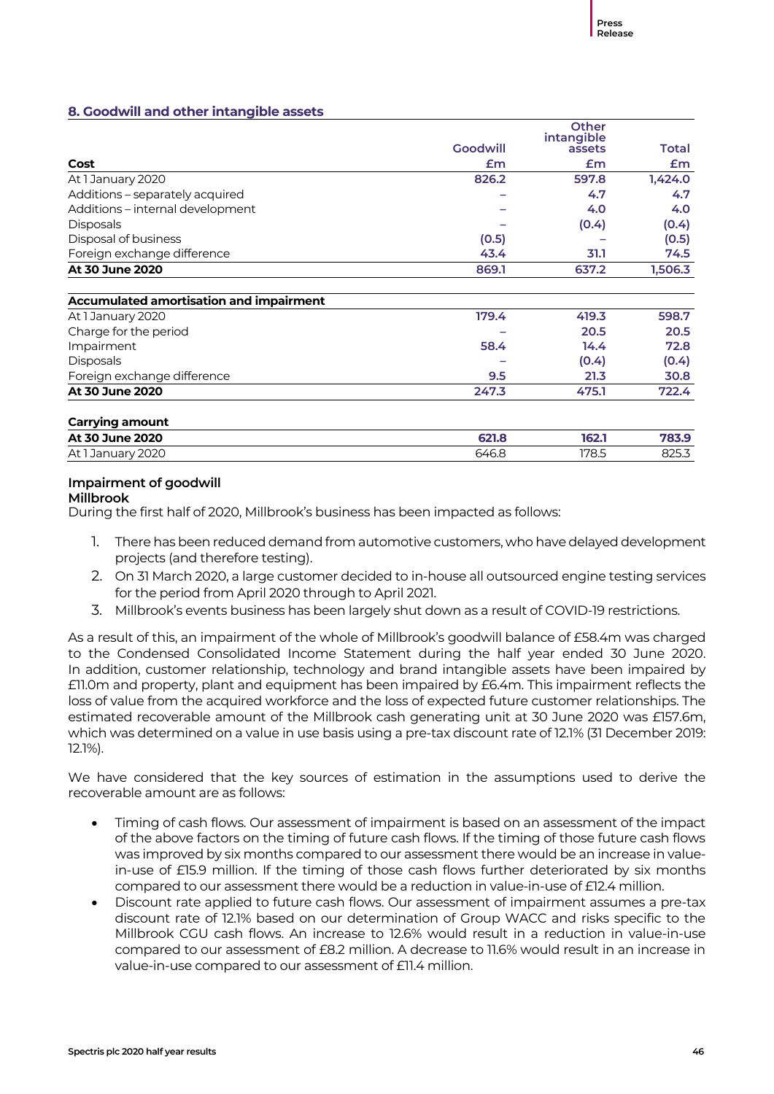#### **8. Goodwill and other intangible assets**

|                                         |          | Other<br>intangible |              |
|-----------------------------------------|----------|---------------------|--------------|
|                                         | Goodwill | assets              | <b>Total</b> |
| Cost                                    | £m       | £m                  | Em           |
| At 1 January 2020                       | 826.2    | 597.8               | 1,424.0      |
| Additions - separately acquired         |          | 4.7                 | 4.7          |
| Additions - internal development        |          | 4.0                 | 4.0          |
| <b>Disposals</b>                        |          | (0.4)               | (0.4)        |
| Disposal of business                    | (0.5)    |                     | (0.5)        |
| Foreign exchange difference             | 43.4     | 31.1                | 74.5         |
| At 30 June 2020                         | 869.1    | 637.2               | 1,506.3      |
|                                         |          |                     |              |
| Accumulated amortisation and impairment |          |                     |              |
| At 1 January 2020                       | 179.4    | 419.3               | 598.7        |
| Charge for the period                   |          | 20.5                | 20.5         |
| Impairment                              | 58.4     | 14.4                | 72.8         |
| <b>Disposals</b>                        |          | (0.4)               | (0.4)        |
| Foreign exchange difference             | 9.5      | 21.3                | 30.8         |
| At 30 June 2020                         | 247.3    | 475.1               | 722.4        |
| <b>Carrying amount</b>                  |          |                     |              |
| At 30 June 2020                         | 621.8    | 162.1               | 783.9        |
| At 1 January 2020                       | 646.8    | 178.5               | 825.3        |

#### **Impairment of goodwill**

#### **Millbrook**

During the first half of 2020, Millbrook's business has been impacted as follows:

- 1. There has been reduced demand from automotive customers, who have delayed development projects (and therefore testing).
- 2. On 31 March 2020, a large customer decided to in-house all outsourced engine testing services for the period from April 2020 through to April 2021.
- 3. Millbrook's events business has been largely shut down as a result of COVID-19 restrictions.

As a result of this, an impairment of the whole of Millbrook's goodwill balance of £58.4m was charged to the Condensed Consolidated Income Statement during the half year ended 30 June 2020. In addition, customer relationship, technology and brand intangible assets have been impaired by £11.0m and property, plant and equipment has been impaired by £6.4m. This impairment reflects the loss of value from the acquired workforce and the loss of expected future customer relationships. The estimated recoverable amount of the Millbrook cash generating unit at 30 June 2020 was £157.6m, which was determined on a value in use basis using a pre-tax discount rate of 12.1% (31 December 2019: 12.1%).

We have considered that the key sources of estimation in the assumptions used to derive the recoverable amount are as follows:

- Timing of cash flows. Our assessment of impairment is based on an assessment of the impact of the above factors on the timing of future cash flows. If the timing of those future cash flows was improved by six months compared to our assessment there would be an increase in valuein-use of £15.9 million. If the timing of those cash flows further deteriorated by six months compared to our assessment there would be a reduction in value-in-use of £12.4 million.
- Discount rate applied to future cash flows. Our assessment of impairment assumes a pre-tax discount rate of 12.1% based on our determination of Group WACC and risks specific to the Millbrook CGU cash flows. An increase to 12.6% would result in a reduction in value-in-use compared to our assessment of £8.2 million. A decrease to 11.6% would result in an increase in value-in-use compared to our assessment of £11.4 million.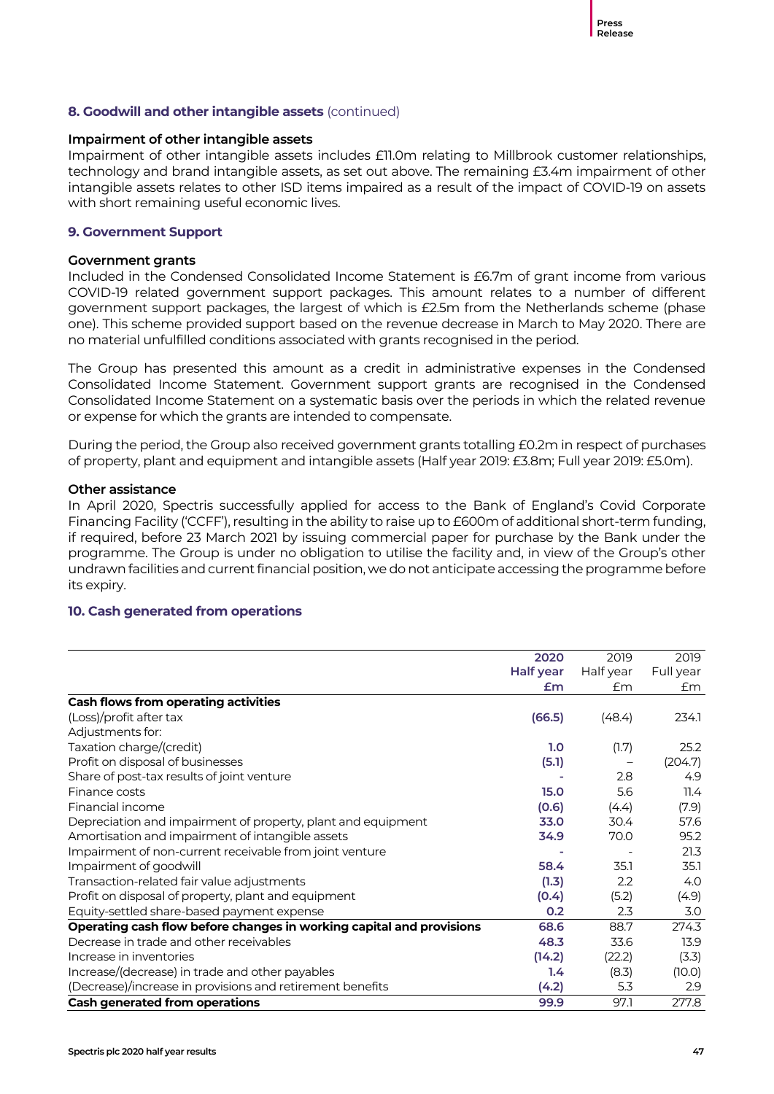#### **8. Goodwill and other intangible assets** (continued)

#### **Impairment of other intangible assets**

Impairment of other intangible assets includes £11.0m relating to Millbrook customer relationships, technology and brand intangible assets, as set out above. The remaining £3.4m impairment of other intangible assets relates to other ISD items impaired as a result of the impact of COVID-19 on assets with short remaining useful economic lives.

#### **9. Government Support**

#### **Government grants**

Included in the Condensed Consolidated Income Statement is £6.7m of grant income from various COVID-19 related government support packages. This amount relates to a number of different government support packages, the largest of which is £2.5m from the Netherlands scheme (phase one). This scheme provided support based on the revenue decrease in March to May 2020. There are no material unfulfilled conditions associated with grants recognised in the period.

The Group has presented this amount as a credit in administrative expenses in the Condensed Consolidated Income Statement. Government support grants are recognised in the Condensed Consolidated Income Statement on a systematic basis over the periods in which the related revenue or expense for which the grants are intended to compensate.

During the period, the Group also received government grants totalling £0.2m in respect of purchases of property, plant and equipment and intangible assets (Half year 2019: £3.8m; Full year 2019: £5.0m).

#### **Other assistance**

In April 2020, Spectris successfully applied for access to the Bank of England's Covid Corporate Financing Facility ('CCFF'), resulting in the ability to raise up to £600m of additional short-term funding, if required, before 23 March 2021 by issuing commercial paper for purchase by the Bank under the programme. The Group is under no obligation to utilise the facility and, in view of the Group's other undrawn facilities and current financial position, we do not anticipate accessing the programme before its expiry.

#### **10. Cash generated from operations**

|                                                                      | 2020             | 2019      | 2019      |
|----------------------------------------------------------------------|------------------|-----------|-----------|
|                                                                      | Half year        | Half year | Full year |
|                                                                      | £m               | £m        | Em        |
| Cash flows from operating activities                                 |                  |           |           |
| (Loss)/profit after tax                                              | (66.5)           | (48.4)    | 234.1     |
| Adjustments for:                                                     |                  |           |           |
| Taxation charge/(credit)                                             | 1.0 <sub>2</sub> | (1.7)     | 25.2      |
| Profit on disposal of businesses                                     | (5.1)            |           | (204.7)   |
| Share of post-tax results of joint venture                           |                  | 2.8       | 4.9       |
| Finance costs                                                        | 15.0             | 5.6       | 11.4      |
| Financial income                                                     | (0.6)            | (4.4)     | (7.9)     |
| Depreciation and impairment of property, plant and equipment         | 33.0             | 30.4      | 57.6      |
| Amortisation and impairment of intangible assets                     | 34.9             | 70.0      | 95.2      |
| Impairment of non-current receivable from joint venture              |                  |           | 21.3      |
| Impairment of goodwill                                               | 58.4             | 35.1      | 35.1      |
| Transaction-related fair value adjustments                           | (1.3)            | 2.2       | 4.0       |
| Profit on disposal of property, plant and equipment                  | (0.4)            | (5.2)     | (4.9)     |
| Equity-settled share-based payment expense                           | 0.2              | 2.3       | 3.0       |
| Operating cash flow before changes in working capital and provisions | 68.6             | 88.7      | 274.3     |
| Decrease in trade and other receivables                              | 48.3             | 33.6      | 13.9      |
| Increase in inventories                                              | (14.2)           | (22.2)    | (3.3)     |
| Increase/(decrease) in trade and other payables                      | 1.4              | (8.3)     | (10.0)    |
| (Decrease)/increase in provisions and retirement benefits            | (4.2)            | 5.3       | 2.9       |
| Cash generated from operations                                       | 99.9             | 97.1      | 277.8     |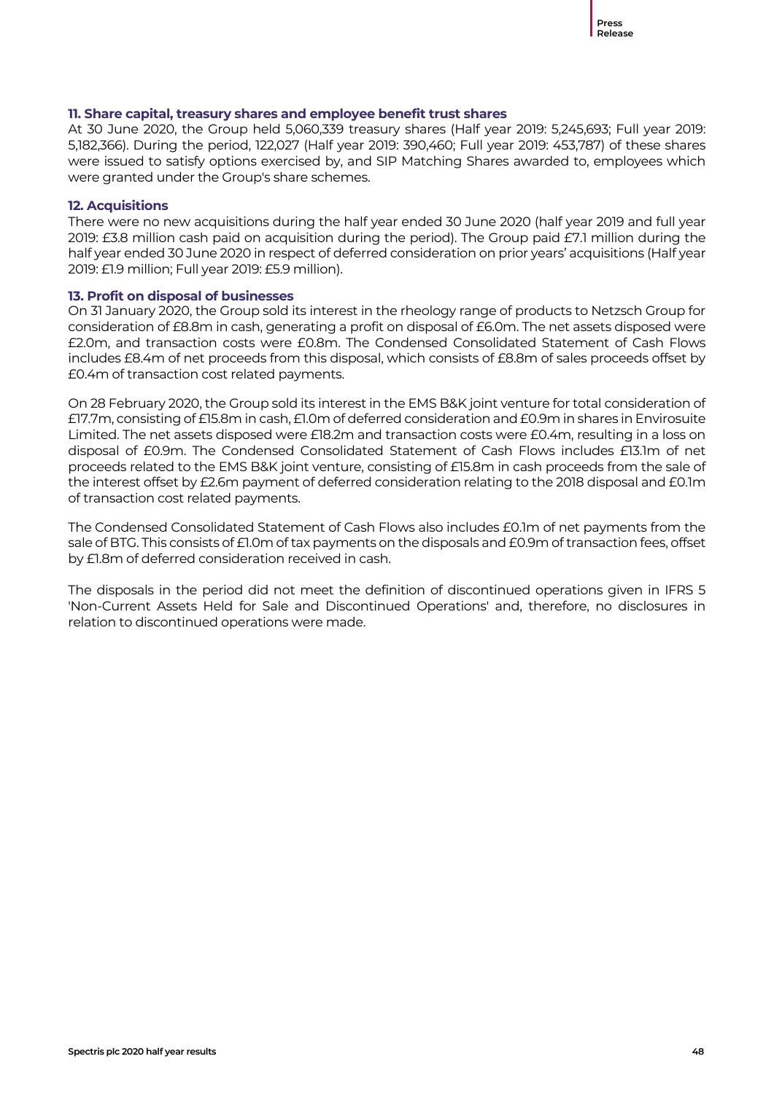

#### **11. Share capital, treasury shares and employee benefit trust shares**

At 30 June 2020, the Group held 5,060,339 treasury shares (Half year 2019: 5,245,693; Full year 2019: 5,182,366). During the period, 122,027 (Half year 2019: 390,460; Full year 2019: 453,787) of these shares were issued to satisfy options exercised by, and SIP Matching Shares awarded to, employees which were granted under the Group's share schemes.

#### **12. Acquisitions**

There were no new acquisitions during the half year ended 30 June 2020 (half year 2019 and full year 2019: £3.8 million cash paid on acquisition during the period). The Group paid £7.1 million during the half year ended 30 June 2020 in respect of deferred consideration on prior years' acquisitions (Half year 2019: £1.9 million; Full year 2019: £5.9 million).

#### **13. Profit on disposal of businesses**

On 31 January 2020, the Group sold its interest in the rheology range of products to Netzsch Group for consideration of £8.8m in cash, generating a profit on disposal of £6.0m. The net assets disposed were £2.0m, and transaction costs were £0.8m. The Condensed Consolidated Statement of Cash Flows includes £8.4m of net proceeds from this disposal, which consists of £8.8m of sales proceeds offset by £0.4m of transaction cost related payments.

On 28 February 2020, the Group sold its interest in the EMS B&K joint venture for total consideration of £17.7m, consisting of £15.8m in cash, £1.0m of deferred consideration and £0.9m in shares in Envirosuite Limited. The net assets disposed were £18.2m and transaction costs were £0.4m, resulting in a loss on disposal of £0.9m. The Condensed Consolidated Statement of Cash Flows includes £13.1m of net proceeds related to the EMS B&K joint venture, consisting of £15.8m in cash proceeds from the sale of the interest offset by £2.6m payment of deferred consideration relating to the 2018 disposal and £0.1m of transaction cost related payments.

The Condensed Consolidated Statement of Cash Flows also includes £0.1m of net payments from the sale of BTG. This consists of £1.0m of tax payments on the disposals and £0.9m of transaction fees, offset by £1.8m of deferred consideration received in cash.

The disposals in the period did not meet the definition of discontinued operations given in IFRS 5 'Non-Current Assets Held for Sale and Discontinued Operations' and, therefore, no disclosures in relation to discontinued operations were made.